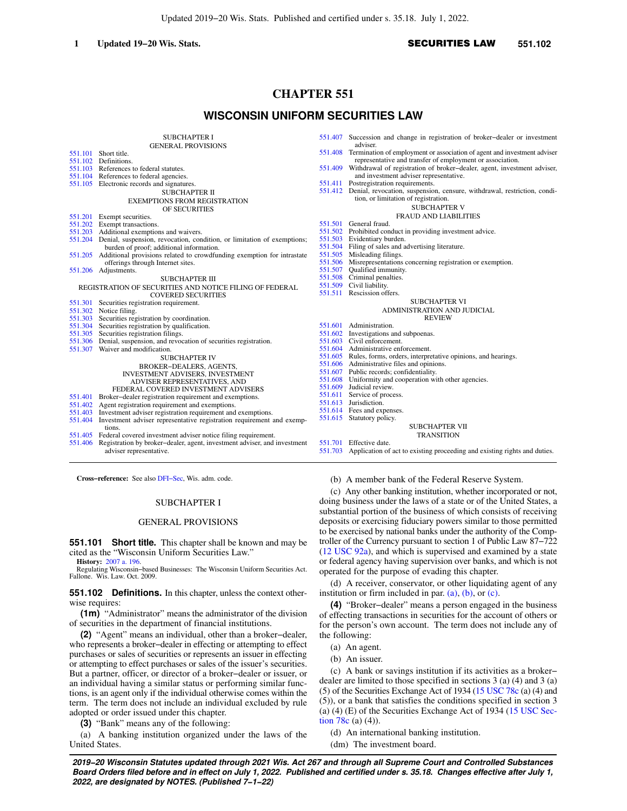Updated 2019−20 Wis. Stats. Published and certified under s. 35.18. July 1, 2022.

# **CHAPTER 551**

# **WISCONSIN UNIFORM SECURITIES LAW**

| SUBCHAPTER I             |
|--------------------------|
| $G \cap Y \cap Y \cap Y$ |

|         | oodcha ilaa                                                                     |            | ັ            |
|---------|---------------------------------------------------------------------------------|------------|--------------|
|         | <b>GENERAL PROVISIONS</b>                                                       |            |              |
|         | 551.101 Short title.                                                            | 551.408 T  |              |
|         | 551.102 Definitions.                                                            |            |              |
|         | 551.103 References to federal statutes.                                         | 551.409 V  |              |
|         | 551.104 References to federal agencies.                                         |            |              |
|         | 551.105 Electronic records and signatures.                                      | 551.411 P  |              |
|         | <b>SUBCHAPTER II</b>                                                            | 551.412 D  |              |
|         | <b>EXEMPTIONS FROM REGISTRATION</b>                                             |            |              |
|         | <b>OF SECURITIES</b>                                                            |            |              |
|         | 551.201 Exempt securities.                                                      |            |              |
|         | 551.202 Exempt transactions.                                                    | 551.501    | C            |
|         | 551.203 Additional exemptions and waivers.                                      | 551.502 P  |              |
|         | 551.204 Denial, suspension, revocation, condition, or limitation of exemptions; | 551.503    | E            |
|         | burden of proof; additional information.                                        | 551.504    | F            |
|         | 551.205 Additional provisions related to crowdfunding exemption for intrastate  | 551.505 N  |              |
|         | offerings through Internet sites.                                               | 551.506 N  |              |
| 551.206 | Adjustments.                                                                    | 551.507    | $\mathsf{C}$ |
|         | <b>SUBCHAPTER III</b>                                                           | 551.508 C  |              |
|         | REGISTRATION OF SECURITIES AND NOTICE FILING OF FEDERAL                         | 551.509 C  |              |
|         | <b>COVERED SECURITIES</b>                                                       | 551.511    | R            |
| 551.301 | Securities registration requirement.                                            |            |              |
| 551.302 | Notice filing.                                                                  |            |              |
| 551.303 | Securities registration by coordination.                                        |            |              |
| 551.304 | Securities registration by qualification.                                       | 551.601    | A            |
| 551.305 | Securities registration filings.                                                | 551.602 In |              |
| 551.306 | Denial, suspension, and revocation of securities registration.                  | 551.603    | $\epsilon$   |
| 551.307 | Waiver and modification.                                                        | 551.604    | A            |
|         | <b>SUBCHAPTER IV</b>                                                            | 551.605    | R            |
|         | BROKER-DEALERS, AGENTS,                                                         | 551.606    | A            |
|         | <b>INVESTMENT ADVISERS, INVESTMENT</b>                                          | 551.607 P  |              |
|         | ADVISER REPRESENTATIVES, AND                                                    | 551.608 L  |              |
|         | FEDERAL COVERED INVESTMENT ADVISERS                                             | 551.609 J  |              |
| 551.401 | Broker-dealer registration requirement and exemptions.                          | 551.611    | S            |
| 551.402 | Agent registration requirement and exemptions.                                  | 551.613    | J            |
| 551.403 | Investment adviser registration requirement and exemptions.                     | 551.614 F  |              |
| 551.404 | Investment adviser representative registration requirement and exemp-           | 551.615 S  |              |
|         | tions.                                                                          |            |              |
| 551.405 | Federal covered investment adviser notice filing requirement.                   |            |              |
|         | 551.406 Registration by broker-dealer agent investment adviser and investment   | 551.701 E  |              |

[551.406](https://docs.legis.wisconsin.gov/document/statutes/551.406) Registration by broker−dealer, agent, investment adviser, and investment adviser representative.

**Cross−reference:** See also [DFI−Sec,](https://docs.legis.wisconsin.gov/document/administrativecode/DFI-Sec) Wis. adm. code.

### SUBCHAPTER I

### GENERAL PROVISIONS

**551.101 Short title.** This chapter shall be known and may be cited as the "Wisconsin Uniform Securities Law."

**History:** [2007 a. 196](https://docs.legis.wisconsin.gov/document/acts/2007/196). Regulating Wisconsin−based Businesses: The Wisconsin Uniform Securities Act. Fallone. Wis. Law. Oct. 2009.

**551.102 Definitions.** In this chapter, unless the context otherwise requires:

**(1m)** "Administrator" means the administrator of the division of securities in the department of financial institutions.

**(2)** "Agent" means an individual, other than a broker−dealer, who represents a broker−dealer in effecting or attempting to effect purchases or sales of securities or represents an issuer in effecting or attempting to effect purchases or sales of the issuer's securities. But a partner, officer, or director of a broker−dealer or issuer, or an individual having a similar status or performing similar functions, is an agent only if the individual otherwise comes within the term. The term does not include an individual excluded by rule adopted or order issued under this chapter.

**(3)** "Bank" means any of the following:

(a) A banking institution organized under the laws of the United States.

- [551.407](https://docs.legis.wisconsin.gov/document/statutes/551.407) Succession and change in registration of broker−dealer or investment adviser.
- ermination of employment or association of agent and investment adviser representative and transfer of employment or association.
- [551.409](https://docs.legis.wisconsin.gov/document/statutes/551.409) Withdrawal of registration of broker−dealer, agent, investment adviser, and investment adviser representative.
- ostregistration requirements.
- benial, revocation, suspension, censure, withdrawal, restriction, condition, or limitation of registration. SUBCHAPTER V

## FRAUD AND LIABILITIES

- ieneral fraud.
- Prohibited conduct in providing investment advice.
- videntiary burden.
- filing of sales and advertising literature.
- [551.505](https://docs.legis.wisconsin.gov/document/statutes/551.505) Misleading filings.
- [551.506](https://docs.legis.wisconsin.gov/document/statutes/551.506) Misrepresentations concerning registration or exemption.
- [551.507](https://docs.legis.wisconsin.gov/document/statutes/551.507) Qualified immunity.
- friminal penalties. [551.509](https://docs.legis.wisconsin.gov/document/statutes/551.509) Civil liability.
- escission offers.

### SUBCHAPTER VI ADMINISTRATION AND JUDICIAL REVIEW

- dministration.
- ty investigations and subpoenas.
- Sivil enforcement.
- dministrative enforcement.
- tules, forms, orders, interpretative opinions, and hearings.
- dministrative files and opinions.
- ublic records; confidentiality Iniformity and cooperation with other agencies.
- udicial review.
- service of process.
- urisdiction.
- ees and expenses.
- tatutory policy.

### SUBCHAPTER VII **TRANSITION**

ffective date.

[551.703](https://docs.legis.wisconsin.gov/document/statutes/551.703) Application of act to existing proceeding and existing rights and duties.

(b) A member bank of the Federal Reserve System.

(c) Any other banking institution, whether incorporated or not, doing business under the laws of a state or of the United States, a substantial portion of the business of which consists of receiving deposits or exercising fiduciary powers similar to those permitted to be exercised by national banks under the authority of the Comptroller of the Currency pursuant to section 1 of Public Law 87−722 ([12 USC 92a](https://docs.legis.wisconsin.gov/document/usc/12%20USC%2092a)), and which is supervised and examined by a state or federal agency having supervision over banks, and which is not operated for the purpose of evading this chapter.

(d) A receiver, conservator, or other liquidating agent of any institution or firm included in par.  $(a)$ ,  $(b)$ , or  $(c)$ .

**(4)** "Broker−dealer" means a person engaged in the business of effecting transactions in securities for the account of others or for the person's own account. The term does not include any of the following:

- (a) An agent.
- (b) An issuer.

(c) A bank or savings institution if its activities as a broker− dealer are limited to those specified in sections 3 (a) (4) and 3 (a) (5) of the Securities Exchange Act of 1934 ([15 USC 78c](https://docs.legis.wisconsin.gov/document/usc/15%20USC%2078c) (a) (4) and (5)), or a bank that satisfies the conditions specified in section 3 (a) (4) (E) of the Securities Exchange Act of 1934 [\(15 USC Sec](https://docs.legis.wisconsin.gov/document/usc/15%20USC%2078c)[tion 78c](https://docs.legis.wisconsin.gov/document/usc/15%20USC%2078c) (a) (4)).

(d) An international banking institution.

(dm) The investment board.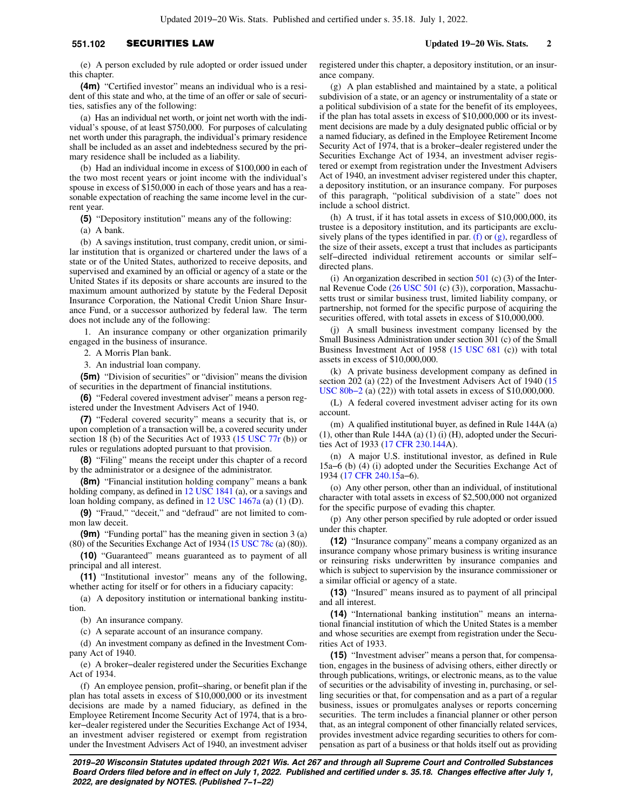## **551.102** SECURITIES LAW **Updated 19−20 Wis. Stats. 2**

(e) A person excluded by rule adopted or order issued under this chapter.

**(4m)** "Certified investor" means an individual who is a resident of this state and who, at the time of an offer or sale of securities, satisfies any of the following:

(a) Has an individual net worth, or joint net worth with the individual's spouse, of at least \$750,000. For purposes of calculating net worth under this paragraph, the individual's primary residence shall be included as an asset and indebtedness secured by the primary residence shall be included as a liability.

(b) Had an individual income in excess of \$100,000 in each of the two most recent years or joint income with the individual's spouse in excess of \$150,000 in each of those years and has a reasonable expectation of reaching the same income level in the current year.

**(5)** "Depository institution" means any of the following:

(a) A bank.

(b) A savings institution, trust company, credit union, or similar institution that is organized or chartered under the laws of a state or of the United States, authorized to receive deposits, and supervised and examined by an official or agency of a state or the United States if its deposits or share accounts are insured to the maximum amount authorized by statute by the Federal Deposit Insurance Corporation, the National Credit Union Share Insurance Fund, or a successor authorized by federal law. The term does not include any of the following:

1. An insurance company or other organization primarily engaged in the business of insurance.

2. A Morris Plan bank.

3. An industrial loan company.

**(5m)** "Division of securities" or "division" means the division of securities in the department of financial institutions.

**(6)** "Federal covered investment adviser" means a person registered under the Investment Advisers Act of 1940.

**(7)** "Federal covered security" means a security that is, or upon completion of a transaction will be, a covered security under section 18 (b) of the Securities Act of 1933 ([15 USC 77r](https://docs.legis.wisconsin.gov/document/usc/15%20USC%2077r) (b)) or rules or regulations adopted pursuant to that provision.

**(8)** "Filing" means the receipt under this chapter of a record by the administrator or a designee of the administrator.

**(8m)** "Financial institution holding company" means a bank holding company, as defined in [12 USC 1841](https://docs.legis.wisconsin.gov/document/usc/12%20USC%201841) (a), or a savings and loan holding company, as defined in [12 USC 1467a](https://docs.legis.wisconsin.gov/document/usc/12%20USC%201467a) (a) (1) (D).

**(9)** "Fraud," "deceit," and "defraud" are not limited to common law deceit.

**(9m)** "Funding portal" has the meaning given in section 3 (a) (80) of the Securities Exchange Act of 1934 [\(15 USC 78c](https://docs.legis.wisconsin.gov/document/usc/15%20USC%2078c) (a) (80)).

**(10)** "Guaranteed" means guaranteed as to payment of all principal and all interest.

**(11)** "Institutional investor" means any of the following, whether acting for itself or for others in a fiduciary capacity:

(a) A depository institution or international banking institution.

(b) An insurance company.

(c) A separate account of an insurance company.

(d) An investment company as defined in the Investment Company Act of 1940.

(e) A broker−dealer registered under the Securities Exchange Act of 1934.

(f) An employee pension, profit−sharing, or benefit plan if the plan has total assets in excess of \$10,000,000 or its investment decisions are made by a named fiduciary, as defined in the Employee Retirement Income Security Act of 1974, that is a broker−dealer registered under the Securities Exchange Act of 1934, an investment adviser registered or exempt from registration under the Investment Advisers Act of 1940, an investment adviser registered under this chapter, a depository institution, or an insurance company.

(g) A plan established and maintained by a state, a political subdivision of a state, or an agency or instrumentality of a state or a political subdivision of a state for the benefit of its employees, if the plan has total assets in excess of \$10,000,000 or its investment decisions are made by a duly designated public official or by a named fiduciary, as defined in the Employee Retirement Income Security Act of 1974, that is a broker−dealer registered under the Securities Exchange Act of 1934, an investment adviser registered or exempt from registration under the Investment Advisers Act of 1940, an investment adviser registered under this chapter, a depository institution, or an insurance company. For purposes of this paragraph, "political subdivision of a state" does not include a school district.

(h) A trust, if it has total assets in excess of \$10,000,000, its trustee is a depository institution, and its participants are exclusively plans of the types identified in par. [\(f\)](https://docs.legis.wisconsin.gov/document/statutes/551.102(11)(f)) or [\(g\),](https://docs.legis.wisconsin.gov/document/statutes/551.102(11)(g)) regardless of the size of their assets, except a trust that includes as participants self−directed individual retirement accounts or similar self− directed plans.

(i) An organization described in section  $501$  (c) (3) of the Internal Revenue Code ([26 USC 501](https://docs.legis.wisconsin.gov/document/usc/26%20USC%20501) (c) (3)), corporation, Massachusetts trust or similar business trust, limited liability company, or partnership, not formed for the specific purpose of acquiring the securities offered, with total assets in excess of \$10,000,000.

(j) A small business investment company licensed by the Small Business Administration under section 301 (c) of the Small Business Investment Act of 1958 [\(15 USC 681](https://docs.legis.wisconsin.gov/document/usc/15%20USC%20681) (c)) with total assets in excess of \$10,000,000.

(k) A private business development company as defined in section 202 (a) (22) of the Investment Advisers Act of 1940 [\(15](https://docs.legis.wisconsin.gov/document/usc/15%20USC%2080b-2) [USC 80b−2](https://docs.legis.wisconsin.gov/document/usc/15%20USC%2080b-2) (a) (22)) with total assets in excess of \$10,000,000.

(L) A federal covered investment adviser acting for its own account.

(m) A qualified institutional buyer, as defined in Rule 144A (a)  $(1)$ , other than Rule 144A  $(a)$   $(1)$   $(i)$   $(H)$ , adopted under the Securities Act of 1933 [\(17 CFR 230.144](https://docs.legis.wisconsin.gov/document/cfr/17%20CFR%20230.144)A).

(n) A major U.S. institutional investor, as defined in Rule 15a−6 (b) (4) (i) adopted under the Securities Exchange Act of 1934 [\(17 CFR 240.15a](https://docs.legis.wisconsin.gov/document/cfr/17%20CFR%20240.15)−6).

(o) Any other person, other than an individual, of institutional character with total assets in excess of \$2,500,000 not organized for the specific purpose of evading this chapter.

(p) Any other person specified by rule adopted or order issued under this chapter.

**(12)** "Insurance company" means a company organized as an insurance company whose primary business is writing insurance or reinsuring risks underwritten by insurance companies and which is subject to supervision by the insurance commissioner or a similar official or agency of a state.

**(13)** "Insured" means insured as to payment of all principal and all interest.

**(14)** "International banking institution" means an international financial institution of which the United States is a member and whose securities are exempt from registration under the Securities Act of 1933.

**(15)** "Investment adviser" means a person that, for compensation, engages in the business of advising others, either directly or through publications, writings, or electronic means, as to the value of securities or the advisability of investing in, purchasing, or selling securities or that, for compensation and as a part of a regular business, issues or promulgates analyses or reports concerning securities. The term includes a financial planner or other person that, as an integral component of other financially related services, provides investment advice regarding securities to others for compensation as part of a business or that holds itself out as providing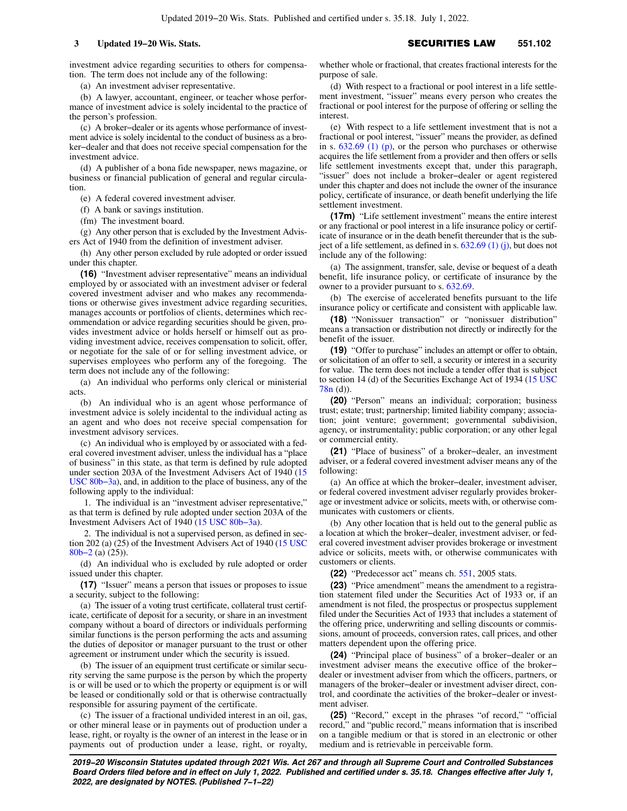investment advice regarding securities to others for compensation. The term does not include any of the following:

(a) An investment adviser representative.

(b) A lawyer, accountant, engineer, or teacher whose performance of investment advice is solely incidental to the practice of the person's profession.

(c) A broker−dealer or its agents whose performance of investment advice is solely incidental to the conduct of business as a broker−dealer and that does not receive special compensation for the investment advice.

(d) A publisher of a bona fide newspaper, news magazine, or business or financial publication of general and regular circulation.

(e) A federal covered investment adviser.

(f) A bank or savings institution.

(fm) The investment board.

(g) Any other person that is excluded by the Investment Advisers Act of 1940 from the definition of investment adviser.

(h) Any other person excluded by rule adopted or order issued under this chapter.

**(16)** "Investment adviser representative" means an individual employed by or associated with an investment adviser or federal covered investment adviser and who makes any recommendations or otherwise gives investment advice regarding securities, manages accounts or portfolios of clients, determines which recommendation or advice regarding securities should be given, provides investment advice or holds herself or himself out as providing investment advice, receives compensation to solicit, offer, or negotiate for the sale of or for selling investment advice, or supervises employees who perform any of the foregoing. The term does not include any of the following:

(a) An individual who performs only clerical or ministerial acts.

(b) An individual who is an agent whose performance of investment advice is solely incidental to the individual acting as an agent and who does not receive special compensation for investment advisory services.

(c) An individual who is employed by or associated with a federal covered investment adviser, unless the individual has a "place of business" in this state, as that term is defined by rule adopted under section 203A of the Investment Advisers Act of 1940 ([15](https://docs.legis.wisconsin.gov/document/usc/15%20USC%2080b-3a) [USC 80b−3a\)](https://docs.legis.wisconsin.gov/document/usc/15%20USC%2080b-3a), and, in addition to the place of business, any of the following apply to the individual:

1. The individual is an "investment adviser representative," as that term is defined by rule adopted under section 203A of the Investment Advisers Act of 1940 [\(15 USC 80b−3a\)](https://docs.legis.wisconsin.gov/document/usc/15%20USC%2080b-3a).

2. The individual is not a supervised person, as defined in section 202 (a) (25) of the Investment Advisers Act of 1940 ([15 USC](https://docs.legis.wisconsin.gov/document/usc/15%20USC%2080b-2) [80b−2](https://docs.legis.wisconsin.gov/document/usc/15%20USC%2080b-2) (a) (25)).

(d) An individual who is excluded by rule adopted or order issued under this chapter.

**(17)** "Issuer" means a person that issues or proposes to issue a security, subject to the following:

(a) The issuer of a voting trust certificate, collateral trust certificate, certificate of deposit for a security, or share in an investment company without a board of directors or individuals performing similar functions is the person performing the acts and assuming the duties of depositor or manager pursuant to the trust or other agreement or instrument under which the security is issued.

(b) The issuer of an equipment trust certificate or similar security serving the same purpose is the person by which the property is or will be used or to which the property or equipment is or will be leased or conditionally sold or that is otherwise contractually responsible for assuring payment of the certificate.

(c) The issuer of a fractional undivided interest in an oil, gas, or other mineral lease or in payments out of production under a lease, right, or royalty is the owner of an interest in the lease or in payments out of production under a lease, right, or royalty,

whether whole or fractional, that creates fractional interests for the purpose of sale.

(d) With respect to a fractional or pool interest in a life settlement investment, "issuer" means every person who creates the fractional or pool interest for the purpose of offering or selling the interest.

(e) With respect to a life settlement investment that is not a fractional or pool interest, "issuer" means the provider, as defined in s. [632.69 \(1\) \(p\)](https://docs.legis.wisconsin.gov/document/statutes/632.69(1)(p)), or the person who purchases or otherwise acquires the life settlement from a provider and then offers or sells life settlement investments except that, under this paragraph, "issuer" does not include a broker−dealer or agent registered under this chapter and does not include the owner of the insurance policy, certificate of insurance, or death benefit underlying the life settlement investment.

**(17m)** "Life settlement investment" means the entire interest or any fractional or pool interest in a life insurance policy or certificate of insurance or in the death benefit thereunder that is the subject of a life settlement, as defined in s.  $632.69$  (1) (j), but does not include any of the following:

(a) The assignment, transfer, sale, devise or bequest of a death benefit, life insurance policy, or certificate of insurance by the owner to a provider pursuant to s. [632.69](https://docs.legis.wisconsin.gov/document/statutes/632.69).

(b) The exercise of accelerated benefits pursuant to the life insurance policy or certificate and consistent with applicable law.

**(18)** "Nonissuer transaction" or "nonissuer distribution" means a transaction or distribution not directly or indirectly for the benefit of the issuer.

**(19)** "Offer to purchase" includes an attempt or offer to obtain, or solicitation of an offer to sell, a security or interest in a security for value. The term does not include a tender offer that is subject to section 14 (d) of the Securities Exchange Act of 1934 ([15 USC](https://docs.legis.wisconsin.gov/document/usc/15%20USC%2078n) [78n](https://docs.legis.wisconsin.gov/document/usc/15%20USC%2078n) (d)).

**(20)** "Person" means an individual; corporation; business trust; estate; trust; partnership; limited liability company; association; joint venture; government; governmental subdivision, agency, or instrumentality; public corporation; or any other legal or commercial entity.

**(21)** "Place of business" of a broker−dealer, an investment adviser, or a federal covered investment adviser means any of the following:

(a) An office at which the broker−dealer, investment adviser, or federal covered investment adviser regularly provides brokerage or investment advice or solicits, meets with, or otherwise communicates with customers or clients.

(b) Any other location that is held out to the general public as a location at which the broker−dealer, investment adviser, or federal covered investment adviser provides brokerage or investment advice or solicits, meets with, or otherwise communicates with customers or clients.

**(22)** "Predecessor act" means ch. [551,](https://docs.legis.wisconsin.gov/document/statutes/2005/ch.%20551) 2005 stats.

**(23)** "Price amendment" means the amendment to a registration statement filed under the Securities Act of 1933 or, if an amendment is not filed, the prospectus or prospectus supplement filed under the Securities Act of 1933 that includes a statement of the offering price, underwriting and selling discounts or commissions, amount of proceeds, conversion rates, call prices, and other matters dependent upon the offering price.

**(24)** "Principal place of business" of a broker−dealer or an investment adviser means the executive office of the broker− dealer or investment adviser from which the officers, partners, or managers of the broker−dealer or investment adviser direct, control, and coordinate the activities of the broker−dealer or investment adviser.

**(25)** "Record," except in the phrases "of record," "official record," and "public record," means information that is inscribed on a tangible medium or that is stored in an electronic or other medium and is retrievable in perceivable form.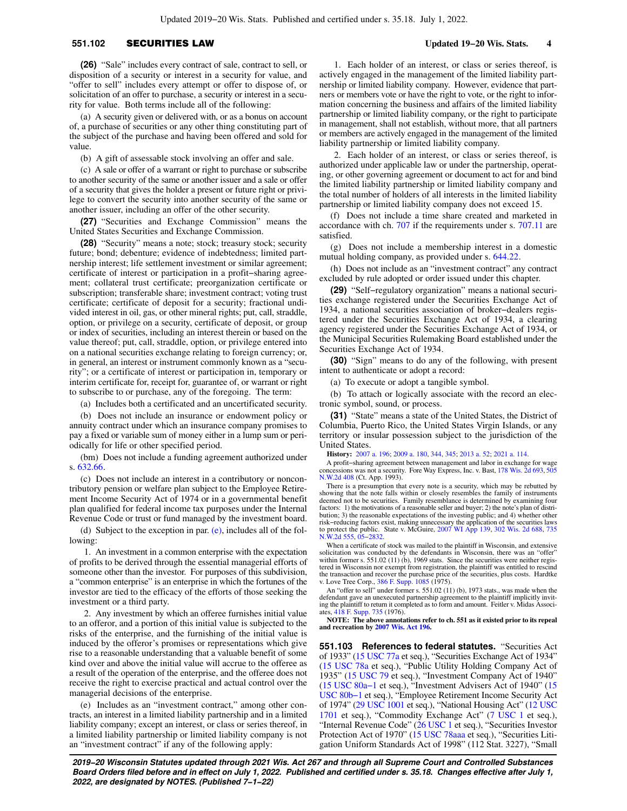## **551.102** SECURITIES LAW **Updated 19−20 Wis. Stats. 4**

**(26)** "Sale" includes every contract of sale, contract to sell, or disposition of a security or interest in a security for value, and "offer to sell" includes every attempt or offer to dispose of, or solicitation of an offer to purchase, a security or interest in a security for value. Both terms include all of the following:

(a) A security given or delivered with, or as a bonus on account of, a purchase of securities or any other thing constituting part of the subject of the purchase and having been offered and sold for value.

(b) A gift of assessable stock involving an offer and sale.

(c) A sale or offer of a warrant or right to purchase or subscribe to another security of the same or another issuer and a sale or offer of a security that gives the holder a present or future right or privilege to convert the security into another security of the same or another issuer, including an offer of the other security.

**(27)** "Securities and Exchange Commission" means the United States Securities and Exchange Commission.

**(28)** "Security" means a note; stock; treasury stock; security future; bond; debenture; evidence of indebtedness; limited partnership interest; life settlement investment or similar agreement; certificate of interest or participation in a profit−sharing agreement; collateral trust certificate; preorganization certificate or subscription; transferable share; investment contract; voting trust certificate; certificate of deposit for a security; fractional undivided interest in oil, gas, or other mineral rights; put, call, straddle, option, or privilege on a security, certificate of deposit, or group or index of securities, including an interest therein or based on the value thereof; put, call, straddle, option, or privilege entered into on a national securities exchange relating to foreign currency; or, in general, an interest or instrument commonly known as a "security"; or a certificate of interest or participation in, temporary or interim certificate for, receipt for, guarantee of, or warrant or right to subscribe to or purchase, any of the foregoing. The term:

(a) Includes both a certificated and an uncertificated security.

(b) Does not include an insurance or endowment policy or annuity contract under which an insurance company promises to pay a fixed or variable sum of money either in a lump sum or periodically for life or other specified period.

(bm) Does not include a funding agreement authorized under s. [632.66.](https://docs.legis.wisconsin.gov/document/statutes/632.66)

(c) Does not include an interest in a contributory or noncontributory pension or welfare plan subject to the Employee Retirement Income Security Act of 1974 or in a governmental benefit plan qualified for federal income tax purposes under the Internal Revenue Code or trust or fund managed by the investment board.

(d) Subject to the exception in par. [\(e\),](https://docs.legis.wisconsin.gov/document/statutes/551.102(28)(e)) includes all of the following:

1. An investment in a common enterprise with the expectation of profits to be derived through the essential managerial efforts of someone other than the investor. For purposes of this subdivision, a "common enterprise" is an enterprise in which the fortunes of the investor are tied to the efficacy of the efforts of those seeking the investment or a third party.

2. Any investment by which an offeree furnishes initial value to an offeror, and a portion of this initial value is subjected to the risks of the enterprise, and the furnishing of the initial value is induced by the offeror's promises or representations which give rise to a reasonable understanding that a valuable benefit of some kind over and above the initial value will accrue to the offeree as a result of the operation of the enterprise, and the offeree does not receive the right to exercise practical and actual control over the managerial decisions of the enterprise.

(e) Includes as an "investment contract," among other contracts, an interest in a limited liability partnership and in a limited liability company; except an interest, or class or series thereof, in a limited liability partnership or limited liability company is not an "investment contract" if any of the following apply:

1. Each holder of an interest, or class or series thereof, is actively engaged in the management of the limited liability partnership or limited liability company. However, evidence that partners or members vote or have the right to vote, or the right to information concerning the business and affairs of the limited liability partnership or limited liability company, or the right to participate in management, shall not establish, without more, that all partners or members are actively engaged in the management of the limited liability partnership or limited liability company.

2. Each holder of an interest, or class or series thereof, is authorized under applicable law or under the partnership, operating, or other governing agreement or document to act for and bind the limited liability partnership or limited liability company and the total number of holders of all interests in the limited liability partnership or limited liability company does not exceed 15.

(f) Does not include a time share created and marketed in accordance with ch. [707](https://docs.legis.wisconsin.gov/document/statutes/ch.%20707) if the requirements under s. [707.11](https://docs.legis.wisconsin.gov/document/statutes/707.11) are satisfied.

(g) Does not include a membership interest in a domestic mutual holding company, as provided under s. [644.22.](https://docs.legis.wisconsin.gov/document/statutes/644.22)

(h) Does not include as an "investment contract" any contract excluded by rule adopted or order issued under this chapter.

**(29)** "Self−regulatory organization" means a national securities exchange registered under the Securities Exchange Act of 1934, a national securities association of broker−dealers registered under the Securities Exchange Act of 1934, a clearing agency registered under the Securities Exchange Act of 1934, or the Municipal Securities Rulemaking Board established under the Securities Exchange Act of 1934.

**(30)** "Sign" means to do any of the following, with present intent to authenticate or adopt a record:

(a) To execute or adopt a tangible symbol.

(b) To attach or logically associate with the record an electronic symbol, sound, or process.

**(31)** "State" means a state of the United States, the District of Columbia, Puerto Rico, the United States Virgin Islands, or any territory or insular possession subject to the jurisdiction of the United States.

**History:** [2007 a. 196;](https://docs.legis.wisconsin.gov/document/acts/2007/196) [2009 a. 180](https://docs.legis.wisconsin.gov/document/acts/2009/180), [344](https://docs.legis.wisconsin.gov/document/acts/2009/344), [345](https://docs.legis.wisconsin.gov/document/acts/2009/345); [2013 a. 52;](https://docs.legis.wisconsin.gov/document/acts/2013/52) [2021 a. 114.](https://docs.legis.wisconsin.gov/document/acts/2021/114)

A profit−sharing agreement between management and labor in exchange for wage concessions was not a security. Fore Way Express, Inc. v. Bast, [178 Wis. 2d 693,](https://docs.legis.wisconsin.gov/document/courts/178%20Wis.%202d%20693) [505](https://docs.legis.wisconsin.gov/document/courts/505%20N.W.2d%20408) [N.W.2d 408](https://docs.legis.wisconsin.gov/document/courts/505%20N.W.2d%20408) (Ct. App. 1993).

There is a presumption that every note is a security, which may be rebutted by showing that the note falls within or closely resembles the family of instruments deemed not to be securities. Family resemblance is determined by examining four factors: 1) the motivations of a reasonable seller and buyer; 2) the note's plan of distribution; 3) the reasonable expectations of the investing public; and 4) whether other risk−reducing factors exist, making unnecessary the application of the securities laws to protect the public. State v. McGuire, [2007 WI App 139](https://docs.legis.wisconsin.gov/document/courts/2007%20WI%20App%20139), [302 Wis. 2d 688,](https://docs.legis.wisconsin.gov/document/courts/302%20Wis.%202d%20688) [735](https://docs.legis.wisconsin.gov/document/courts/735%20N.W.2d%20555) [N.W.2d 555,](https://docs.legis.wisconsin.gov/document/courts/735%20N.W.2d%20555) [05−2832.](https://docs.legis.wisconsin.gov/document/wicourtofappeals/05-2832)

When a certificate of stock was mailed to the plaintiff in Wisconsin, and extensive solicitation was conducted by the defendants in Wisconsin, there was an "offer" within former s. 551.02 (11) (b), 1969 stats. Since the securities were neither registered in Wisconsin nor exempt from registration, the plaintiff was entitled to rescind the transaction and recover the purchase price of the securities, plus costs. Hardtke v. Love Tree Corp., [386 F. Supp. 1085](https://docs.legis.wisconsin.gov/document/courts/386%20F.%20Supp.%201085) (1975).

An "offer to sell" under former s. 551.02 (11) (b), 1973 stats., was made when the defendant gave an unexecuted partnership agreement to the plaintiff implicitly inviting the plaintiff to return it completed as to form and amount. Feitler v. Midas Associ-

ates, [418 F. Supp. 735](https://docs.legis.wisconsin.gov/document/courts/418%20F.%20Supp.%20735) (1976). **NOTE: The above annotations refer to ch. 551 as it existed prior to its repeal and recreation by [2007 Wis. Act 196.](https://docs.legis.wisconsin.gov/document/acts/2007/196)**

**551.103 References to federal statutes.** "Securities Act of 1933" ([15 USC 77a](https://docs.legis.wisconsin.gov/document/usc/15%20USC%2077a) et seq.), "Securities Exchange Act of 1934" ([15 USC 78a](https://docs.legis.wisconsin.gov/document/usc/15%20USC%2078a) et seq.), "Public Utility Holding Company Act of 1935" [\(15 USC 79](https://docs.legis.wisconsin.gov/document/usc/15%20USC%2079) et seq.), "Investment Company Act of 1940" ([15 USC 80a−1](https://docs.legis.wisconsin.gov/document/usc/15%20USC%2080a-1) et seq.), "Investment Advisers Act of 1940" [\(15](https://docs.legis.wisconsin.gov/document/usc/15%20USC%2080b-1) [USC 80b−1](https://docs.legis.wisconsin.gov/document/usc/15%20USC%2080b-1) et seq.), "Employee Retirement Income Security Act of 1974" ([29 USC 1001](https://docs.legis.wisconsin.gov/document/usc/29%20USC%201001) et seq.), "National Housing Act" [\(12 USC](https://docs.legis.wisconsin.gov/document/usc/12%20USC%201701) [1701](https://docs.legis.wisconsin.gov/document/usc/12%20USC%201701) et seq.), "Commodity Exchange Act" ([7 USC 1](https://docs.legis.wisconsin.gov/document/usc/7%20USC%201) et seq.), "Internal Revenue Code" [\(26 USC 1](https://docs.legis.wisconsin.gov/document/usc/26%20USC%201) et seq.), "Securities Investor Protection Act of 1970" ([15 USC 78aaa](https://docs.legis.wisconsin.gov/document/usc/15%20USC%2078aaa) et seq.), "Securities Litigation Uniform Standards Act of 1998" (112 Stat. 3227), "Small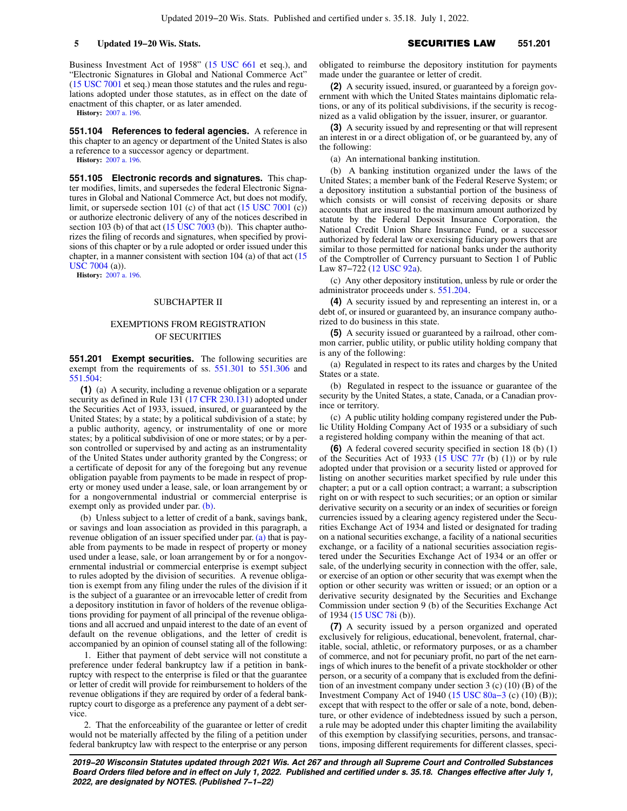Business Investment Act of 1958" [\(15 USC 661](https://docs.legis.wisconsin.gov/document/usc/15%20USC%20661) et seq.), and "Electronic Signatures in Global and National Commerce Act" ([15 USC 7001](https://docs.legis.wisconsin.gov/document/usc/15%20USC%207001) et seq.) mean those statutes and the rules and regulations adopted under those statutes, as in effect on the date of enactment of this chapter, or as later amended.

**History:** [2007 a. 196](https://docs.legis.wisconsin.gov/document/acts/2007/196).

**551.104 References to federal agencies.** A reference in this chapter to an agency or department of the United States is also a reference to a successor agency or department.

**History:** [2007 a. 196](https://docs.legis.wisconsin.gov/document/acts/2007/196).

**551.105 Electronic records and signatures.** This chapter modifies, limits, and supersedes the federal Electronic Signatures in Global and National Commerce Act, but does not modify, limit, or supersede section 101 (c) of that act  $(15 \text{ USC } 7001 \text{ (c)})$ or authorize electronic delivery of any of the notices described in section 103 (b) of that act [\(15 USC 7003](https://docs.legis.wisconsin.gov/document/usc/15%20USC%207003) (b)). This chapter authorizes the filing of records and signatures, when specified by provisions of this chapter or by a rule adopted or order issued under this chapter, in a manner consistent with section 104 (a) of that act [\(15](https://docs.legis.wisconsin.gov/document/usc/15%20USC%207004) [USC 7004](https://docs.legis.wisconsin.gov/document/usc/15%20USC%207004) (a)).

**History:** [2007 a. 196](https://docs.legis.wisconsin.gov/document/acts/2007/196).

### SUBCHAPTER II

## EXEMPTIONS FROM REGISTRATION OF SECURITIES

**551.201 Exempt securities.** The following securities are exempt from the requirements of ss. [551.301](https://docs.legis.wisconsin.gov/document/statutes/551.301) to [551.306](https://docs.legis.wisconsin.gov/document/statutes/551.306) and [551.504](https://docs.legis.wisconsin.gov/document/statutes/551.504):

**(1)** (a) A security, including a revenue obligation or a separate security as defined in Rule 131 [\(17 CFR 230.131\)](https://docs.legis.wisconsin.gov/document/cfr/17%20CFR%20230.131) adopted under the Securities Act of 1933, issued, insured, or guaranteed by the United States; by a state; by a political subdivision of a state; by a public authority, agency, or instrumentality of one or more states; by a political subdivision of one or more states; or by a person controlled or supervised by and acting as an instrumentality of the United States under authority granted by the Congress; or a certificate of deposit for any of the foregoing but any revenue obligation payable from payments to be made in respect of property or money used under a lease, sale, or loan arrangement by or for a nongovernmental industrial or commercial enterprise is exempt only as provided under par. [\(b\)](https://docs.legis.wisconsin.gov/document/statutes/551.201(1)(b)).

(b) Unless subject to a letter of credit of a bank, savings bank, or savings and loan association as provided in this paragraph, a revenue obligation of an issuer specified under par. [\(a\)](https://docs.legis.wisconsin.gov/document/statutes/551.201(1)(a)) that is payable from payments to be made in respect of property or money used under a lease, sale, or loan arrangement by or for a nongovernmental industrial or commercial enterprise is exempt subject to rules adopted by the division of securities. A revenue obligation is exempt from any filing under the rules of the division if it is the subject of a guarantee or an irrevocable letter of credit from a depository institution in favor of holders of the revenue obligations providing for payment of all principal of the revenue obligations and all accrued and unpaid interest to the date of an event of default on the revenue obligations, and the letter of credit is accompanied by an opinion of counsel stating all of the following:

1. Either that payment of debt service will not constitute a preference under federal bankruptcy law if a petition in bankruptcy with respect to the enterprise is filed or that the guarantee or letter of credit will provide for reimbursement to holders of the revenue obligations if they are required by order of a federal bankruptcy court to disgorge as a preference any payment of a debt service.

2. That the enforceability of the guarantee or letter of credit would not be materially affected by the filing of a petition under federal bankruptcy law with respect to the enterprise or any person obligated to reimburse the depository institution for payments made under the guarantee or letter of credit.

**(2)** A security issued, insured, or guaranteed by a foreign government with which the United States maintains diplomatic relations, or any of its political subdivisions, if the security is recognized as a valid obligation by the issuer, insurer, or guarantor.

**(3)** A security issued by and representing or that will represent an interest in or a direct obligation of, or be guaranteed by, any of the following:

(a) An international banking institution.

(b) A banking institution organized under the laws of the United States; a member bank of the Federal Reserve System; or a depository institution a substantial portion of the business of which consists or will consist of receiving deposits or share accounts that are insured to the maximum amount authorized by statute by the Federal Deposit Insurance Corporation, the National Credit Union Share Insurance Fund, or a successor authorized by federal law or exercising fiduciary powers that are similar to those permitted for national banks under the authority of the Comptroller of Currency pursuant to Section 1 of Public Law 87−722 ([12 USC 92a\)](https://docs.legis.wisconsin.gov/document/usc/12%20USC%2092a).

(c) Any other depository institution, unless by rule or order the administrator proceeds under s. [551.204](https://docs.legis.wisconsin.gov/document/statutes/551.204).

**(4)** A security issued by and representing an interest in, or a debt of, or insured or guaranteed by, an insurance company authorized to do business in this state.

**(5)** A security issued or guaranteed by a railroad, other common carrier, public utility, or public utility holding company that is any of the following:

(a) Regulated in respect to its rates and charges by the United States or a state.

(b) Regulated in respect to the issuance or guarantee of the security by the United States, a state, Canada, or a Canadian province or territory.

(c) A public utility holding company registered under the Public Utility Holding Company Act of 1935 or a subsidiary of such a registered holding company within the meaning of that act.

**(6)** A federal covered security specified in section 18 (b) (1) of the Securities Act of 1933 (15 USC  $77r$  (b) (1)) or by rule adopted under that provision or a security listed or approved for listing on another securities market specified by rule under this chapter; a put or a call option contract; a warrant; a subscription right on or with respect to such securities; or an option or similar derivative security on a security or an index of securities or foreign currencies issued by a clearing agency registered under the Securities Exchange Act of 1934 and listed or designated for trading on a national securities exchange, a facility of a national securities exchange, or a facility of a national securities association registered under the Securities Exchange Act of 1934 or an offer or sale, of the underlying security in connection with the offer, sale, or exercise of an option or other security that was exempt when the option or other security was written or issued; or an option or a derivative security designated by the Securities and Exchange Commission under section 9 (b) of the Securities Exchange Act of 1934 [\(15 USC 78i](https://docs.legis.wisconsin.gov/document/usc/15%20USC%2078i) (b)).

**(7)** A security issued by a person organized and operated exclusively for religious, educational, benevolent, fraternal, charitable, social, athletic, or reformatory purposes, or as a chamber of commerce, and not for pecuniary profit, no part of the net earnings of which inures to the benefit of a private stockholder or other person, or a security of a company that is excluded from the definition of an investment company under section 3 (c) (10) (B) of the Investment Company Act of 1940 [\(15 USC 80a−3](https://docs.legis.wisconsin.gov/document/usc/15%20USC%2080a-3) (c) (10) (B)); except that with respect to the offer or sale of a note, bond, debenture, or other evidence of indebtedness issued by such a person, a rule may be adopted under this chapter limiting the availability of this exemption by classifying securities, persons, and transactions, imposing different requirements for different classes, speci-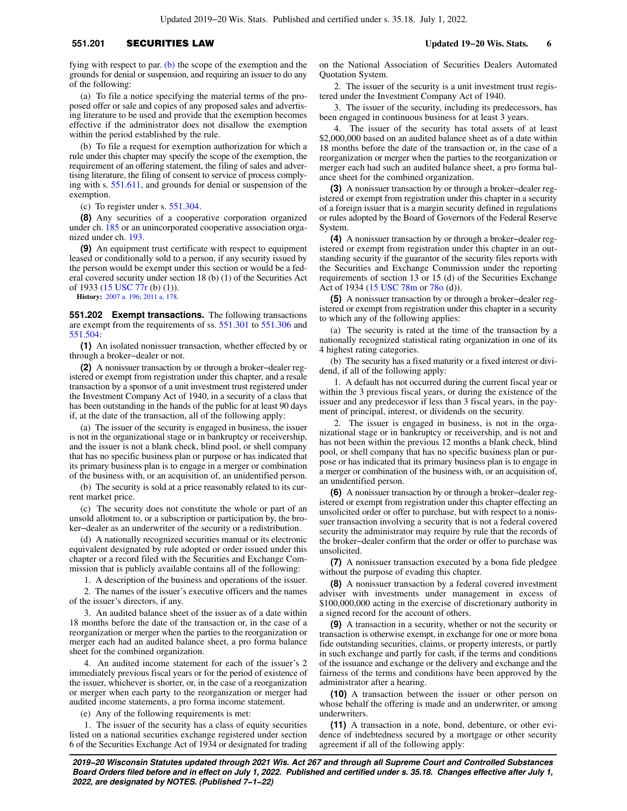### **551.201** SECURITIES LAW **Updated 19−20 Wis. Stats. 6**

fying with respect to par. [\(b\)](https://docs.legis.wisconsin.gov/document/statutes/551.201(7)(b)) the scope of the exemption and the grounds for denial or suspension, and requiring an issuer to do any of the following:

(a) To file a notice specifying the material terms of the proposed offer or sale and copies of any proposed sales and advertising literature to be used and provide that the exemption becomes effective if the administrator does not disallow the exemption within the period established by the rule.

(b) To file a request for exemption authorization for which a rule under this chapter may specify the scope of the exemption, the requirement of an offering statement, the filing of sales and advertising literature, the filing of consent to service of process complying with s. [551.611,](https://docs.legis.wisconsin.gov/document/statutes/551.611) and grounds for denial or suspension of the exemption.

(c) To register under s. [551.304.](https://docs.legis.wisconsin.gov/document/statutes/551.304)

**(8)** Any securities of a cooperative corporation organized under ch. [185](https://docs.legis.wisconsin.gov/document/statutes/ch.%20185) or an unincorporated cooperative association organized under ch. [193](https://docs.legis.wisconsin.gov/document/statutes/ch.%20193).

**(9)** An equipment trust certificate with respect to equipment leased or conditionally sold to a person, if any security issued by the person would be exempt under this section or would be a federal covered security under section 18 (b) (1) of the Securities Act of 1933 ([15 USC 77r](https://docs.legis.wisconsin.gov/document/usc/15%20USC%2077r) (b) (1)).

**History:** [2007 a. 196](https://docs.legis.wisconsin.gov/document/acts/2007/196); [2011 a. 178.](https://docs.legis.wisconsin.gov/document/acts/2011/178)

**551.202 Exempt transactions.** The following transactions are exempt from the requirements of ss. [551.301](https://docs.legis.wisconsin.gov/document/statutes/551.301) to [551.306](https://docs.legis.wisconsin.gov/document/statutes/551.306) and [551.504](https://docs.legis.wisconsin.gov/document/statutes/551.504):

**(1)** An isolated nonissuer transaction, whether effected by or through a broker−dealer or not.

**(2)** A nonissuer transaction by or through a broker−dealer registered or exempt from registration under this chapter, and a resale transaction by a sponsor of a unit investment trust registered under the Investment Company Act of 1940, in a security of a class that has been outstanding in the hands of the public for at least 90 days if, at the date of the transaction, all of the following apply:

(a) The issuer of the security is engaged in business, the issuer is not in the organizational stage or in bankruptcy or receivership, and the issuer is not a blank check, blind pool, or shell company that has no specific business plan or purpose or has indicated that its primary business plan is to engage in a merger or combination of the business with, or an acquisition of, an unidentified person.

(b) The security is sold at a price reasonably related to its current market price.

(c) The security does not constitute the whole or part of an unsold allotment to, or a subscription or participation by, the broker−dealer as an underwriter of the security or a redistribution.

(d) A nationally recognized securities manual or its electronic equivalent designated by rule adopted or order issued under this chapter or a record filed with the Securities and Exchange Commission that is publicly available contains all of the following:

1. A description of the business and operations of the issuer.

2. The names of the issuer's executive officers and the names of the issuer's directors, if any.

3. An audited balance sheet of the issuer as of a date within 18 months before the date of the transaction or, in the case of a reorganization or merger when the parties to the reorganization or merger each had an audited balance sheet, a pro forma balance sheet for the combined organization.

4. An audited income statement for each of the issuer's 2 immediately previous fiscal years or for the period of existence of the issuer, whichever is shorter, or, in the case of a reorganization or merger when each party to the reorganization or merger had audited income statements, a pro forma income statement.

(e) Any of the following requirements is met:

1. The issuer of the security has a class of equity securities listed on a national securities exchange registered under section 6 of the Securities Exchange Act of 1934 or designated for trading on the National Association of Securities Dealers Automated Quotation System.

2. The issuer of the security is a unit investment trust registered under the Investment Company Act of 1940.

3. The issuer of the security, including its predecessors, has been engaged in continuous business for at least 3 years.

The issuer of the security has total assets of at least \$2,000,000 based on an audited balance sheet as of a date within 18 months before the date of the transaction or, in the case of a reorganization or merger when the parties to the reorganization or merger each had such an audited balance sheet, a pro forma balance sheet for the combined organization.

**(3)** A nonissuer transaction by or through a broker−dealer registered or exempt from registration under this chapter in a security of a foreign issuer that is a margin security defined in regulations or rules adopted by the Board of Governors of the Federal Reserve System.

**(4)** A nonissuer transaction by or through a broker−dealer registered or exempt from registration under this chapter in an outstanding security if the guarantor of the security files reports with the Securities and Exchange Commission under the reporting requirements of section 13 or 15 (d) of the Securities Exchange Act of 1934 ([15 USC 78m](https://docs.legis.wisconsin.gov/document/usc/15%20USC%2078m) or [78o](https://docs.legis.wisconsin.gov/document/usc/15%20USC%2078o) (d)).

**(5)** A nonissuer transaction by or through a broker−dealer registered or exempt from registration under this chapter in a security to which any of the following applies:

(a) The security is rated at the time of the transaction by a nationally recognized statistical rating organization in one of its 4 highest rating categories.

(b) The security has a fixed maturity or a fixed interest or dividend, if all of the following apply:

1. A default has not occurred during the current fiscal year or within the 3 previous fiscal years, or during the existence of the issuer and any predecessor if less than 3 fiscal years, in the payment of principal, interest, or dividends on the security.

2. The issuer is engaged in business, is not in the organizational stage or in bankruptcy or receivership, and is not and has not been within the previous 12 months a blank check, blind pool, or shell company that has no specific business plan or purpose or has indicated that its primary business plan is to engage in a merger or combination of the business with, or an acquisition of, an unidentified person.

**(6)** A nonissuer transaction by or through a broker−dealer registered or exempt from registration under this chapter effecting an unsolicited order or offer to purchase, but with respect to a nonissuer transaction involving a security that is not a federal covered security the administrator may require by rule that the records of the broker−dealer confirm that the order or offer to purchase was unsolicited.

**(7)** A nonissuer transaction executed by a bona fide pledgee without the purpose of evading this chapter.

**(8)** A nonissuer transaction by a federal covered investment adviser with investments under management in excess of \$100,000,000 acting in the exercise of discretionary authority in a signed record for the account of others.

**(9)** A transaction in a security, whether or not the security or transaction is otherwise exempt, in exchange for one or more bona fide outstanding securities, claims, or property interests, or partly in such exchange and partly for cash, if the terms and conditions of the issuance and exchange or the delivery and exchange and the fairness of the terms and conditions have been approved by the administrator after a hearing.

**(10)** A transaction between the issuer or other person on whose behalf the offering is made and an underwriter, or among underwriters.

**(11)** A transaction in a note, bond, debenture, or other evidence of indebtedness secured by a mortgage or other security agreement if all of the following apply: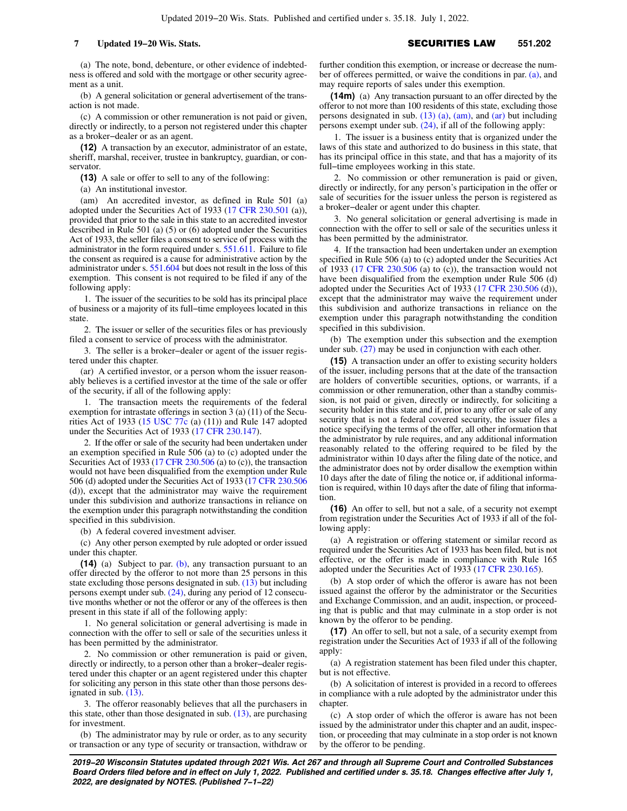(a) The note, bond, debenture, or other evidence of indebtedness is offered and sold with the mortgage or other security agreement as a unit.

(b) A general solicitation or general advertisement of the transaction is not made.

(c) A commission or other remuneration is not paid or given, directly or indirectly, to a person not registered under this chapter as a broker−dealer or as an agent.

**(12)** A transaction by an executor, administrator of an estate, sheriff, marshal, receiver, trustee in bankruptcy, guardian, or conservator.

**(13)** A sale or offer to sell to any of the following:

(a) An institutional investor.

(am) An accredited investor, as defined in Rule 501 (a) adopted under the Securities Act of 1933 [\(17 CFR 230.501](https://docs.legis.wisconsin.gov/document/cfr/17%20CFR%20230.501) (a)), provided that prior to the sale in this state to an accredited investor described in Rule 501 (a) (5) or (6) adopted under the Securities Act of 1933, the seller files a consent to service of process with the administrator in the form required under s. [551.611](https://docs.legis.wisconsin.gov/document/statutes/551.611). Failure to file the consent as required is a cause for administrative action by the administrator under s. [551.604](https://docs.legis.wisconsin.gov/document/statutes/551.604) but does not result in the loss of this exemption. This consent is not required to be filed if any of the following apply:

1. The issuer of the securities to be sold has its principal place of business or a majority of its full−time employees located in this state.

2. The issuer or seller of the securities files or has previously filed a consent to service of process with the administrator.

3. The seller is a broker−dealer or agent of the issuer registered under this chapter.

(ar) A certified investor, or a person whom the issuer reasonably believes is a certified investor at the time of the sale or offer of the security, if all of the following apply:

1. The transaction meets the requirements of the federal exemption for intrastate offerings in section 3 (a) (11) of the Securities Act of 1933 (15 USC  $77c$  (a) (11)) and Rule 147 adopted under the Securities Act of 1933 [\(17 CFR 230.147](https://docs.legis.wisconsin.gov/document/cfr/17%20CFR%20230.147)).

2. If the offer or sale of the security had been undertaken under an exemption specified in Rule 506 (a) to (c) adopted under the Securities Act of 1933 [\(17 CFR 230.506](https://docs.legis.wisconsin.gov/document/cfr/17%20CFR%20230.506) (a) to (c)), the transaction would not have been disqualified from the exemption under Rule 506 (d) adopted under the Securities Act of 1933 [\(17 CFR 230.506](https://docs.legis.wisconsin.gov/document/cfr/17%20CFR%20230.506) (d)), except that the administrator may waive the requirement under this subdivision and authorize transactions in reliance on the exemption under this paragraph notwithstanding the condition specified in this subdivision.

(b) A federal covered investment adviser.

(c) Any other person exempted by rule adopted or order issued under this chapter.

**(14)** (a) Subject to par. [\(b\),](https://docs.legis.wisconsin.gov/document/statutes/551.202(14)(b)) any transaction pursuant to an offer directed by the offeror to not more than 25 persons in this state excluding those persons designated in sub. [\(13\)](https://docs.legis.wisconsin.gov/document/statutes/551.202(13)) but including persons exempt under sub. [\(24\)](https://docs.legis.wisconsin.gov/document/statutes/551.202(24)), during any period of 12 consecutive months whether or not the offeror or any of the offerees is then present in this state if all of the following apply:

1. No general solicitation or general advertising is made in connection with the offer to sell or sale of the securities unless it has been permitted by the administrator.

2. No commission or other remuneration is paid or given, directly or indirectly, to a person other than a broker−dealer registered under this chapter or an agent registered under this chapter for soliciting any person in this state other than those persons designated in sub. [\(13\)](https://docs.legis.wisconsin.gov/document/statutes/551.202(13)).

3. The offeror reasonably believes that all the purchasers in this state, other than those designated in sub.  $(13)$ , are purchasing for investment.

(b) The administrator may by rule or order, as to any security or transaction or any type of security or transaction, withdraw or further condition this exemption, or increase or decrease the number of offerees permitted, or waive the conditions in par. [\(a\),](https://docs.legis.wisconsin.gov/document/statutes/551.202(14)(a)) and may require reports of sales under this exemption.

**(14m)** (a) Any transaction pursuant to an offer directed by the offeror to not more than 100 residents of this state, excluding those persons designated in sub. [\(13\) \(a\)](https://docs.legis.wisconsin.gov/document/statutes/551.202(13)(a)), [\(am\)](https://docs.legis.wisconsin.gov/document/statutes/551.202(13)(am)), and [\(ar\)](https://docs.legis.wisconsin.gov/document/statutes/551.202(13)(ar)) but including persons exempt under sub.  $(24)$ , if all of the following apply:

1. The issuer is a business entity that is organized under the laws of this state and authorized to do business in this state, that has its principal office in this state, and that has a majority of its full–time employees working in this state.

2. No commission or other remuneration is paid or given, directly or indirectly, for any person's participation in the offer or sale of securities for the issuer unless the person is registered as a broker−dealer or agent under this chapter.

3. No general solicitation or general advertising is made in connection with the offer to sell or sale of the securities unless it has been permitted by the administrator.

4. If the transaction had been undertaken under an exemption specified in Rule 506 (a) to (c) adopted under the Securities Act of 1933 [\(17 CFR 230.506](https://docs.legis.wisconsin.gov/document/cfr/17%20CFR%20230.506) (a) to (c)), the transaction would not have been disqualified from the exemption under Rule 506 (d) adopted under the Securities Act of 1933 ([17 CFR 230.506](https://docs.legis.wisconsin.gov/document/cfr/17%20CFR%20230.506) (d)), except that the administrator may waive the requirement under this subdivision and authorize transactions in reliance on the exemption under this paragraph notwithstanding the condition specified in this subdivision.

(b) The exemption under this subsection and the exemption under sub. [\(27\)](https://docs.legis.wisconsin.gov/document/statutes/551.202(27)) may be used in conjunction with each other.

**(15)** A transaction under an offer to existing security holders of the issuer, including persons that at the date of the transaction are holders of convertible securities, options, or warrants, if a commission or other remuneration, other than a standby commission, is not paid or given, directly or indirectly, for soliciting a security holder in this state and if, prior to any offer or sale of any security that is not a federal covered security, the issuer files a notice specifying the terms of the offer, all other information that the administrator by rule requires, and any additional information reasonably related to the offering required to be filed by the administrator within 10 days after the filing date of the notice, and the administrator does not by order disallow the exemption within 10 days after the date of filing the notice or, if additional information is required, within 10 days after the date of filing that information.

**(16)** An offer to sell, but not a sale, of a security not exempt from registration under the Securities Act of 1933 if all of the following apply:

(a) A registration or offering statement or similar record as required under the Securities Act of 1933 has been filed, but is not effective, or the offer is made in compliance with Rule 165 adopted under the Securities Act of 1933 ([17 CFR 230.165\)](https://docs.legis.wisconsin.gov/document/cfr/17%20CFR%20230.165).

(b) A stop order of which the offeror is aware has not been issued against the offeror by the administrator or the Securities and Exchange Commission, and an audit, inspection, or proceeding that is public and that may culminate in a stop order is not known by the offeror to be pending.

**(17)** An offer to sell, but not a sale, of a security exempt from registration under the Securities Act of 1933 if all of the following apply:

(a) A registration statement has been filed under this chapter, but is not effective.

(b) A solicitation of interest is provided in a record to offerees in compliance with a rule adopted by the administrator under this chapter.

(c) A stop order of which the offeror is aware has not been issued by the administrator under this chapter and an audit, inspection, or proceeding that may culminate in a stop order is not known by the offeror to be pending.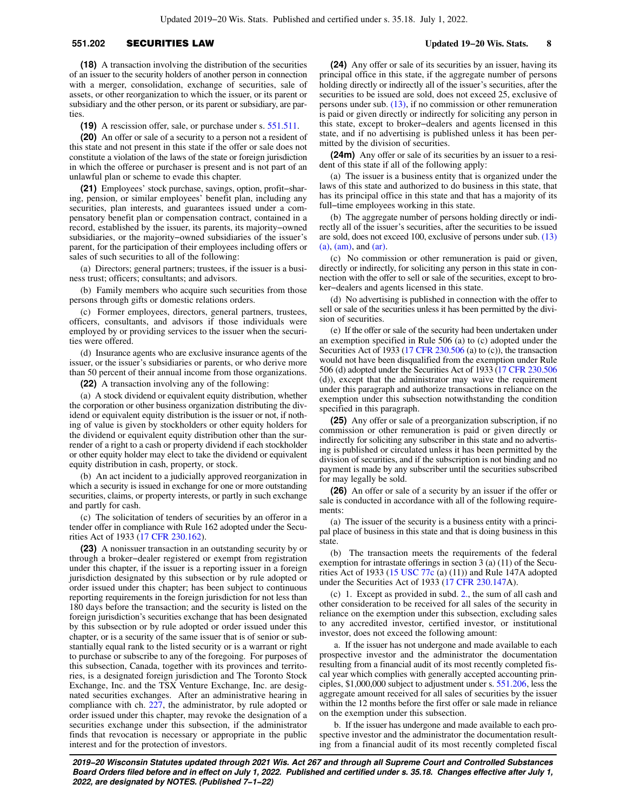## **551.202** SECURITIES LAW **Updated 19−20 Wis. Stats. 8**

**(18)** A transaction involving the distribution of the securities of an issuer to the security holders of another person in connection with a merger, consolidation, exchange of securities, sale of assets, or other reorganization to which the issuer, or its parent or subsidiary and the other person, or its parent or subsidiary, are parties.

**(19)** A rescission offer, sale, or purchase under s. [551.511](https://docs.legis.wisconsin.gov/document/statutes/551.511).

**(20)** An offer or sale of a security to a person not a resident of this state and not present in this state if the offer or sale does not constitute a violation of the laws of the state or foreign jurisdiction in which the offeree or purchaser is present and is not part of an unlawful plan or scheme to evade this chapter.

**(21)** Employees' stock purchase, savings, option, profit−sharing, pension, or similar employees' benefit plan, including any securities, plan interests, and guarantees issued under a compensatory benefit plan or compensation contract, contained in a record, established by the issuer, its parents, its majority−owned subsidiaries, or the majority−owned subsidiaries of the issuer's parent, for the participation of their employees including offers or sales of such securities to all of the following:

(a) Directors; general partners; trustees, if the issuer is a business trust; officers; consultants; and advisors.

(b) Family members who acquire such securities from those persons through gifts or domestic relations orders.

(c) Former employees, directors, general partners, trustees, officers, consultants, and advisors if those individuals were employed by or providing services to the issuer when the securities were offered.

(d) Insurance agents who are exclusive insurance agents of the issuer, or the issuer's subsidiaries or parents, or who derive more than 50 percent of their annual income from those organizations.

**(22)** A transaction involving any of the following:

(a) A stock dividend or equivalent equity distribution, whether the corporation or other business organization distributing the dividend or equivalent equity distribution is the issuer or not, if nothing of value is given by stockholders or other equity holders for the dividend or equivalent equity distribution other than the surrender of a right to a cash or property dividend if each stockholder or other equity holder may elect to take the dividend or equivalent equity distribution in cash, property, or stock.

(b) An act incident to a judicially approved reorganization in which a security is issued in exchange for one or more outstanding securities, claims, or property interests, or partly in such exchange and partly for cash.

(c) The solicitation of tenders of securities by an offeror in a tender offer in compliance with Rule 162 adopted under the Securities Act of 1933 ([17 CFR 230.162\)](https://docs.legis.wisconsin.gov/document/cfr/17%20CFR%20230.162).

**(23)** A nonissuer transaction in an outstanding security by or through a broker−dealer registered or exempt from registration under this chapter, if the issuer is a reporting issuer in a foreign jurisdiction designated by this subsection or by rule adopted or order issued under this chapter; has been subject to continuous reporting requirements in the foreign jurisdiction for not less than 180 days before the transaction; and the security is listed on the foreign jurisdiction's securities exchange that has been designated by this subsection or by rule adopted or order issued under this chapter, or is a security of the same issuer that is of senior or substantially equal rank to the listed security or is a warrant or right to purchase or subscribe to any of the foregoing. For purposes of this subsection, Canada, together with its provinces and territories, is a designated foreign jurisdiction and The Toronto Stock Exchange, Inc. and the TSX Venture Exchange, Inc. are designated securities exchanges. After an administrative hearing in compliance with ch. [227](https://docs.legis.wisconsin.gov/document/statutes/ch.%20227), the administrator, by rule adopted or order issued under this chapter, may revoke the designation of a securities exchange under this subsection, if the administrator finds that revocation is necessary or appropriate in the public interest and for the protection of investors.

**(24)** Any offer or sale of its securities by an issuer, having its principal office in this state, if the aggregate number of persons holding directly or indirectly all of the issuer's securities, after the securities to be issued are sold, does not exceed 25, exclusive of persons under sub. [\(13\),](https://docs.legis.wisconsin.gov/document/statutes/551.202(13)) if no commission or other remuneration is paid or given directly or indirectly for soliciting any person in this state, except to broker−dealers and agents licensed in this state, and if no advertising is published unless it has been permitted by the division of securities.

**(24m)** Any offer or sale of its securities by an issuer to a resident of this state if all of the following apply:

(a) The issuer is a business entity that is organized under the laws of this state and authorized to do business in this state, that has its principal office in this state and that has a majority of its full–time employees working in this state.

(b) The aggregate number of persons holding directly or indirectly all of the issuer's securities, after the securities to be issued are sold, does not exceed 100, exclusive of persons under sub. [\(13\)](https://docs.legis.wisconsin.gov/document/statutes/551.202(13)(a)) [\(a\)](https://docs.legis.wisconsin.gov/document/statutes/551.202(13)(a)), [\(am\),](https://docs.legis.wisconsin.gov/document/statutes/551.202(13)(am)) and [\(ar\).](https://docs.legis.wisconsin.gov/document/statutes/551.202(13)(ar))

(c) No commission or other remuneration is paid or given, directly or indirectly, for soliciting any person in this state in connection with the offer to sell or sale of the securities, except to broker−dealers and agents licensed in this state.

(d) No advertising is published in connection with the offer to sell or sale of the securities unless it has been permitted by the division of securities.

(e) If the offer or sale of the security had been undertaken under an exemption specified in Rule 506 (a) to (c) adopted under the Securities Act of 1933 (17 CFR  $230.506$  (a) to (c)), the transaction would not have been disqualified from the exemption under Rule 506 (d) adopted under the Securities Act of 1933 [\(17 CFR 230.506](https://docs.legis.wisconsin.gov/document/cfr/17%20CFR%20230.506) (d)), except that the administrator may waive the requirement under this paragraph and authorize transactions in reliance on the exemption under this subsection notwithstanding the condition specified in this paragraph.

**(25)** Any offer or sale of a preorganization subscription, if no commission or other remuneration is paid or given directly or indirectly for soliciting any subscriber in this state and no advertising is published or circulated unless it has been permitted by the division of securities, and if the subscription is not binding and no payment is made by any subscriber until the securities subscribed for may legally be sold.

**(26)** An offer or sale of a security by an issuer if the offer or sale is conducted in accordance with all of the following requirements:

(a) The issuer of the security is a business entity with a principal place of business in this state and that is doing business in this state.

(b) The transaction meets the requirements of the federal exemption for intrastate offerings in section 3 (a) (11) of the Securities Act of 1933 [\(15 USC 77c](https://docs.legis.wisconsin.gov/document/usc/15%20USC%2077c) (a) (11)) and Rule 147A adopted under the Securities Act of 1933 ([17 CFR 230.147A](https://docs.legis.wisconsin.gov/document/cfr/17%20CFR%20230.147)).

(c) 1. Except as provided in subd. [2.](https://docs.legis.wisconsin.gov/document/statutes/551.202(26)(c)2.), the sum of all cash and other consideration to be received for all sales of the security in reliance on the exemption under this subsection, excluding sales to any accredited investor, certified investor, or institutional investor, does not exceed the following amount:

a. If the issuer has not undergone and made available to each prospective investor and the administrator the documentation resulting from a financial audit of its most recently completed fiscal year which complies with generally accepted accounting principles, \$1,000,000 subject to adjustment under s. [551.206](https://docs.legis.wisconsin.gov/document/statutes/551.206), less the aggregate amount received for all sales of securities by the issuer within the 12 months before the first offer or sale made in reliance on the exemption under this subsection.

b. If the issuer has undergone and made available to each prospective investor and the administrator the documentation resulting from a financial audit of its most recently completed fiscal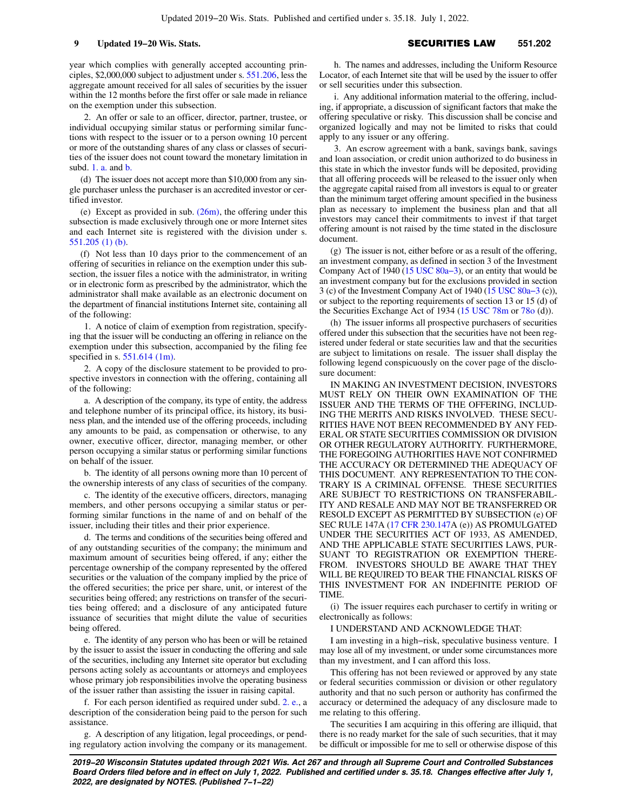year which complies with generally accepted accounting principles, \$2,000,000 subject to adjustment under s. [551.206](https://docs.legis.wisconsin.gov/document/statutes/551.206), less the aggregate amount received for all sales of securities by the issuer within the 12 months before the first offer or sale made in reliance on the exemption under this subsection.

2. An offer or sale to an officer, director, partner, trustee, or individual occupying similar status or performing similar functions with respect to the issuer or to a person owning 10 percent or more of the outstanding shares of any class or classes of securities of the issuer does not count toward the monetary limitation in subd. [1. a.](https://docs.legis.wisconsin.gov/document/statutes/551.202(26)(c)1.a.) and [b.](https://docs.legis.wisconsin.gov/document/statutes/551.202(26)(c)1.b.)

(d) The issuer does not accept more than \$10,000 from any single purchaser unless the purchaser is an accredited investor or certified investor.

(e) Except as provided in sub.  $(26m)$ , the offering under this subsection is made exclusively through one or more Internet sites and each Internet site is registered with the division under s. [551.205 \(1\) \(b\).](https://docs.legis.wisconsin.gov/document/statutes/551.205(1)(b))

(f) Not less than 10 days prior to the commencement of an offering of securities in reliance on the exemption under this subsection, the issuer files a notice with the administrator, in writing or in electronic form as prescribed by the administrator, which the administrator shall make available as an electronic document on the department of financial institutions Internet site, containing all of the following:

1. A notice of claim of exemption from registration, specifying that the issuer will be conducting an offering in reliance on the exemption under this subsection, accompanied by the filing fee specified in s. [551.614 \(1m\)](https://docs.legis.wisconsin.gov/document/statutes/551.614(1m)).

2. A copy of the disclosure statement to be provided to prospective investors in connection with the offering, containing all of the following:

a. A description of the company, its type of entity, the address and telephone number of its principal office, its history, its business plan, and the intended use of the offering proceeds, including any amounts to be paid, as compensation or otherwise, to any owner, executive officer, director, managing member, or other person occupying a similar status or performing similar functions on behalf of the issuer.

b. The identity of all persons owning more than 10 percent of the ownership interests of any class of securities of the company.

c. The identity of the executive officers, directors, managing members, and other persons occupying a similar status or performing similar functions in the name of and on behalf of the issuer, including their titles and their prior experience.

d. The terms and conditions of the securities being offered and of any outstanding securities of the company; the minimum and maximum amount of securities being offered, if any; either the percentage ownership of the company represented by the offered securities or the valuation of the company implied by the price of the offered securities; the price per share, unit, or interest of the securities being offered; any restrictions on transfer of the securities being offered; and a disclosure of any anticipated future issuance of securities that might dilute the value of securities being offered.

e. The identity of any person who has been or will be retained by the issuer to assist the issuer in conducting the offering and sale of the securities, including any Internet site operator but excluding persons acting solely as accountants or attorneys and employees whose primary job responsibilities involve the operating business of the issuer rather than assisting the issuer in raising capital.

f. For each person identified as required under subd. [2. e.](https://docs.legis.wisconsin.gov/document/statutes/551.202(26)(f)2.e.), a description of the consideration being paid to the person for such assistance.

g. A description of any litigation, legal proceedings, or pending regulatory action involving the company or its management.

h. The names and addresses, including the Uniform Resource Locator, of each Internet site that will be used by the issuer to offer or sell securities under this subsection.

i. Any additional information material to the offering, including, if appropriate, a discussion of significant factors that make the offering speculative or risky. This discussion shall be concise and organized logically and may not be limited to risks that could apply to any issuer or any offering.

3. An escrow agreement with a bank, savings bank, savings and loan association, or credit union authorized to do business in this state in which the investor funds will be deposited, providing that all offering proceeds will be released to the issuer only when the aggregate capital raised from all investors is equal to or greater than the minimum target offering amount specified in the business plan as necessary to implement the business plan and that all investors may cancel their commitments to invest if that target offering amount is not raised by the time stated in the disclosure document.

(g) The issuer is not, either before or as a result of the offering, an investment company, as defined in section 3 of the Investment Company Act of 1940 [\(15 USC 80a−3\)](https://docs.legis.wisconsin.gov/document/usc/15%20USC%2080a-3), or an entity that would be an investment company but for the exclusions provided in section 3 (c) of the Investment Company Act of 1940 ([15 USC 80a−3](https://docs.legis.wisconsin.gov/document/usc/15%20USC%2080a-3) (c)), or subject to the reporting requirements of section 13 or 15 (d) of the Securities Exchange Act of 1934 ([15 USC 78m](https://docs.legis.wisconsin.gov/document/usc/15%20USC%2078m) or [78o](https://docs.legis.wisconsin.gov/document/usc/15%20USC%2078o) (d)).

(h) The issuer informs all prospective purchasers of securities offered under this subsection that the securities have not been registered under federal or state securities law and that the securities are subject to limitations on resale. The issuer shall display the following legend conspicuously on the cover page of the disclosure document:

IN MAKING AN INVESTMENT DECISION, INVESTORS MUST RELY ON THEIR OWN EXAMINATION OF THE ISSUER AND THE TERMS OF THE OFFERING, INCLUD-ING THE MERITS AND RISKS INVOLVED. THESE SECU-RITIES HAVE NOT BEEN RECOMMENDED BY ANY FED-ERAL OR STATE SECURITIES COMMISSION OR DIVISION OR OTHER REGULATORY AUTHORITY. FURTHERMORE, THE FOREGOING AUTHORITIES HAVE NOT CONFIRMED THE ACCURACY OR DETERMINED THE ADEQUACY OF THIS DOCUMENT. ANY REPRESENTATION TO THE CON-TRARY IS A CRIMINAL OFFENSE. THESE SECURITIES ARE SUBJECT TO RESTRICTIONS ON TRANSFERABIL-ITY AND RESALE AND MAY NOT BE TRANSFERRED OR RESOLD EXCEPT AS PERMITTED BY SUBSECTION (e) OF SEC RULE 147A ([17 CFR 230.147](https://docs.legis.wisconsin.gov/document/cfr/17%20CFR%20230.147)A (e)) AS PROMULGATED UNDER THE SECURITIES ACT OF 1933, AS AMENDED, AND THE APPLICABLE STATE SECURITIES LAWS, PUR-SUANT TO REGISTRATION OR EXEMPTION THERE-FROM. INVESTORS SHOULD BE AWARE THAT THEY WILL BE REQUIRED TO BEAR THE FINANCIAL RISKS OF THIS INVESTMENT FOR AN INDEFINITE PERIOD OF TIME.

(i) The issuer requires each purchaser to certify in writing or electronically as follows:

I UNDERSTAND AND ACKNOWLEDGE THAT:

I am investing in a high−risk, speculative business venture. I may lose all of my investment, or under some circumstances more than my investment, and I can afford this loss.

This offering has not been reviewed or approved by any state or federal securities commission or division or other regulatory authority and that no such person or authority has confirmed the accuracy or determined the adequacy of any disclosure made to me relating to this offering.

The securities I am acquiring in this offering are illiquid, that there is no ready market for the sale of such securities, that it may be difficult or impossible for me to sell or otherwise dispose of this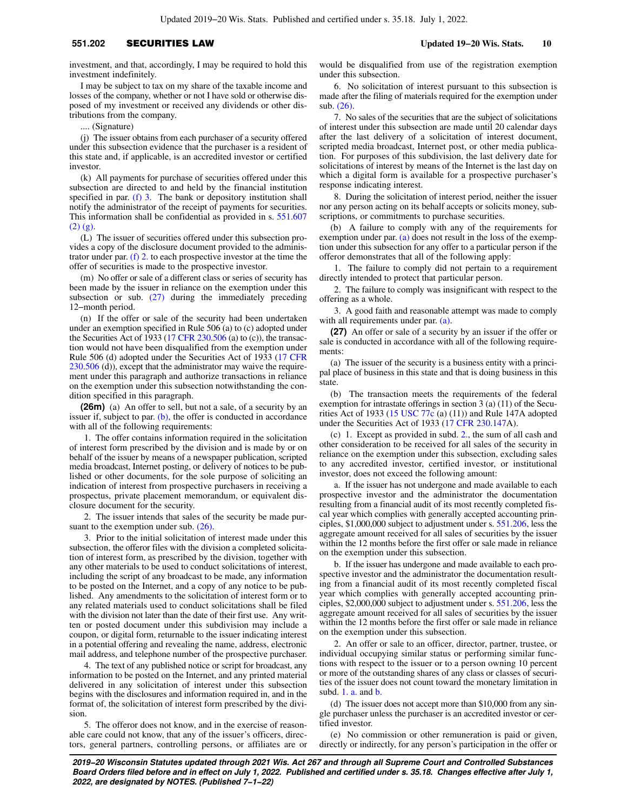## **551.202** SECURITIES LAW **Updated 19−20 Wis. Stats. 10**

investment, and that, accordingly, I may be required to hold this investment indefinitely.

I may be subject to tax on my share of the taxable income and losses of the company, whether or not I have sold or otherwise disposed of my investment or received any dividends or other distributions from the company.

.... (Signature)

(j) The issuer obtains from each purchaser of a security offered under this subsection evidence that the purchaser is a resident of this state and, if applicable, is an accredited investor or certified investor.

(k) All payments for purchase of securities offered under this subsection are directed to and held by the financial institution specified in par. [\(f\) 3.](https://docs.legis.wisconsin.gov/document/statutes/551.202(26)(f)3.) The bank or depository institution shall notify the administrator of the receipt of payments for securities. This information shall be confidential as provided in s. [551.607](https://docs.legis.wisconsin.gov/document/statutes/551.607(2)(g))  $(2)$   $(g)$ .

(L) The issuer of securities offered under this subsection provides a copy of the disclosure document provided to the administrator under par. [\(f\) 2.](https://docs.legis.wisconsin.gov/document/statutes/551.202(26)(f)2.) to each prospective investor at the time the offer of securities is made to the prospective investor.

(m) No offer or sale of a different class or series of security has been made by the issuer in reliance on the exemption under this subsection or sub.  $(27)$  during the immediately preceding 12−month period.

(n) If the offer or sale of the security had been undertaken under an exemption specified in Rule 506 (a) to (c) adopted under the Securities Act of 1933 [\(17 CFR 230.506](https://docs.legis.wisconsin.gov/document/cfr/17%20CFR%20230.506) (a) to (c)), the transaction would not have been disqualified from the exemption under Rule 506 (d) adopted under the Securities Act of 1933 ([17 CFR](https://docs.legis.wisconsin.gov/document/cfr/17%20CFR%20230.506) [230.506](https://docs.legis.wisconsin.gov/document/cfr/17%20CFR%20230.506) (d)), except that the administrator may waive the requirement under this paragraph and authorize transactions in reliance on the exemption under this subsection notwithstanding the condition specified in this paragraph.

**(26m)** (a) An offer to sell, but not a sale, of a security by an issuer if, subject to par.  $(b)$ , the offer is conducted in accordance with all of the following requirements:

1. The offer contains information required in the solicitation of interest form prescribed by the division and is made by or on behalf of the issuer by means of a newspaper publication, scripted media broadcast, Internet posting, or delivery of notices to be published or other documents, for the sole purpose of soliciting an indication of interest from prospective purchasers in receiving a prospectus, private placement memorandum, or equivalent disclosure document for the security.

2. The issuer intends that sales of the security be made pursuant to the exemption under sub.  $(26)$ .

3. Prior to the initial solicitation of interest made under this subsection, the offeror files with the division a completed solicitation of interest form, as prescribed by the division, together with any other materials to be used to conduct solicitations of interest, including the script of any broadcast to be made, any information to be posted on the Internet, and a copy of any notice to be published. Any amendments to the solicitation of interest form or to any related materials used to conduct solicitations shall be filed with the division not later than the date of their first use. Any written or posted document under this subdivision may include a coupon, or digital form, returnable to the issuer indicating interest in a potential offering and revealing the name, address, electronic mail address, and telephone number of the prospective purchaser.

4. The text of any published notice or script for broadcast, any information to be posted on the Internet, and any printed material delivered in any solicitation of interest under this subsection begins with the disclosures and information required in, and in the format of, the solicitation of interest form prescribed by the division.

5. The offeror does not know, and in the exercise of reasonable care could not know, that any of the issuer's officers, directors, general partners, controlling persons, or affiliates are or would be disqualified from use of the registration exemption under this subsection.

6. No solicitation of interest pursuant to this subsection is made after the filing of materials required for the exemption under sub. [\(26\)](https://docs.legis.wisconsin.gov/document/statutes/551.202(26)).

7. No sales of the securities that are the subject of solicitations of interest under this subsection are made until 20 calendar days after the last delivery of a solicitation of interest document, scripted media broadcast, Internet post, or other media publication. For purposes of this subdivision, the last delivery date for solicitations of interest by means of the Internet is the last day on which a digital form is available for a prospective purchaser's response indicating interest.

8. During the solicitation of interest period, neither the issuer nor any person acting on its behalf accepts or solicits money, subscriptions, or commitments to purchase securities.

(b) A failure to comply with any of the requirements for exemption under par. [\(a\)](https://docs.legis.wisconsin.gov/document/statutes/551.202(26m)(a)) does not result in the loss of the exemption under this subsection for any offer to a particular person if the offeror demonstrates that all of the following apply:

1. The failure to comply did not pertain to a requirement directly intended to protect that particular person.

2. The failure to comply was insignificant with respect to the offering as a whole.

3. A good faith and reasonable attempt was made to comply with all requirements under par. [\(a\).](https://docs.legis.wisconsin.gov/document/statutes/551.202(26m)(a))

**(27)** An offer or sale of a security by an issuer if the offer or sale is conducted in accordance with all of the following requirements:

(a) The issuer of the security is a business entity with a principal place of business in this state and that is doing business in this state.

(b) The transaction meets the requirements of the federal exemption for intrastate offerings in section 3 (a) (11) of the Securities Act of 1933 [\(15 USC 77c](https://docs.legis.wisconsin.gov/document/usc/15%20USC%2077c) (a) (11)) and Rule 147A adopted under the Securities Act of 1933 ([17 CFR 230.147A](https://docs.legis.wisconsin.gov/document/cfr/17%20CFR%20230.147)).

(c) 1. Except as provided in subd. [2.](https://docs.legis.wisconsin.gov/document/statutes/551.202(27)(c)2.), the sum of all cash and other consideration to be received for all sales of the security in reliance on the exemption under this subsection, excluding sales to any accredited investor, certified investor, or institutional investor, does not exceed the following amount:

a. If the issuer has not undergone and made available to each prospective investor and the administrator the documentation resulting from a financial audit of its most recently completed fiscal year which complies with generally accepted accounting principles, \$1,000,000 subject to adjustment under s. [551.206](https://docs.legis.wisconsin.gov/document/statutes/551.206), less the aggregate amount received for all sales of securities by the issuer within the 12 months before the first offer or sale made in reliance on the exemption under this subsection.

b. If the issuer has undergone and made available to each prospective investor and the administrator the documentation resulting from a financial audit of its most recently completed fiscal year which complies with generally accepted accounting principles, \$2,000,000 subject to adjustment under s. [551.206](https://docs.legis.wisconsin.gov/document/statutes/551.206), less the aggregate amount received for all sales of securities by the issuer within the 12 months before the first offer or sale made in reliance on the exemption under this subsection.

2. An offer or sale to an officer, director, partner, trustee, or individual occupying similar status or performing similar functions with respect to the issuer or to a person owning 10 percent or more of the outstanding shares of any class or classes of securities of the issuer does not count toward the monetary limitation in subd. [1. a.](https://docs.legis.wisconsin.gov/document/statutes/551.202(27)(c)1.a.) and [b.](https://docs.legis.wisconsin.gov/document/statutes/551.202(27)(c)1.b.)

(d) The issuer does not accept more than \$10,000 from any single purchaser unless the purchaser is an accredited investor or certified investor.

(e) No commission or other remuneration is paid or given, directly or indirectly, for any person's participation in the offer or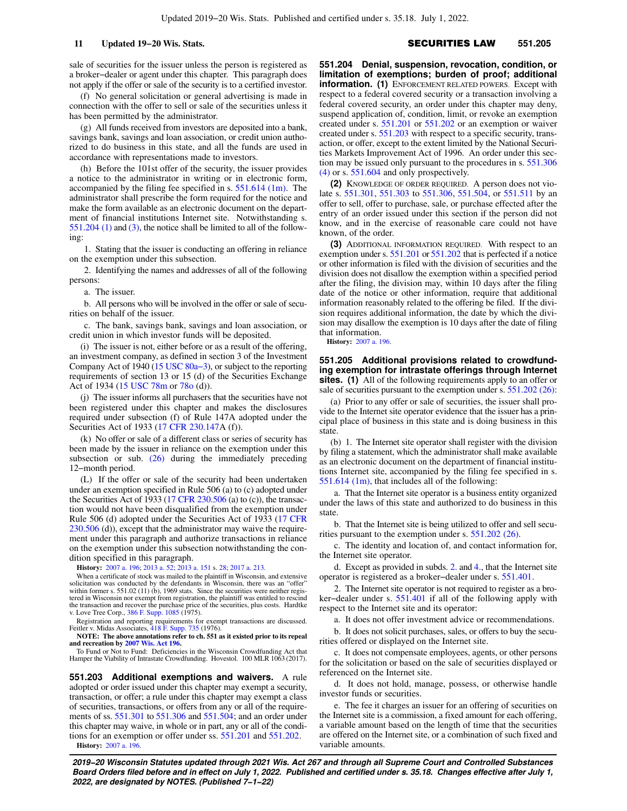sale of securities for the issuer unless the person is registered as a broker−dealer or agent under this chapter. This paragraph does not apply if the offer or sale of the security is to a certified investor.

(f) No general solicitation or general advertising is made in connection with the offer to sell or sale of the securities unless it has been permitted by the administrator.

(g) All funds received from investors are deposited into a bank, savings bank, savings and loan association, or credit union authorized to do business in this state, and all the funds are used in accordance with representations made to investors.

(h) Before the 101st offer of the security, the issuer provides a notice to the administrator in writing or in electronic form, accompanied by the filing fee specified in s.  $551.614$  (1m). The administrator shall prescribe the form required for the notice and make the form available as an electronic document on the department of financial institutions Internet site. Notwithstanding s. [551.204 \(1\)](https://docs.legis.wisconsin.gov/document/statutes/551.204(1)) and [\(3\)](https://docs.legis.wisconsin.gov/document/statutes/551.204(3)), the notice shall be limited to all of the following:

1. Stating that the issuer is conducting an offering in reliance on the exemption under this subsection.

2. Identifying the names and addresses of all of the following persons:

a. The issuer.

b. All persons who will be involved in the offer or sale of securities on behalf of the issuer.

c. The bank, savings bank, savings and loan association, or credit union in which investor funds will be deposited.

(i) The issuer is not, either before or as a result of the offering, an investment company, as defined in section 3 of the Investment Company Act of 1940 ([15 USC 80a−3\)](https://docs.legis.wisconsin.gov/document/usc/15%20USC%2080a-3), or subject to the reporting requirements of section 13 or 15 (d) of the Securities Exchange Act of 1934 [\(15 USC 78m](https://docs.legis.wisconsin.gov/document/usc/15%20USC%2078m) or [78o](https://docs.legis.wisconsin.gov/document/usc/15%20USC%2078o) (d)).

(j) The issuer informs all purchasers that the securities have not been registered under this chapter and makes the disclosures required under subsection (f) of Rule 147A adopted under the Securities Act of 1933 [\(17 CFR 230.147](https://docs.legis.wisconsin.gov/document/cfr/17%20CFR%20230.147)A (f)).

(k) No offer or sale of a different class or series of security has been made by the issuer in reliance on the exemption under this subsection or sub.  $(26)$  during the immediately preceding 12−month period.

(L) If the offer or sale of the security had been undertaken under an exemption specified in Rule 506 (a) to (c) adopted under the Securities Act of 1933 [\(17 CFR 230.506](https://docs.legis.wisconsin.gov/document/cfr/17%20CFR%20230.506) (a) to (c)), the transaction would not have been disqualified from the exemption under Rule 506 (d) adopted under the Securities Act of 1933 ([17 CFR](https://docs.legis.wisconsin.gov/document/cfr/17%20CFR%20230.506) [230.506](https://docs.legis.wisconsin.gov/document/cfr/17%20CFR%20230.506) (d)), except that the administrator may waive the requirement under this paragraph and authorize transactions in reliance on the exemption under this subsection notwithstanding the condition specified in this paragraph.

**History:** [2007 a. 196](https://docs.legis.wisconsin.gov/document/acts/2007/196); [2013 a. 52;](https://docs.legis.wisconsin.gov/document/acts/2013/52) [2013 a. 151](https://docs.legis.wisconsin.gov/document/acts/2013/151) s. [28](https://docs.legis.wisconsin.gov/document/acts/2013/151,%20s.%2028); [2017 a. 213.](https://docs.legis.wisconsin.gov/document/acts/2017/213)

When a certificate of stock was mailed to the plaintiff in Wisconsin, and extensive solicitation was conducted by the defendants in Wisconsin, there was an "offer" within former s. 551.02 (11) (b), 1969 stats. Since the securities were neither registered in Wisconsin nor exempt from registration, the plaintiff was entitled to rescind the transaction and recover the purchase price of the securities, plus costs. Hardtke v. Love Tree Corp., [386 F. Supp. 1085](https://docs.legis.wisconsin.gov/document/courts/386%20F.%20Supp.%201085) (1975).

Registration and reporting requirements for exempt transactions are discussed.<br>Feitler v. Midas Associates, [418 F. Supp. 735](https://docs.legis.wisconsin.gov/document/courts/418%20F.%20Supp.%20735) (1976).<br>**NOTE: The above annotations refer to ch. 551 as it existed prior to its repeal** 

**and recreation by [2007 Wis. Act 196.](https://docs.legis.wisconsin.gov/document/acts/2007/196)**

To Fund or Not to Fund: Deficiencies in the Wisconsin Crowdfunding Act that Hamper the Viability of Intrastate Crowdfunding. Hovestol. 100 MLR 1063 (2017).

**551.203 Additional exemptions and waivers.** A rule adopted or order issued under this chapter may exempt a security, transaction, or offer; a rule under this chapter may exempt a class of securities, transactions, or offers from any or all of the requirements of ss. [551.301](https://docs.legis.wisconsin.gov/document/statutes/551.301) to [551.306](https://docs.legis.wisconsin.gov/document/statutes/551.306) and [551.504](https://docs.legis.wisconsin.gov/document/statutes/551.504); and an order under this chapter may waive, in whole or in part, any or all of the conditions for an exemption or offer under ss. [551.201](https://docs.legis.wisconsin.gov/document/statutes/551.201) and [551.202](https://docs.legis.wisconsin.gov/document/statutes/551.202). **History:** [2007 a. 196](https://docs.legis.wisconsin.gov/document/acts/2007/196).

**551.204 Denial, suspension, revocation, condition, or limitation of exemptions; burden of proof; additional information. (1)** ENFORCEMENT RELATED POWERS. Except with respect to a federal covered security or a transaction involving a federal covered security, an order under this chapter may deny, suspend application of, condition, limit, or revoke an exemption created under s. [551.201](https://docs.legis.wisconsin.gov/document/statutes/551.201) or [551.202](https://docs.legis.wisconsin.gov/document/statutes/551.202) or an exemption or waiver created under s. [551.203](https://docs.legis.wisconsin.gov/document/statutes/551.203) with respect to a specific security, transaction, or offer, except to the extent limited by the National Securities Markets Improvement Act of 1996. An order under this section may be issued only pursuant to the procedures in s. [551.306](https://docs.legis.wisconsin.gov/document/statutes/551.306(4)) [\(4\)](https://docs.legis.wisconsin.gov/document/statutes/551.306(4)) or s. [551.604](https://docs.legis.wisconsin.gov/document/statutes/551.604) and only prospectively.

**(2)** KNOWLEDGE OF ORDER REQUIRED. A person does not violate s. [551.301,](https://docs.legis.wisconsin.gov/document/statutes/551.301) [551.303](https://docs.legis.wisconsin.gov/document/statutes/551.303) to [551.306](https://docs.legis.wisconsin.gov/document/statutes/551.306), [551.504,](https://docs.legis.wisconsin.gov/document/statutes/551.504) or [551.511](https://docs.legis.wisconsin.gov/document/statutes/551.511) by an offer to sell, offer to purchase, sale, or purchase effected after the entry of an order issued under this section if the person did not know, and in the exercise of reasonable care could not have known, of the order.

**(3)** ADDITIONAL INFORMATION REQUIRED. With respect to an exemption under s. [551.201](https://docs.legis.wisconsin.gov/document/statutes/551.201) or [551.202](https://docs.legis.wisconsin.gov/document/statutes/551.202) that is perfected if a notice or other information is filed with the division of securities and the division does not disallow the exemption within a specified period after the filing, the division may, within 10 days after the filing date of the notice or other information, require that additional information reasonably related to the offering be filed. If the division requires additional information, the date by which the division may disallow the exemption is 10 days after the date of filing that information.

**History:** [2007 a. 196.](https://docs.legis.wisconsin.gov/document/acts/2007/196)

**551.205 Additional provisions related to crowdfunding exemption for intrastate offerings through Internet sites.** (1) All of the following requirements apply to an offer or sale of securities pursuant to the exemption under s. [551.202 \(26\):](https://docs.legis.wisconsin.gov/document/statutes/551.202(26))

(a) Prior to any offer or sale of securities, the issuer shall provide to the Internet site operator evidence that the issuer has a principal place of business in this state and is doing business in this state.

(b) 1. The Internet site operator shall register with the division by filing a statement, which the administrator shall make available as an electronic document on the department of financial institutions Internet site, accompanied by the filing fee specified in s. [551.614 \(1m\)](https://docs.legis.wisconsin.gov/document/statutes/551.614(1m)), that includes all of the following:

a. That the Internet site operator is a business entity organized under the laws of this state and authorized to do business in this state.

b. That the Internet site is being utilized to offer and sell securities pursuant to the exemption under s. [551.202 \(26\).](https://docs.legis.wisconsin.gov/document/statutes/551.202(26))

c. The identity and location of, and contact information for, the Internet site operator.

d. Except as provided in subds. [2.](https://docs.legis.wisconsin.gov/document/statutes/551.205(1)(b)2.) and [4.,](https://docs.legis.wisconsin.gov/document/statutes/551.205(1)(b)4.) that the Internet site operator is registered as a broker−dealer under s. [551.401.](https://docs.legis.wisconsin.gov/document/statutes/551.401)

2. The Internet site operator is not required to register as a broker−dealer under s. [551.401](https://docs.legis.wisconsin.gov/document/statutes/551.401) if all of the following apply with respect to the Internet site and its operator:

a. It does not offer investment advice or recommendations.

b. It does not solicit purchases, sales, or offers to buy the securities offered or displayed on the Internet site.

c. It does not compensate employees, agents, or other persons for the solicitation or based on the sale of securities displayed or referenced on the Internet site.

d. It does not hold, manage, possess, or otherwise handle investor funds or securities.

e. The fee it charges an issuer for an offering of securities on the Internet site is a commission, a fixed amount for each offering, a variable amount based on the length of time that the securities are offered on the Internet site, or a combination of such fixed and variable amounts.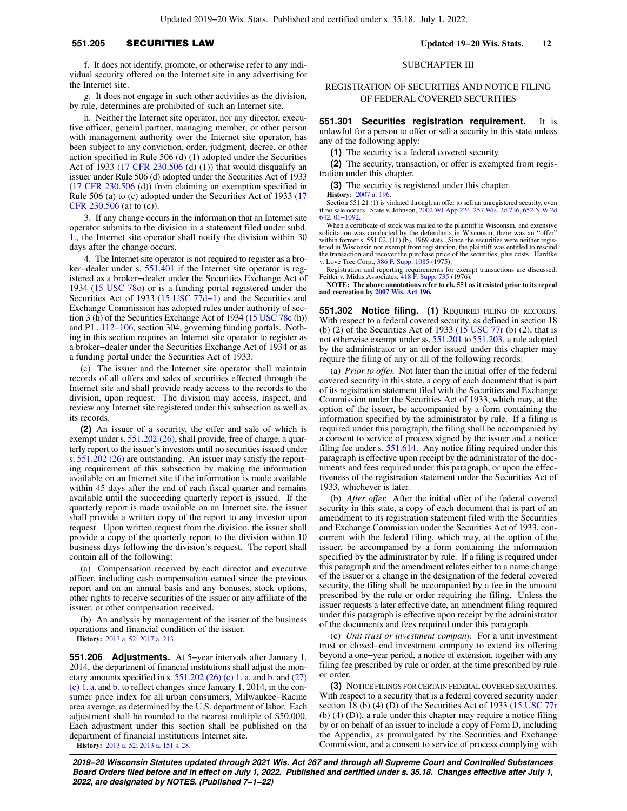## **551.205** SECURITIES LAW **Updated 19−20 Wis. Stats. 12**

f. It does not identify, promote, or otherwise refer to any individual security offered on the Internet site in any advertising for the Internet site.

g. It does not engage in such other activities as the division, by rule, determines are prohibited of such an Internet site.

h. Neither the Internet site operator, nor any director, executive officer, general partner, managing member, or other person with management authority over the Internet site operator, has been subject to any conviction, order, judgment, decree, or other action specified in Rule 506 (d) (1) adopted under the Securities Act of 1933 ([17 CFR 230.506](https://docs.legis.wisconsin.gov/document/cfr/17%20CFR%20230.506) (d) (1)) that would disqualify an issuer under Rule 506 (d) adopted under the Securities Act of 1933 ([17 CFR 230.506](https://docs.legis.wisconsin.gov/document/cfr/17%20CFR%20230.506) (d)) from claiming an exemption specified in Rule 506 (a) to (c) adopted under the Securities Act of 1933 ([17](https://docs.legis.wisconsin.gov/document/cfr/17%20CFR%20230.506) [CFR 230.506](https://docs.legis.wisconsin.gov/document/cfr/17%20CFR%20230.506) (a) to (c)).

3. If any change occurs in the information that an Internet site operator submits to the division in a statement filed under subd. [1.,](https://docs.legis.wisconsin.gov/document/statutes/551.205(1)(b)1.) the Internet site operator shall notify the division within 30 days after the change occurs.

4. The Internet site operator is not required to register as a broker−dealer under s. [551.401](https://docs.legis.wisconsin.gov/document/statutes/551.401) if the Internet site operator is registered as a broker−dealer under the Securities Exchange Act of 1934 ([15 USC 78o](https://docs.legis.wisconsin.gov/document/usc/15%20USC%2078o)) or is a funding portal registered under the Securities Act of 1933 [\(15 USC 77d−1](https://docs.legis.wisconsin.gov/document/usc/15%20USC%2077d-1)) and the Securities and Exchange Commission has adopted rules under authority of section 3 (h) of the Securities Exchange Act of 1934 ([15 USC 78c](https://docs.legis.wisconsin.gov/document/usc/15%20USC%2078c) (h)) and P.L. [112−106](https://docs.legis.wisconsin.gov/document/publiclaw/112-106), section 304, governing funding portals. Nothing in this section requires an Internet site operator to register as a broker−dealer under the Securities Exchange Act of 1934 or as a funding portal under the Securities Act of 1933.

(c) The issuer and the Internet site operator shall maintain records of all offers and sales of securities effected through the Internet site and shall provide ready access to the records to the division, upon request. The division may access, inspect, and review any Internet site registered under this subsection as well as its records.

**(2)** An issuer of a security, the offer and sale of which is exempt under s. [551.202 \(26\),](https://docs.legis.wisconsin.gov/document/statutes/551.202(26)) shall provide, free of charge, a quarterly report to the issuer's investors until no securities issued under s. [551.202 \(26\)](https://docs.legis.wisconsin.gov/document/statutes/551.202(26)) are outstanding. An issuer may satisfy the reporting requirement of this subsection by making the information available on an Internet site if the information is made available within 45 days after the end of each fiscal quarter and remains available until the succeeding quarterly report is issued. If the quarterly report is made available on an Internet site, the issuer shall provide a written copy of the report to any investor upon request. Upon written request from the division, the issuer shall provide a copy of the quarterly report to the division within 10 business days following the division's request. The report shall contain all of the following:

(a) Compensation received by each director and executive officer, including cash compensation earned since the previous report and on an annual basis and any bonuses, stock options, other rights to receive securities of the issuer or any affiliate of the issuer, or other compensation received.

(b) An analysis by management of the issuer of the business operations and financial condition of the issuer.

**History:** [2013 a. 52;](https://docs.legis.wisconsin.gov/document/acts/2013/52) [2017 a. 213.](https://docs.legis.wisconsin.gov/document/acts/2017/213)

**551.206 Adjustments.** At 5−year intervals after January 1, 2014, the department of financial institutions shall adjust the monetary amounts specified in s.  $551.202$  (26) (c) 1. a. and [b.](https://docs.legis.wisconsin.gov/document/statutes/551.202(26)(c)1.b.) and [\(27\)](https://docs.legis.wisconsin.gov/document/statutes/551.202(27)(c)1.a.) [\(c\) 1. a.](https://docs.legis.wisconsin.gov/document/statutes/551.202(27)(c)1.a.) and [b.](https://docs.legis.wisconsin.gov/document/statutes/551.202(27)(c)1.b.) to reflect changes since January 1, 2014, in the consumer price index for all urban consumers, Milwaukee−Racine area average, as determined by the U.S. department of labor. Each adjustment shall be rounded to the nearest multiple of \$50,000. Each adjustment under this section shall be published on the department of financial institutions Internet site.

**History:** [2013 a. 52;](https://docs.legis.wisconsin.gov/document/acts/2013/52) [2013 a. 151](https://docs.legis.wisconsin.gov/document/acts/2013/151) s. [28.](https://docs.legis.wisconsin.gov/document/acts/2013/151,%20s.%2028)

### SUBCHAPTER III

## REGISTRATION OF SECURITIES AND NOTICE FILING OF FEDERAL COVERED SECURITIES

**551.301 Securities registration requirement.** It is unlawful for a person to offer or sell a security in this state unless any of the following apply:

**(1)** The security is a federal covered security.

**(2)** The security, transaction, or offer is exempted from registration under this chapter.

**(3)** The security is registered under this chapter.

**History:** [2007 a. 196.](https://docs.legis.wisconsin.gov/document/acts/2007/196)

Section 551.21 (1) is violated through an offer to sell an unregistered security, even<br>if no sale occurs. State v. Johnson, [2002 WI App 224](https://docs.legis.wisconsin.gov/document/courts/2002%20WI%20App%20224), [257 Wis. 2d 736,](https://docs.legis.wisconsin.gov/document/courts/257%20Wis.%202d%20736) [652 N.W.2d](https://docs.legis.wisconsin.gov/document/courts/652%20N.W.2d%20642) [642,](https://docs.legis.wisconsin.gov/document/courts/652%20N.W.2d%20642) [01−1092.](https://docs.legis.wisconsin.gov/document/wicourtofappeals/01-1092)

When a certificate of stock was mailed to the plaintiff in Wisconsin, and extensive solicitation was conducted by the defendants in Wisconsin, there was an "offer" within former s. 551.02. (11) (b), 1969 stats. Since the securities were neither registered in Wisconsin nor exempt from registration, the plaintiff was entitled to rescind the transaction and recover the purchase price of the securities, plus costs. Hardtke v. Love Tree Corp., [386 F. Supp. 1085](https://docs.legis.wisconsin.gov/document/courts/386%20F.%20Supp.%201085) (1975).

Registration and reporting requirements for exempt transactions are discussed. Feitler v. Midas Associates, [418 F. Supp. 735](https://docs.legis.wisconsin.gov/document/courts/418%20F.%20Supp.%20735) (1976).

**NOTE: The above annotations refer to ch. 551 as it existed prior to its repeal and recreation by [2007 Wis. Act 196.](https://docs.legis.wisconsin.gov/document/acts/2007/196)**

**551.302 Notice filing. (1)** REQUIRED FILING OF RECORDS. With respect to a federal covered security, as defined in section 18 (b) (2) of the Securities Act of 1933 ( $15$  USC  $77r$  (b) (2), that is not otherwise exempt under ss. [551.201](https://docs.legis.wisconsin.gov/document/statutes/551.201) to [551.203](https://docs.legis.wisconsin.gov/document/statutes/551.203), a rule adopted by the administrator or an order issued under this chapter may require the filing of any or all of the following records:

(a) *Prior to offer.* Not later than the initial offer of the federal covered security in this state, a copy of each document that is part of its registration statement filed with the Securities and Exchange Commission under the Securities Act of 1933, which may, at the option of the issuer, be accompanied by a form containing the information specified by the administrator by rule. If a filing is required under this paragraph, the filing shall be accompanied by a consent to service of process signed by the issuer and a notice filing fee under s. [551.614.](https://docs.legis.wisconsin.gov/document/statutes/551.614) Any notice filing required under this paragraph is effective upon receipt by the administrator of the documents and fees required under this paragraph, or upon the effectiveness of the registration statement under the Securities Act of 1933, whichever is later.

(b) *After offer.* After the initial offer of the federal covered security in this state, a copy of each document that is part of an amendment to its registration statement filed with the Securities and Exchange Commission under the Securities Act of 1933, concurrent with the federal filing, which may, at the option of the issuer, be accompanied by a form containing the information specified by the administrator by rule. If a filing is required under this paragraph and the amendment relates either to a name change of the issuer or a change in the designation of the federal covered security, the filing shall be accompanied by a fee in the amount prescribed by the rule or order requiring the filing. Unless the issuer requests a later effective date, an amendment filing required under this paragraph is effective upon receipt by the administrator of the documents and fees required under this paragraph.

(c) *Unit trust or investment company.* For a unit investment trust or closed−end investment company to extend its offering beyond a one−year period, a notice of extension, together with any filing fee prescribed by rule or order, at the time prescribed by rule or order.

**(3)** NOTICE FILINGS FOR CERTAIN FEDERAL COVERED SECURITIES. With respect to a security that is a federal covered security under section 18 (b) (4) (D) of the Securities Act of 1933 [\(15 USC 77r](https://docs.legis.wisconsin.gov/document/usc/15%20USC%2077r) (b) (4) (D)), a rule under this chapter may require a notice filing by or on behalf of an issuer to include a copy of Form D, including the Appendix, as promulgated by the Securities and Exchange Commission, and a consent to service of process complying with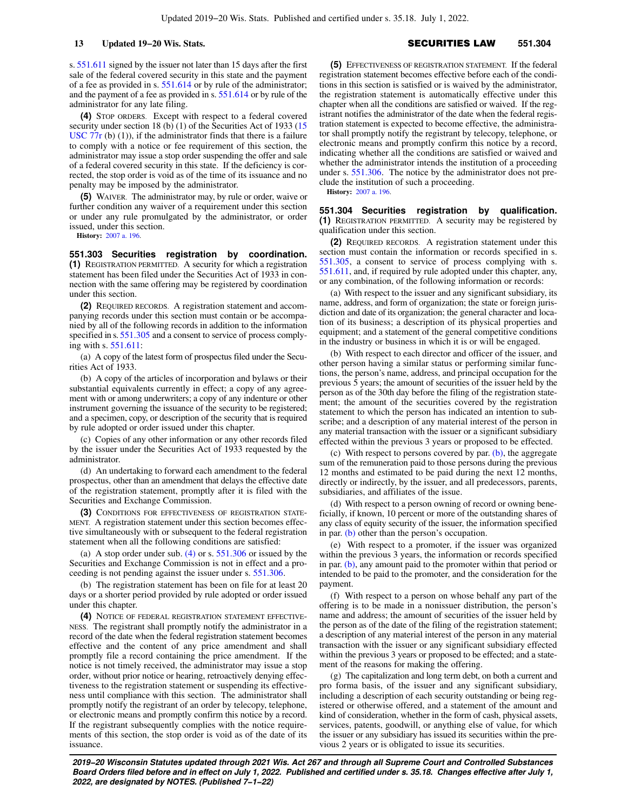s. [551.611](https://docs.legis.wisconsin.gov/document/statutes/551.611) signed by the issuer not later than 15 days after the first sale of the federal covered security in this state and the payment of a fee as provided in s. [551.614](https://docs.legis.wisconsin.gov/document/statutes/551.614) or by rule of the administrator; and the payment of a fee as provided in s. [551.614](https://docs.legis.wisconsin.gov/document/statutes/551.614) or by rule of the administrator for any late filing.

**(4)** STOP ORDERS. Except with respect to a federal covered security under section 18 (b) (1) of the Securities Act of 1933 [\(15](https://docs.legis.wisconsin.gov/document/usc/15%20USC%2077r) USC  $77r$  (b) (1)), if the administrator finds that there is a failure to comply with a notice or fee requirement of this section, the administrator may issue a stop order suspending the offer and sale of a federal covered security in this state. If the deficiency is corrected, the stop order is void as of the time of its issuance and no penalty may be imposed by the administrator.

**(5)** WAIVER. The administrator may, by rule or order, waive or further condition any waiver of a requirement under this section or under any rule promulgated by the administrator, or order issued, under this section.

**History:** [2007 a. 196](https://docs.legis.wisconsin.gov/document/acts/2007/196).

**551.303 Securities registration by coordination. (1)** REGISTRATION PERMITTED. A security for which a registration statement has been filed under the Securities Act of 1933 in connection with the same offering may be registered by coordination under this section.

**(2)** REQUIRED RECORDS. A registration statement and accompanying records under this section must contain or be accompanied by all of the following records in addition to the information specified in s. [551.305](https://docs.legis.wisconsin.gov/document/statutes/551.305) and a consent to service of process complying with s. [551.611](https://docs.legis.wisconsin.gov/document/statutes/551.611):

(a) A copy of the latest form of prospectus filed under the Securities Act of 1933.

(b) A copy of the articles of incorporation and bylaws or their substantial equivalents currently in effect; a copy of any agreement with or among underwriters; a copy of any indenture or other instrument governing the issuance of the security to be registered; and a specimen, copy, or description of the security that is required by rule adopted or order issued under this chapter.

(c) Copies of any other information or any other records filed by the issuer under the Securities Act of 1933 requested by the administrator.

(d) An undertaking to forward each amendment to the federal prospectus, other than an amendment that delays the effective date of the registration statement, promptly after it is filed with the Securities and Exchange Commission.

**(3)** CONDITIONS FOR EFFECTIVENESS OF REGISTRATION STATE-MENT. A registration statement under this section becomes effective simultaneously with or subsequent to the federal registration statement when all the following conditions are satisfied:

(a) A stop order under sub. [\(4\)](https://docs.legis.wisconsin.gov/document/statutes/551.303(4)) or s. [551.306](https://docs.legis.wisconsin.gov/document/statutes/551.306) or issued by the Securities and Exchange Commission is not in effect and a proceeding is not pending against the issuer under s. [551.306.](https://docs.legis.wisconsin.gov/document/statutes/551.306)

(b) The registration statement has been on file for at least 20 days or a shorter period provided by rule adopted or order issued under this chapter.

**(4)** NOTICE OF FEDERAL REGISTRATION STATEMENT EFFECTIVE-NESS. The registrant shall promptly notify the administrator in a record of the date when the federal registration statement becomes effective and the content of any price amendment and shall promptly file a record containing the price amendment. If the notice is not timely received, the administrator may issue a stop order, without prior notice or hearing, retroactively denying effectiveness to the registration statement or suspending its effectiveness until compliance with this section. The administrator shall promptly notify the registrant of an order by telecopy, telephone, or electronic means and promptly confirm this notice by a record. If the registrant subsequently complies with the notice requirements of this section, the stop order is void as of the date of its issuance.

**(5)** EFFECTIVENESS OF REGISTRATION STATEMENT. If the federal registration statement becomes effective before each of the conditions in this section is satisfied or is waived by the administrator, the registration statement is automatically effective under this chapter when all the conditions are satisfied or waived. If the registrant notifies the administrator of the date when the federal registration statement is expected to become effective, the administrator shall promptly notify the registrant by telecopy, telephone, or electronic means and promptly confirm this notice by a record, indicating whether all the conditions are satisfied or waived and whether the administrator intends the institution of a proceeding under s. [551.306.](https://docs.legis.wisconsin.gov/document/statutes/551.306) The notice by the administrator does not preclude the institution of such a proceeding.

**History:** [2007 a. 196.](https://docs.legis.wisconsin.gov/document/acts/2007/196)

**551.304 Securities registration by qualification. (1)** REGISTRATION PERMITTED. A security may be registered by qualification under this section.

**(2)** REQUIRED RECORDS. A registration statement under this section must contain the information or records specified in s. [551.305](https://docs.legis.wisconsin.gov/document/statutes/551.305), a consent to service of process complying with s. [551.611](https://docs.legis.wisconsin.gov/document/statutes/551.611), and, if required by rule adopted under this chapter, any, or any combination, of the following information or records:

(a) With respect to the issuer and any significant subsidiary, its name, address, and form of organization; the state or foreign jurisdiction and date of its organization; the general character and location of its business; a description of its physical properties and equipment; and a statement of the general competitive conditions in the industry or business in which it is or will be engaged.

(b) With respect to each director and officer of the issuer, and other person having a similar status or performing similar functions, the person's name, address, and principal occupation for the previous 5 years; the amount of securities of the issuer held by the person as of the 30th day before the filing of the registration statement; the amount of the securities covered by the registration statement to which the person has indicated an intention to subscribe; and a description of any material interest of the person in any material transaction with the issuer or a significant subsidiary effected within the previous 3 years or proposed to be effected.

(c) With respect to persons covered by par.  $(b)$ , the aggregate sum of the remuneration paid to those persons during the previous 12 months and estimated to be paid during the next 12 months, directly or indirectly, by the issuer, and all predecessors, parents, subsidiaries, and affiliates of the issue.

(d) With respect to a person owning of record or owning beneficially, if known, 10 percent or more of the outstanding shares of any class of equity security of the issuer, the information specified in par. [\(b\)](https://docs.legis.wisconsin.gov/document/statutes/551.304(2)(b)) other than the person's occupation.

(e) With respect to a promoter, if the issuer was organized within the previous 3 years, the information or records specified in par. [\(b\),](https://docs.legis.wisconsin.gov/document/statutes/551.304(2)(b)) any amount paid to the promoter within that period or intended to be paid to the promoter, and the consideration for the payment.

(f) With respect to a person on whose behalf any part of the offering is to be made in a nonissuer distribution, the person's name and address; the amount of securities of the issuer held by the person as of the date of the filing of the registration statement; a description of any material interest of the person in any material transaction with the issuer or any significant subsidiary effected within the previous 3 years or proposed to be effected; and a statement of the reasons for making the offering.

(g) The capitalization and long term debt, on both a current and pro forma basis, of the issuer and any significant subsidiary, including a description of each security outstanding or being registered or otherwise offered, and a statement of the amount and kind of consideration, whether in the form of cash, physical assets, services, patents, goodwill, or anything else of value, for which the issuer or any subsidiary has issued its securities within the previous 2 years or is obligated to issue its securities.

**2019−20 Wisconsin Statutes updated through 2021 Wis. Act 267 and through all Supreme Court and Controlled Substances Board Orders filed before and in effect on July 1, 2022. Published and certified under s. 35.18. Changes effective after July 1, 2022, are designated by NOTES. (Published 7−1−22)**

## **13 Updated 19−20 Wis. Stats.** SECURITIES LAW 551.304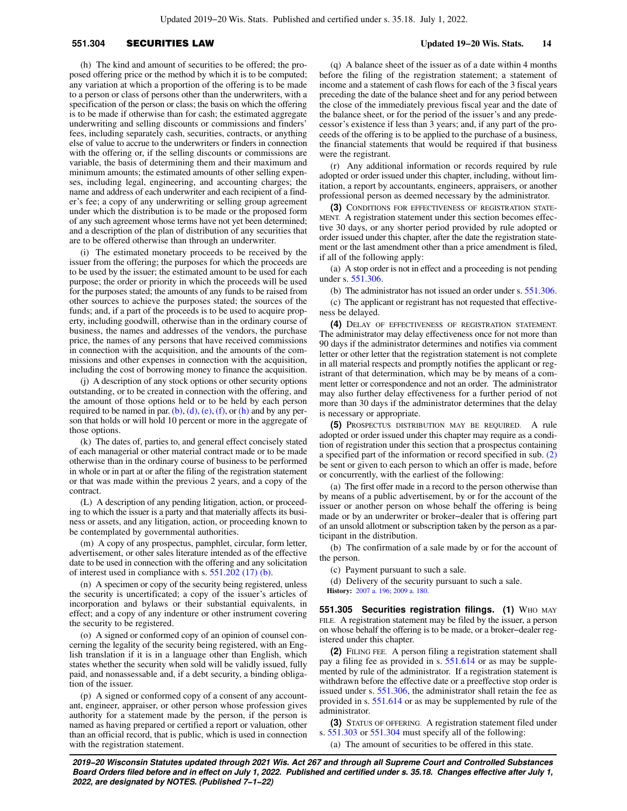## **551.304** SECURITIES LAW **Updated 19−20 Wis. Stats. 14**

(h) The kind and amount of securities to be offered; the proposed offering price or the method by which it is to be computed; any variation at which a proportion of the offering is to be made to a person or class of persons other than the underwriters, with a specification of the person or class; the basis on which the offering is to be made if otherwise than for cash; the estimated aggregate underwriting and selling discounts or commissions and finders' fees, including separately cash, securities, contracts, or anything else of value to accrue to the underwriters or finders in connection with the offering or, if the selling discounts or commissions are variable, the basis of determining them and their maximum and minimum amounts; the estimated amounts of other selling expenses, including legal, engineering, and accounting charges; the name and address of each underwriter and each recipient of a finder's fee; a copy of any underwriting or selling group agreement under which the distribution is to be made or the proposed form of any such agreement whose terms have not yet been determined; and a description of the plan of distribution of any securities that are to be offered otherwise than through an underwriter.

(i) The estimated monetary proceeds to be received by the issuer from the offering; the purposes for which the proceeds are to be used by the issuer; the estimated amount to be used for each purpose; the order or priority in which the proceeds will be used for the purposes stated; the amounts of any funds to be raised from other sources to achieve the purposes stated; the sources of the funds; and, if a part of the proceeds is to be used to acquire property, including goodwill, otherwise than in the ordinary course of business, the names and addresses of the vendors, the purchase price, the names of any persons that have received commissions in connection with the acquisition, and the amounts of the commissions and other expenses in connection with the acquisition, including the cost of borrowing money to finance the acquisition.

(j) A description of any stock options or other security options outstanding, or to be created in connection with the offering, and the amount of those options held or to be held by each person required to be named in par.  $(b)$ ,  $(d)$ ,  $(e)$ ,  $(f)$ , or  $(h)$  and by any person that holds or will hold 10 percent or more in the aggregate of those options.

(k) The dates of, parties to, and general effect concisely stated of each managerial or other material contract made or to be made otherwise than in the ordinary course of business to be performed in whole or in part at or after the filing of the registration statement or that was made within the previous 2 years, and a copy of the contract.

(L) A description of any pending litigation, action, or proceeding to which the issuer is a party and that materially affects its business or assets, and any litigation, action, or proceeding known to be contemplated by governmental authorities.

(m) A copy of any prospectus, pamphlet, circular, form letter, advertisement, or other sales literature intended as of the effective date to be used in connection with the offering and any solicitation of interest used in compliance with s. [551.202 \(17\) \(b\).](https://docs.legis.wisconsin.gov/document/statutes/551.202(17)(b))

(n) A specimen or copy of the security being registered, unless the security is uncertificated; a copy of the issuer's articles of incorporation and bylaws or their substantial equivalents, in effect; and a copy of any indenture or other instrument covering the security to be registered.

(o) A signed or conformed copy of an opinion of counsel concerning the legality of the security being registered, with an English translation if it is in a language other than English, which states whether the security when sold will be validly issued, fully paid, and nonassessable and, if a debt security, a binding obligation of the issuer.

(p) A signed or conformed copy of a consent of any accountant, engineer, appraiser, or other person whose profession gives authority for a statement made by the person, if the person is named as having prepared or certified a report or valuation, other than an official record, that is public, which is used in connection with the registration statement.

(q) A balance sheet of the issuer as of a date within 4 months before the filing of the registration statement; a statement of income and a statement of cash flows for each of the 3 fiscal years preceding the date of the balance sheet and for any period between the close of the immediately previous fiscal year and the date of the balance sheet, or for the period of the issuer's and any predecessor's existence if less than 3 years; and, if any part of the proceeds of the offering is to be applied to the purchase of a business, the financial statements that would be required if that business were the registrant.

(r) Any additional information or records required by rule adopted or order issued under this chapter, including, without limitation, a report by accountants, engineers, appraisers, or another professional person as deemed necessary by the administrator.

**(3)** CONDITIONS FOR EFFECTIVENESS OF REGISTRATION STATE-MENT. A registration statement under this section becomes effective 30 days, or any shorter period provided by rule adopted or order issued under this chapter, after the date the registration statement or the last amendment other than a price amendment is filed, if all of the following apply:

(a) A stop order is not in effect and a proceeding is not pending under s. [551.306](https://docs.legis.wisconsin.gov/document/statutes/551.306).

(b) The administrator has not issued an order under s. [551.306.](https://docs.legis.wisconsin.gov/document/statutes/551.306)

(c) The applicant or registrant has not requested that effectiveness be delayed.

**(4)** DELAY OF EFFECTIVENESS OF REGISTRATION STATEMENT. The administrator may delay effectiveness once for not more than 90 days if the administrator determines and notifies via comment letter or other letter that the registration statement is not complete in all material respects and promptly notifies the applicant or registrant of that determination, which may be by means of a comment letter or correspondence and not an order. The administrator may also further delay effectiveness for a further period of not more than 30 days if the administrator determines that the delay is necessary or appropriate.

**(5)** PROSPECTUS DISTRIBUTION MAY BE REQUIRED. A rule adopted or order issued under this chapter may require as a condition of registration under this section that a prospectus containing a specified part of the information or record specified in sub. [\(2\)](https://docs.legis.wisconsin.gov/document/statutes/551.304(2)) be sent or given to each person to which an offer is made, before or concurrently, with the earliest of the following:

(a) The first offer made in a record to the person otherwise than by means of a public advertisement, by or for the account of the issuer or another person on whose behalf the offering is being made or by an underwriter or broker−dealer that is offering part of an unsold allotment or subscription taken by the person as a participant in the distribution.

(b) The confirmation of a sale made by or for the account of the person.

(c) Payment pursuant to such a sale.

(d) Delivery of the security pursuant to such a sale.

**History:** [2007 a. 196;](https://docs.legis.wisconsin.gov/document/acts/2007/196) [2009 a. 180](https://docs.legis.wisconsin.gov/document/acts/2009/180).

**551.305 Securities registration filings. (1) WHO MAY** FILE. A registration statement may be filed by the issuer, a person on whose behalf the offering is to be made, or a broker−dealer registered under this chapter.

**(2)** FILING FEE. A person filing a registration statement shall pay a filing fee as provided in s. [551.614](https://docs.legis.wisconsin.gov/document/statutes/551.614) or as may be supplemented by rule of the administrator. If a registration statement is withdrawn before the effective date or a preeffective stop order is issued under s. [551.306,](https://docs.legis.wisconsin.gov/document/statutes/551.306) the administrator shall retain the fee as provided in s. [551.614](https://docs.legis.wisconsin.gov/document/statutes/551.614) or as may be supplemented by rule of the administrator.

**(3)** STATUS OF OFFERING. A registration statement filed under s. [551.303](https://docs.legis.wisconsin.gov/document/statutes/551.303) or [551.304](https://docs.legis.wisconsin.gov/document/statutes/551.304) must specify all of the following:

(a) The amount of securities to be offered in this state.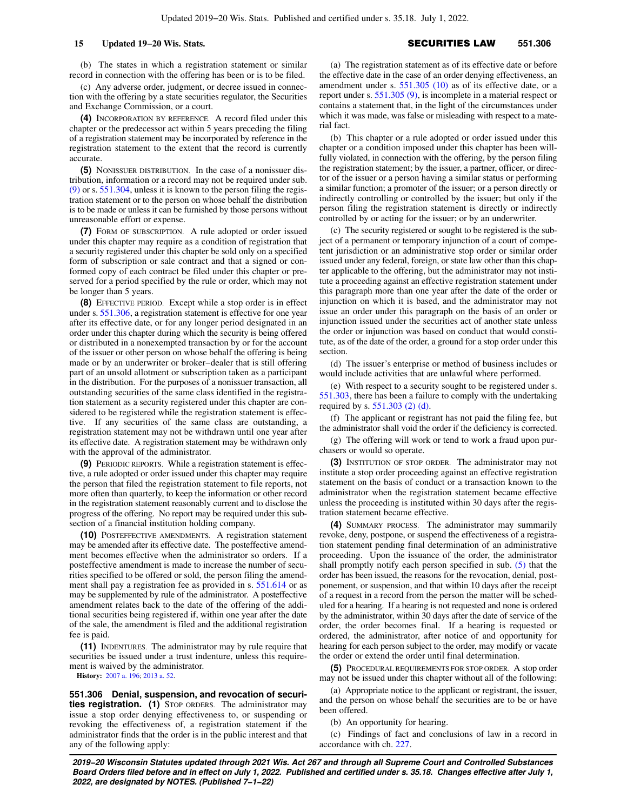(b) The states in which a registration statement or similar record in connection with the offering has been or is to be filed.

(c) Any adverse order, judgment, or decree issued in connection with the offering by a state securities regulator, the Securities and Exchange Commission, or a court.

**(4)** INCORPORATION BY REFERENCE. A record filed under this chapter or the predecessor act within 5 years preceding the filing of a registration statement may be incorporated by reference in the registration statement to the extent that the record is currently accurate.

**(5)** NONISSUER DISTRIBUTION. In the case of a nonissuer distribution, information or a record may not be required under sub. [\(9\)](https://docs.legis.wisconsin.gov/document/statutes/551.305(9)) or s. [551.304,](https://docs.legis.wisconsin.gov/document/statutes/551.304) unless it is known to the person filing the registration statement or to the person on whose behalf the distribution is to be made or unless it can be furnished by those persons without unreasonable effort or expense.

**(7)** FORM OF SUBSCRIPTION. A rule adopted or order issued under this chapter may require as a condition of registration that a security registered under this chapter be sold only on a specified form of subscription or sale contract and that a signed or conformed copy of each contract be filed under this chapter or preserved for a period specified by the rule or order, which may not be longer than 5 years.

**(8)** EFFECTIVE PERIOD. Except while a stop order is in effect under s. [551.306](https://docs.legis.wisconsin.gov/document/statutes/551.306), a registration statement is effective for one year after its effective date, or for any longer period designated in an order under this chapter during which the security is being offered or distributed in a nonexempted transaction by or for the account of the issuer or other person on whose behalf the offering is being made or by an underwriter or broker−dealer that is still offering part of an unsold allotment or subscription taken as a participant in the distribution. For the purposes of a nonissuer transaction, all outstanding securities of the same class identified in the registration statement as a security registered under this chapter are considered to be registered while the registration statement is effective. If any securities of the same class are outstanding, a registration statement may not be withdrawn until one year after its effective date. A registration statement may be withdrawn only with the approval of the administrator.

**(9)** PERIODIC REPORTS. While a registration statement is effective, a rule adopted or order issued under this chapter may require the person that filed the registration statement to file reports, not more often than quarterly, to keep the information or other record in the registration statement reasonably current and to disclose the progress of the offering. No report may be required under this subsection of a financial institution holding company.

**(10)** POSTEFFECTIVE AMENDMENTS. A registration statement may be amended after its effective date. The posteffective amendment becomes effective when the administrator so orders. If a posteffective amendment is made to increase the number of securities specified to be offered or sold, the person filing the amendment shall pay a registration fee as provided in s. [551.614](https://docs.legis.wisconsin.gov/document/statutes/551.614) or as may be supplemented by rule of the administrator. A posteffective amendment relates back to the date of the offering of the additional securities being registered if, within one year after the date of the sale, the amendment is filed and the additional registration fee is paid.

**(11)** INDENTURES. The administrator may by rule require that securities be issued under a trust indenture, unless this requirement is waived by the administrator.

**History:** [2007 a. 196](https://docs.legis.wisconsin.gov/document/acts/2007/196); [2013 a. 52.](https://docs.legis.wisconsin.gov/document/acts/2013/52)

**551.306 Denial, suspension, and revocation of securities registration. (1)** STOP ORDERS. The administrator may issue a stop order denying effectiveness to, or suspending or revoking the effectiveness of, a registration statement if the administrator finds that the order is in the public interest and that any of the following apply:

(a) The registration statement as of its effective date or before the effective date in the case of an order denying effectiveness, an amendment under s.  $551.305$  (10) as of its effective date, or a report under s. [551.305 \(9\),](https://docs.legis.wisconsin.gov/document/statutes/551.305(9)) is incomplete in a material respect or contains a statement that, in the light of the circumstances under which it was made, was false or misleading with respect to a material fact.

(b) This chapter or a rule adopted or order issued under this chapter or a condition imposed under this chapter has been willfully violated, in connection with the offering, by the person filing the registration statement; by the issuer, a partner, officer, or director of the issuer or a person having a similar status or performing a similar function; a promoter of the issuer; or a person directly or indirectly controlling or controlled by the issuer; but only if the person filing the registration statement is directly or indirectly controlled by or acting for the issuer; or by an underwriter.

(c) The security registered or sought to be registered is the subject of a permanent or temporary injunction of a court of competent jurisdiction or an administrative stop order or similar order issued under any federal, foreign, or state law other than this chapter applicable to the offering, but the administrator may not institute a proceeding against an effective registration statement under this paragraph more than one year after the date of the order or injunction on which it is based, and the administrator may not issue an order under this paragraph on the basis of an order or injunction issued under the securities act of another state unless the order or injunction was based on conduct that would constitute, as of the date of the order, a ground for a stop order under this section.

(d) The issuer's enterprise or method of business includes or would include activities that are unlawful where performed.

(e) With respect to a security sought to be registered under s. [551.303](https://docs.legis.wisconsin.gov/document/statutes/551.303), there has been a failure to comply with the undertaking required by s. [551.303 \(2\) \(d\).](https://docs.legis.wisconsin.gov/document/statutes/551.303(2)(d))

(f) The applicant or registrant has not paid the filing fee, but the administrator shall void the order if the deficiency is corrected.

(g) The offering will work or tend to work a fraud upon purchasers or would so operate.

**(3)** INSTITUTION OF STOP ORDER. The administrator may not institute a stop order proceeding against an effective registration statement on the basis of conduct or a transaction known to the administrator when the registration statement became effective unless the proceeding is instituted within 30 days after the registration statement became effective.

**(4)** SUMMARY PROCESS. The administrator may summarily revoke, deny, postpone, or suspend the effectiveness of a registration statement pending final determination of an administrative proceeding. Upon the issuance of the order, the administrator shall promptly notify each person specified in sub. [\(5\)](https://docs.legis.wisconsin.gov/document/statutes/551.306(5)) that the order has been issued, the reasons for the revocation, denial, postponement, or suspension, and that within 10 days after the receipt of a request in a record from the person the matter will be scheduled for a hearing. If a hearing is not requested and none is ordered by the administrator, within 30 days after the date of service of the order, the order becomes final. If a hearing is requested or ordered, the administrator, after notice of and opportunity for hearing for each person subject to the order, may modify or vacate the order or extend the order until final determination.

**(5)** PROCEDURAL REQUIREMENTS FOR STOP ORDER. A stop order may not be issued under this chapter without all of the following:

(a) Appropriate notice to the applicant or registrant, the issuer, and the person on whose behalf the securities are to be or have been offered.

(b) An opportunity for hearing.

(c) Findings of fact and conclusions of law in a record in accordance with ch. [227](https://docs.legis.wisconsin.gov/document/statutes/ch.%20227).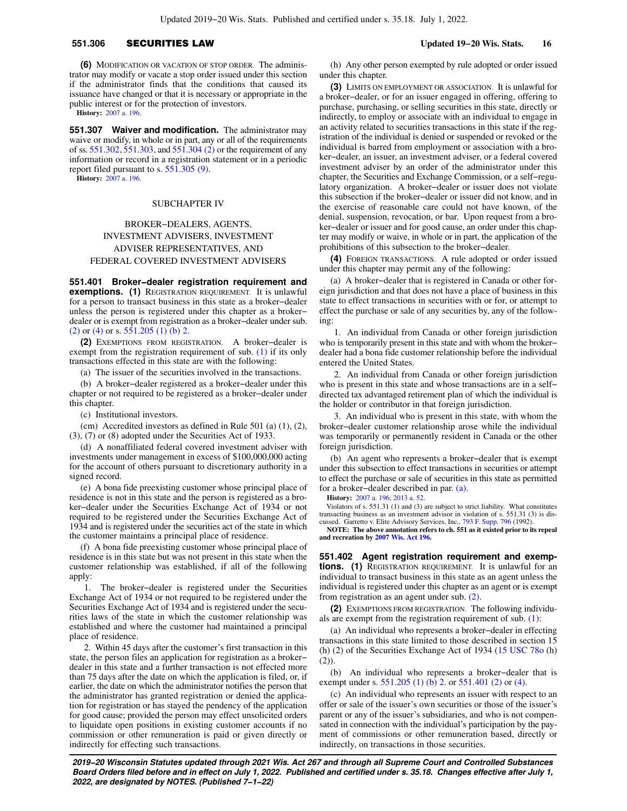## **551.306** SECURITIES LAW **Updated 19−20 Wis. Stats. 16**

**(6)** MODIFICATION OR VACATION OF STOP ORDER. The administrator may modify or vacate a stop order issued under this section if the administrator finds that the conditions that caused its issuance have changed or that it is necessary or appropriate in the public interest or for the protection of investors.

**History:** [2007 a. 196](https://docs.legis.wisconsin.gov/document/acts/2007/196).

**551.307 Waiver and modification.** The administrator may waive or modify, in whole or in part, any or all of the requirements of ss. [551.302,](https://docs.legis.wisconsin.gov/document/statutes/551.302) [551.303](https://docs.legis.wisconsin.gov/document/statutes/551.303), and [551.304 \(2\)](https://docs.legis.wisconsin.gov/document/statutes/551.304(2)) or the requirement of any information or record in a registration statement or in a periodic report filed pursuant to s. [551.305 \(9\).](https://docs.legis.wisconsin.gov/document/statutes/551.305(9))

**History:** [2007 a. 196](https://docs.legis.wisconsin.gov/document/acts/2007/196).

## SUBCHAPTER IV

# BROKER−DEALERS, AGENTS, INVESTMENT ADVISERS, INVESTMENT ADVISER REPRESENTATIVES, AND FEDERAL COVERED INVESTMENT ADVISERS

**551.401 Broker−dealer registration requirement and exemptions. (1)** REGISTRATION REQUIREMENT. It is unlawful for a person to transact business in this state as a broker−dealer unless the person is registered under this chapter as a broker− dealer or is exempt from registration as a broker−dealer under sub. [\(2\)](https://docs.legis.wisconsin.gov/document/statutes/551.401(2)) or [\(4\)](https://docs.legis.wisconsin.gov/document/statutes/551.401(4)) or s.  $5\overline{5}1.205$  (1) (b) 2.

**(2)** EXEMPTIONS FROM REGISTRATION. A broker−dealer is exempt from the registration requirement of sub. [\(1\)](https://docs.legis.wisconsin.gov/document/statutes/551.401(1)) if its only transactions effected in this state are with the following:

(a) The issuer of the securities involved in the transactions.

(b) A broker−dealer registered as a broker−dealer under this chapter or not required to be registered as a broker−dealer under this chapter.

(c) Institutional investors.

(cm) Accredited investors as defined in Rule 501 (a) (1), (2), (3), (7) or (8) adopted under the Securities Act of 1933.

(d) A nonaffiliated federal covered investment adviser with investments under management in excess of \$100,000,000 acting for the account of others pursuant to discretionary authority in a signed record.

(e) A bona fide preexisting customer whose principal place of residence is not in this state and the person is registered as a broker−dealer under the Securities Exchange Act of 1934 or not required to be registered under the Securities Exchange Act of 1934 and is registered under the securities act of the state in which the customer maintains a principal place of residence.

(f) A bona fide preexisting customer whose principal place of residence is in this state but was not present in this state when the customer relationship was established, if all of the following apply:

1. The broker−dealer is registered under the Securities Exchange Act of 1934 or not required to be registered under the Securities Exchange Act of 1934 and is registered under the securities laws of the state in which the customer relationship was established and where the customer had maintained a principal place of residence.

2. Within 45 days after the customer's first transaction in this state, the person files an application for registration as a broker− dealer in this state and a further transaction is not effected more than 75 days after the date on which the application is filed, or, if earlier, the date on which the administrator notifies the person that the administrator has granted registration or denied the application for registration or has stayed the pendency of the application for good cause; provided the person may effect unsolicited orders to liquidate open positions in existing customer accounts if no commission or other remuneration is paid or given directly or indirectly for effecting such transactions.

(h) Any other person exempted by rule adopted or order issued under this chapter.

**(3)** LIMITS ON EMPLOYMENT OR ASSOCIATION. It is unlawful for a broker−dealer, or for an issuer engaged in offering, offering to purchase, purchasing, or selling securities in this state, directly or indirectly, to employ or associate with an individual to engage in an activity related to securities transactions in this state if the registration of the individual is denied or suspended or revoked or the individual is barred from employment or association with a broker−dealer, an issuer, an investment adviser, or a federal covered investment adviser by an order of the administrator under this chapter, the Securities and Exchange Commission, or a self−regulatory organization. A broker−dealer or issuer does not violate this subsection if the broker−dealer or issuer did not know, and in the exercise of reasonable care could not have known, of the denial, suspension, revocation, or bar. Upon request from a broker−dealer or issuer and for good cause, an order under this chapter may modify or waive, in whole or in part, the application of the prohibitions of this subsection to the broker−dealer.

**(4)** FOREIGN TRANSACTIONS. A rule adopted or order issued under this chapter may permit any of the following:

(a) A broker−dealer that is registered in Canada or other foreign jurisdiction and that does not have a place of business in this state to effect transactions in securities with or for, or attempt to effect the purchase or sale of any securities by, any of the following:

1. An individual from Canada or other foreign jurisdiction who is temporarily present in this state and with whom the broker− dealer had a bona fide customer relationship before the individual entered the United States.

2. An individual from Canada or other foreign jurisdiction who is present in this state and whose transactions are in a self− directed tax advantaged retirement plan of which the individual is the holder or contributor in that foreign jurisdiction.

3. An individual who is present in this state, with whom the broker−dealer customer relationship arose while the individual was temporarily or permanently resident in Canada or the other foreign jurisdiction.

(b) An agent who represents a broker−dealer that is exempt under this subsection to effect transactions in securities or attempt to effect the purchase or sale of securities in this state as permitted for a broker−dealer described in par. [\(a\).](https://docs.legis.wisconsin.gov/document/statutes/551.401(4)(a))

**History:** [2007 a. 196;](https://docs.legis.wisconsin.gov/document/acts/2007/196) [2013 a. 52.](https://docs.legis.wisconsin.gov/document/acts/2013/52)

Violators of s. 551.31 (1) and (3) are subject to strict liability. What constitutes transacting business as an investment advisor in violation of s. 551.31 (3) is dis-cussed. Garretto v. Elite Advisory Services, Inc*.*, [793 F. Supp. 796](https://docs.legis.wisconsin.gov/document/courts/793%20F.%20Supp.%20796) (1992).

**NOTE: The above annotation refers to ch. 551 as it existed prior to its repeal and recreation by [2007 Wis. Act 196.](https://docs.legis.wisconsin.gov/document/acts/2007/196)**

**551.402 Agent registration requirement and exemptions. (1)** REGISTRATION REQUIREMENT. It is unlawful for an individual to transact business in this state as an agent unless the individual is registered under this chapter as an agent or is exempt from registration as an agent under sub. [\(2\)](https://docs.legis.wisconsin.gov/document/statutes/551.402(2)).

**(2)** EXEMPTIONS FROM REGISTRATION. The following individuals are exempt from the registration requirement of sub. [\(1\):](https://docs.legis.wisconsin.gov/document/statutes/551.402(1))

(a) An individual who represents a broker−dealer in effecting transactions in this state limited to those described in section 15 (h) (2) of the Securities Exchange Act of 1934 [\(15 USC 78o](https://docs.legis.wisconsin.gov/document/usc/15%20USC%2078o) (h) (2)).

(b) An individual who represents a broker−dealer that is exempt under s.  $551.205$  (1) (b) 2. or  $551.401$  (2) or [\(4\)](https://docs.legis.wisconsin.gov/document/statutes/551.401(4)).

(c) An individual who represents an issuer with respect to an offer or sale of the issuer's own securities or those of the issuer's parent or any of the issuer's subsidiaries, and who is not compensated in connection with the individual's participation by the payment of commissions or other remuneration based, directly or indirectly, on transactions in those securities.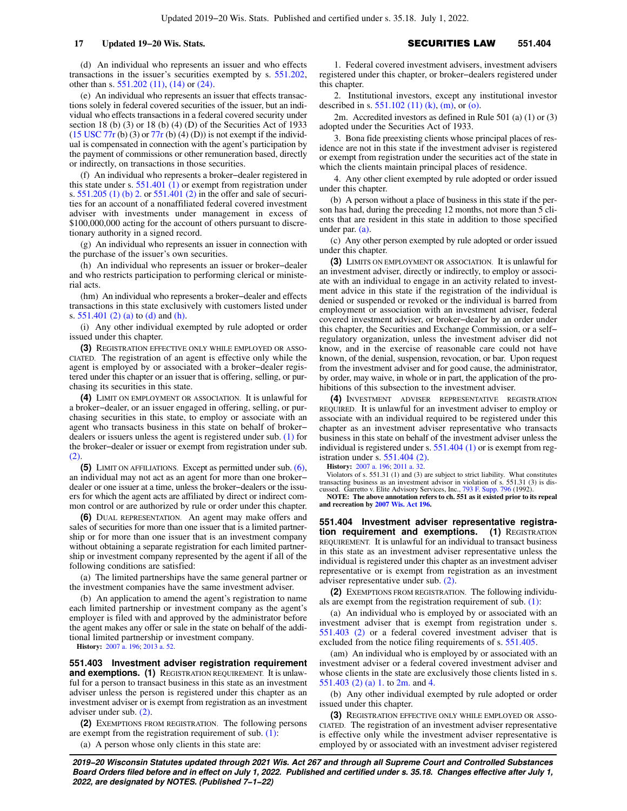(d) An individual who represents an issuer and who effects transactions in the issuer's securities exempted by s. [551.202,](https://docs.legis.wisconsin.gov/document/statutes/551.202) other than s. [551.202 \(11\)](https://docs.legis.wisconsin.gov/document/statutes/551.202(11)), [\(14\)](https://docs.legis.wisconsin.gov/document/statutes/551.202(14)) or [\(24\).](https://docs.legis.wisconsin.gov/document/statutes/551.202(24))

(e) An individual who represents an issuer that effects transactions solely in federal covered securities of the issuer, but an individual who effects transactions in a federal covered security under section 18 (b) (3) or 18 (b) (4) (D) of the Securities Act of 1933  $(15 \text{ USC } 77\text{r}$  (b) (3) or  $77\text{r}$  (b) (4) (D)) is not exempt if the individual is compensated in connection with the agent's participation by the payment of commissions or other remuneration based, directly or indirectly, on transactions in those securities.

(f) An individual who represents a broker−dealer registered in this state under s. [551.401 \(1\)](https://docs.legis.wisconsin.gov/document/statutes/551.401(1)) or exempt from registration under s. [551.205 \(1\) \(b\) 2.](https://docs.legis.wisconsin.gov/document/statutes/551.205(1)(b)2.) or [551.401 \(2\)](https://docs.legis.wisconsin.gov/document/statutes/551.401(2)) in the offer and sale of securities for an account of a nonaffiliated federal covered investment adviser with investments under management in excess of \$100,000,000 acting for the account of others pursuant to discretionary authority in a signed record.

(g) An individual who represents an issuer in connection with the purchase of the issuer's own securities.

(h) An individual who represents an issuer or broker−dealer and who restricts participation to performing clerical or ministerial acts.

(hm) An individual who represents a broker−dealer and effects transactions in this state exclusively with customers listed under s. [551.401 \(2\) \(a\)](https://docs.legis.wisconsin.gov/document/statutes/551.401(2)(a)) to [\(d\)](https://docs.legis.wisconsin.gov/document/statutes/551.401(2)(d)) and [\(h\).](https://docs.legis.wisconsin.gov/document/statutes/551.401(2)(h))

(i) Any other individual exempted by rule adopted or order issued under this chapter.

**(3)** REGISTRATION EFFECTIVE ONLY WHILE EMPLOYED OR ASSO-CIATED. The registration of an agent is effective only while the agent is employed by or associated with a broker−dealer registered under this chapter or an issuer that is offering, selling, or purchasing its securities in this state.

**(4)** LIMIT ON EMPLOYMENT OR ASSOCIATION. It is unlawful for a broker−dealer, or an issuer engaged in offering, selling, or purchasing securities in this state, to employ or associate with an agent who transacts business in this state on behalf of broker− dealers or issuers unless the agent is registered under sub. [\(1\)](https://docs.legis.wisconsin.gov/document/statutes/551.402(1)) for the broker−dealer or issuer or exempt from registration under sub. [\(2\)](https://docs.legis.wisconsin.gov/document/statutes/551.402(2)).

**(5)** LIMIT ON AFFILIATIONS. Except as permitted under sub. [\(6\),](https://docs.legis.wisconsin.gov/document/statutes/551.402(6)) an individual may not act as an agent for more than one broker− dealer or one issuer at a time, unless the broker−dealers or the issuers for which the agent acts are affiliated by direct or indirect common control or are authorized by rule or order under this chapter.

**(6)** DUAL REPRESENTATION. An agent may make offers and sales of securities for more than one issuer that is a limited partnership or for more than one issuer that is an investment company without obtaining a separate registration for each limited partnership or investment company represented by the agent if all of the following conditions are satisfied:

(a) The limited partnerships have the same general partner or the investment companies have the same investment adviser.

(b) An application to amend the agent's registration to name each limited partnership or investment company as the agent's employer is filed with and approved by the administrator before the agent makes any offer or sale in the state on behalf of the additional limited partnership or investment company.

**History:** [2007 a. 196](https://docs.legis.wisconsin.gov/document/acts/2007/196); [2013 a. 52.](https://docs.legis.wisconsin.gov/document/acts/2013/52)

**551.403 Investment adviser registration requirement and exemptions. (1)** REGISTRATION REQUIREMENT. It is unlawful for a person to transact business in this state as an investment adviser unless the person is registered under this chapter as an investment adviser or is exempt from registration as an investment adviser under sub. [\(2\).](https://docs.legis.wisconsin.gov/document/statutes/551.403(2))

**(2)** EXEMPTIONS FROM REGISTRATION. The following persons are exempt from the registration requirement of sub. [\(1\)](https://docs.legis.wisconsin.gov/document/statutes/551.403(1)):

(a) A person whose only clients in this state are:

**17 Updated 19−20 Wis. Stats.** SECURITIES LAW 551.404

1. Federal covered investment advisers, investment advisers registered under this chapter, or broker−dealers registered under this chapter.

2. Institutional investors, except any institutional investor described in s.  $551.102$  (11) (k), [\(m\)](https://docs.legis.wisconsin.gov/document/statutes/551.102(11)(m)), or [\(o\)](https://docs.legis.wisconsin.gov/document/statutes/551.102(11)(o)).

2m. Accredited investors as defined in Rule 501 (a) (1) or (3) adopted under the Securities Act of 1933.

3. Bona fide preexisting clients whose principal places of residence are not in this state if the investment adviser is registered or exempt from registration under the securities act of the state in which the clients maintain principal places of residence.

4. Any other client exempted by rule adopted or order issued under this chapter.

(b) A person without a place of business in this state if the person has had, during the preceding 12 months, not more than 5 clients that are resident in this state in addition to those specified under par. [\(a\).](https://docs.legis.wisconsin.gov/document/statutes/551.403(2)(a))

(c) Any other person exempted by rule adopted or order issued under this chapter.

**(3)** LIMITS ON EMPLOYMENT OR ASSOCIATION. It is unlawful for an investment adviser, directly or indirectly, to employ or associate with an individual to engage in an activity related to investment advice in this state if the registration of the individual is denied or suspended or revoked or the individual is barred from employment or association with an investment adviser, federal covered investment adviser, or broker−dealer by an order under this chapter, the Securities and Exchange Commission, or a self− regulatory organization, unless the investment adviser did not know, and in the exercise of reasonable care could not have known, of the denial, suspension, revocation, or bar. Upon request from the investment adviser and for good cause, the administrator, by order, may waive, in whole or in part, the application of the prohibitions of this subsection to the investment adviser.

**(4)** INVESTMENT ADVISER REPRESENTATIVE REGISTRATION REQUIRED. It is unlawful for an investment adviser to employ or associate with an individual required to be registered under this chapter as an investment adviser representative who transacts business in this state on behalf of the investment adviser unless the individual is registered under s. [551.404 \(1\)](https://docs.legis.wisconsin.gov/document/statutes/551.404(1)) or is exempt from registration under s. [551.404 \(2\)](https://docs.legis.wisconsin.gov/document/statutes/551.404(2)).

**History:** [2007 a. 196;](https://docs.legis.wisconsin.gov/document/acts/2007/196) [2011 a. 32](https://docs.legis.wisconsin.gov/document/acts/2011/32).

Violators of s. 551.31 (1) and (3) are subject to strict liability. What constitutes transacting business as an investment advisor in violation of s. 551.31 (3) is dis-cussed. Garretto v. Elite Advisory Services, Inc., [793 F. Supp. 796](https://docs.legis.wisconsin.gov/document/courts/793%20F.%20Supp.%20796) (1992).

**NOTE: The above annotation refers to ch. 551 as it existed prior to its repeal and recreation by [2007 Wis. Act 196.](https://docs.legis.wisconsin.gov/document/acts/2007/196)**

**551.404 Investment adviser representative registration requirement and exemptions. (1)** REGISTRATION REQUIREMENT. It is unlawful for an individual to transact business in this state as an investment adviser representative unless the individual is registered under this chapter as an investment adviser representative or is exempt from registration as an investment adviser representative under sub. [\(2\).](https://docs.legis.wisconsin.gov/document/statutes/551.404(2))

**(2)** EXEMPTIONS FROM REGISTRATION. The following individuals are exempt from the registration requirement of sub. [\(1\):](https://docs.legis.wisconsin.gov/document/statutes/551.404(1))

(a) An individual who is employed by or associated with an investment adviser that is exempt from registration under s. [551.403 \(2\)](https://docs.legis.wisconsin.gov/document/statutes/551.403(2)) or a federal covered investment adviser that is excluded from the notice filing requirements of s. [551.405](https://docs.legis.wisconsin.gov/document/statutes/551.405).

(am) An individual who is employed by or associated with an investment adviser or a federal covered investment adviser and whose clients in the state are exclusively those clients listed in s. [551.403 \(2\) \(a\) 1.](https://docs.legis.wisconsin.gov/document/statutes/551.403(2)(a)1.) to [2m.](https://docs.legis.wisconsin.gov/document/statutes/551.403(2)(a)2m.) and [4.](https://docs.legis.wisconsin.gov/document/statutes/551.403(2)(a)4.)

(b) Any other individual exempted by rule adopted or order issued under this chapter.

**(3)** REGISTRATION EFFECTIVE ONLY WHILE EMPLOYED OR ASSO-CIATED. The registration of an investment adviser representative is effective only while the investment adviser representative is employed by or associated with an investment adviser registered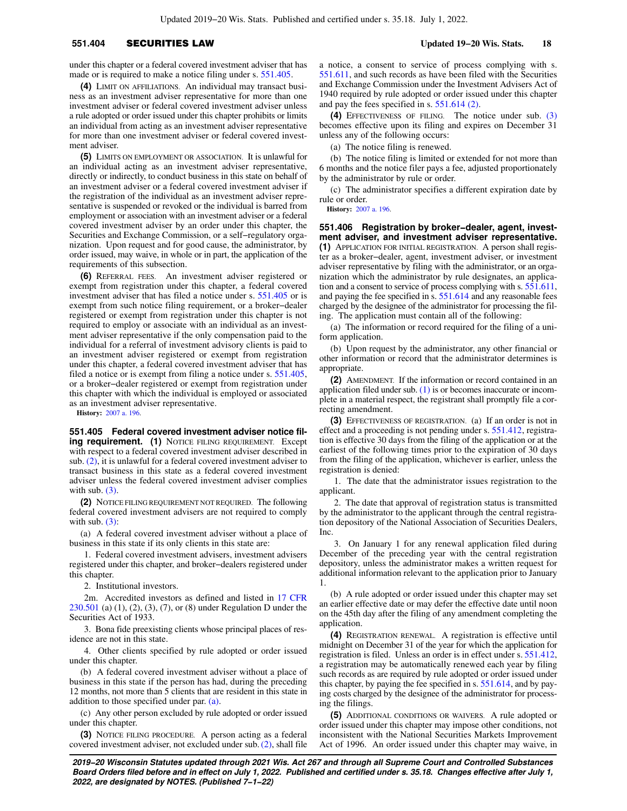## **551.404** SECURITIES LAW **Updated 19−20 Wis. Stats. 18**

under this chapter or a federal covered investment adviser that has made or is required to make a notice filing under s. [551.405](https://docs.legis.wisconsin.gov/document/statutes/551.405).

**(4)** LIMIT ON AFFILIATIONS. An individual may transact business as an investment adviser representative for more than one investment adviser or federal covered investment adviser unless a rule adopted or order issued under this chapter prohibits or limits an individual from acting as an investment adviser representative for more than one investment adviser or federal covered investment adviser.

**(5)** LIMITS ON EMPLOYMENT OR ASSOCIATION. It is unlawful for an individual acting as an investment adviser representative, directly or indirectly, to conduct business in this state on behalf of an investment adviser or a federal covered investment adviser if the registration of the individual as an investment adviser representative is suspended or revoked or the individual is barred from employment or association with an investment adviser or a federal covered investment adviser by an order under this chapter, the Securities and Exchange Commission, or a self−regulatory organization. Upon request and for good cause, the administrator, by order issued, may waive, in whole or in part, the application of the requirements of this subsection.

**(6)** REFERRAL FEES. An investment adviser registered or exempt from registration under this chapter, a federal covered investment adviser that has filed a notice under s. [551.405](https://docs.legis.wisconsin.gov/document/statutes/551.405) or is exempt from such notice filing requirement, or a broker−dealer registered or exempt from registration under this chapter is not required to employ or associate with an individual as an investment adviser representative if the only compensation paid to the individual for a referral of investment advisory clients is paid to an investment adviser registered or exempt from registration under this chapter, a federal covered investment adviser that has filed a notice or is exempt from filing a notice under s. [551.405,](https://docs.legis.wisconsin.gov/document/statutes/551.405) or a broker−dealer registered or exempt from registration under this chapter with which the individual is employed or associated as an investment adviser representative.

**History:** [2007 a. 196](https://docs.legis.wisconsin.gov/document/acts/2007/196).

**551.405 Federal covered investment adviser notice filing requirement. (1)** NOTICE FILING REQUIREMENT. Except with respect to a federal covered investment adviser described in sub. [\(2\),](https://docs.legis.wisconsin.gov/document/statutes/551.405(2)) it is unlawful for a federal covered investment adviser to transact business in this state as a federal covered investment adviser unless the federal covered investment adviser complies with sub.  $(3)$ .

**(2)** NOTICE FILING REQUIREMENT NOT REQUIRED. The following federal covered investment advisers are not required to comply with sub.  $(3)$ :

(a) A federal covered investment adviser without a place of business in this state if its only clients in this state are:

1. Federal covered investment advisers, investment advisers registered under this chapter, and broker−dealers registered under this chapter.

2. Institutional investors.

2m. Accredited investors as defined and listed in [17 CFR](https://docs.legis.wisconsin.gov/document/cfr/17%20CFR%20230.501) [230.501](https://docs.legis.wisconsin.gov/document/cfr/17%20CFR%20230.501) (a) (1), (2), (3), (7), or (8) under Regulation D under the Securities Act of 1933.

3. Bona fide preexisting clients whose principal places of residence are not in this state.

4. Other clients specified by rule adopted or order issued under this chapter.

(b) A federal covered investment adviser without a place of business in this state if the person has had, during the preceding 12 months, not more than 5 clients that are resident in this state in addition to those specified under par. [\(a\).](https://docs.legis.wisconsin.gov/document/statutes/551.405(2)(a))

(c) Any other person excluded by rule adopted or order issued under this chapter.

**(3)** NOTICE FILING PROCEDURE. A person acting as a federal covered investment adviser, not excluded under sub.[\(2\),](https://docs.legis.wisconsin.gov/document/statutes/551.405(2)) shall file a notice, a consent to service of process complying with s. [551.611](https://docs.legis.wisconsin.gov/document/statutes/551.611), and such records as have been filed with the Securities and Exchange Commission under the Investment Advisers Act of 1940 required by rule adopted or order issued under this chapter and pay the fees specified in s. [551.614 \(2\)](https://docs.legis.wisconsin.gov/document/statutes/551.614(2)).

**(4)** EFFECTIVENESS OF FILING. The notice under sub. [\(3\)](https://docs.legis.wisconsin.gov/document/statutes/551.405(3)) becomes effective upon its filing and expires on December 31 unless any of the following occurs:

(a) The notice filing is renewed.

(b) The notice filing is limited or extended for not more than 6 months and the notice filer pays a fee, adjusted proportionately by the administrator by rule or order.

(c) The administrator specifies a different expiration date by rule or order.

**History:** [2007 a. 196.](https://docs.legis.wisconsin.gov/document/acts/2007/196)

**551.406 Registration by broker−dealer, agent, investment adviser, and investment adviser representative. (1)** APPLICATION FOR INITIAL REGISTRATION. A person shall register as a broker−dealer, agent, investment adviser, or investment adviser representative by filing with the administrator, or an organization which the administrator by rule designates, an application and a consent to service of process complying with s. [551.611,](https://docs.legis.wisconsin.gov/document/statutes/551.611) and paying the fee specified in s. [551.614](https://docs.legis.wisconsin.gov/document/statutes/551.614) and any reasonable fees charged by the designee of the administrator for processing the filing. The application must contain all of the following:

(a) The information or record required for the filing of a uniform application.

(b) Upon request by the administrator, any other financial or other information or record that the administrator determines is appropriate.

**(2)** AMENDMENT. If the information or record contained in an application filed under sub. [\(1\)](https://docs.legis.wisconsin.gov/document/statutes/551.406(1)) is or becomes inaccurate or incomplete in a material respect, the registrant shall promptly file a correcting amendment.

**(3)** EFFECTIVENESS OF REGISTRATION. (a) If an order is not in effect and a proceeding is not pending under s. [551.412,](https://docs.legis.wisconsin.gov/document/statutes/551.412) registration is effective 30 days from the filing of the application or at the earliest of the following times prior to the expiration of 30 days from the filing of the application, whichever is earlier, unless the registration is denied:

1. The date that the administrator issues registration to the applicant.

2. The date that approval of registration status is transmitted by the administrator to the applicant through the central registration depository of the National Association of Securities Dealers, Inc.

3. On January 1 for any renewal application filed during December of the preceding year with the central registration depository, unless the administrator makes a written request for additional information relevant to the application prior to January 1.

(b) A rule adopted or order issued under this chapter may set an earlier effective date or may defer the effective date until noon on the 45th day after the filing of any amendment completing the application.

**(4)** REGISTRATION RENEWAL. A registration is effective until midnight on December 31 of the year for which the application for registration is filed. Unless an order is in effect under s. [551.412,](https://docs.legis.wisconsin.gov/document/statutes/551.412) a registration may be automatically renewed each year by filing such records as are required by rule adopted or order issued under this chapter, by paying the fee specified in s. [551.614,](https://docs.legis.wisconsin.gov/document/statutes/551.614) and by paying costs charged by the designee of the administrator for processing the filings.

**(5)** ADDITIONAL CONDITIONS OR WAIVERS. A rule adopted or order issued under this chapter may impose other conditions, not inconsistent with the National Securities Markets Improvement Act of 1996. An order issued under this chapter may waive, in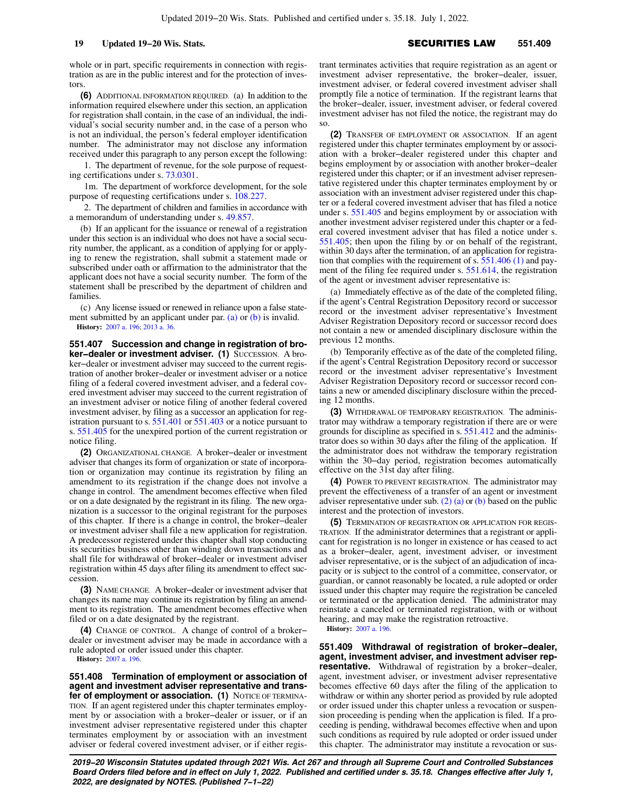whole or in part, specific requirements in connection with registration as are in the public interest and for the protection of investors.

**(6)** ADDITIONAL INFORMATION REQUIRED. (a) In addition to the information required elsewhere under this section, an application for registration shall contain, in the case of an individual, the individual's social security number and, in the case of a person who is not an individual, the person's federal employer identification number. The administrator may not disclose any information received under this paragraph to any person except the following:

1. The department of revenue, for the sole purpose of requesting certifications under s. [73.0301](https://docs.legis.wisconsin.gov/document/statutes/73.0301).

1m. The department of workforce development, for the sole purpose of requesting certifications under s. [108.227](https://docs.legis.wisconsin.gov/document/statutes/108.227).

2. The department of children and families in accordance with a memorandum of understanding under s. [49.857.](https://docs.legis.wisconsin.gov/document/statutes/49.857)

(b) If an applicant for the issuance or renewal of a registration under this section is an individual who does not have a social security number, the applicant, as a condition of applying for or applying to renew the registration, shall submit a statement made or subscribed under oath or affirmation to the administrator that the applicant does not have a social security number. The form of the statement shall be prescribed by the department of children and families.

(c) Any license issued or renewed in reliance upon a false state-ment submitted by an applicant under par. [\(a\)](https://docs.legis.wisconsin.gov/document/statutes/551.406(6)(a)) or  $(b)$  is invalid. **History:** [2007 a. 196](https://docs.legis.wisconsin.gov/document/acts/2007/196); [2013 a. 36.](https://docs.legis.wisconsin.gov/document/acts/2013/36)

**551.407 Succession and change in registration of broker–dealer or investment adviser. (1)** SUCCESSION. A broker−dealer or investment adviser may succeed to the current registration of another broker−dealer or investment adviser or a notice filing of a federal covered investment adviser, and a federal covered investment adviser may succeed to the current registration of an investment adviser or notice filing of another federal covered investment adviser, by filing as a successor an application for registration pursuant to s. [551.401](https://docs.legis.wisconsin.gov/document/statutes/551.401) or [551.403](https://docs.legis.wisconsin.gov/document/statutes/551.403) or a notice pursuant to s. [551.405](https://docs.legis.wisconsin.gov/document/statutes/551.405) for the unexpired portion of the current registration or notice filing.

**(2)** ORGANIZATIONAL CHANGE. A broker−dealer or investment adviser that changes its form of organization or state of incorporation or organization may continue its registration by filing an amendment to its registration if the change does not involve a change in control. The amendment becomes effective when filed or on a date designated by the registrant in its filing. The new organization is a successor to the original registrant for the purposes of this chapter. If there is a change in control, the broker−dealer or investment adviser shall file a new application for registration. A predecessor registered under this chapter shall stop conducting its securities business other than winding down transactions and shall file for withdrawal of broker−dealer or investment adviser registration within 45 days after filing its amendment to effect succession.

**(3)** NAME CHANGE. A broker−dealer or investment adviser that changes its name may continue its registration by filing an amendment to its registration. The amendment becomes effective when filed or on a date designated by the registrant.

**(4)** CHANGE OF CONTROL. A change of control of a broker− dealer or investment adviser may be made in accordance with a rule adopted or order issued under this chapter.

**History:** [2007 a. 196](https://docs.legis.wisconsin.gov/document/acts/2007/196).

**551.408 Termination of employment or association of agent and investment adviser representative and transfer of employment or association. (1)** NOTICE OF TERMINA-TION. If an agent registered under this chapter terminates employment by or association with a broker−dealer or issuer, or if an investment adviser representative registered under this chapter terminates employment by or association with an investment adviser or federal covered investment adviser, or if either registrant terminates activities that require registration as an agent or investment adviser representative, the broker−dealer, issuer, investment adviser, or federal covered investment adviser shall promptly file a notice of termination. If the registrant learns that the broker−dealer, issuer, investment adviser, or federal covered investment adviser has not filed the notice, the registrant may do so.

**(2)** TRANSFER OF EMPLOYMENT OR ASSOCIATION. If an agent registered under this chapter terminates employment by or association with a broker−dealer registered under this chapter and begins employment by or association with another broker−dealer registered under this chapter; or if an investment adviser representative registered under this chapter terminates employment by or association with an investment adviser registered under this chapter or a federal covered investment adviser that has filed a notice under s. [551.405](https://docs.legis.wisconsin.gov/document/statutes/551.405) and begins employment by or association with another investment adviser registered under this chapter or a federal covered investment adviser that has filed a notice under s. [551.405](https://docs.legis.wisconsin.gov/document/statutes/551.405); then upon the filing by or on behalf of the registrant, within 30 days after the termination, of an application for registration that complies with the requirement of s. [551.406 \(1\)](https://docs.legis.wisconsin.gov/document/statutes/551.406(1)) and payment of the filing fee required under s. [551.614,](https://docs.legis.wisconsin.gov/document/statutes/551.614) the registration of the agent or investment adviser representative is:

(a) Immediately effective as of the date of the completed filing, if the agent's Central Registration Depository record or successor record or the investment adviser representative's Investment Adviser Registration Depository record or successor record does not contain a new or amended disciplinary disclosure within the previous 12 months.

(b) Temporarily effective as of the date of the completed filing, if the agent's Central Registration Depository record or successor record or the investment adviser representative's Investment Adviser Registration Depository record or successor record contains a new or amended disciplinary disclosure within the preceding 12 months.

**(3)** WITHDRAWAL OF TEMPORARY REGISTRATION. The administrator may withdraw a temporary registration if there are or were grounds for discipline as specified in s. [551.412](https://docs.legis.wisconsin.gov/document/statutes/551.412) and the administrator does so within 30 days after the filing of the application. If the administrator does not withdraw the temporary registration within the 30−day period, registration becomes automatically effective on the 31st day after filing.

**(4)** POWER TO PREVENT REGISTRATION. The administrator may prevent the effectiveness of a transfer of an agent or investment adviser representative under sub.  $(2)$  (a) or [\(b\)](https://docs.legis.wisconsin.gov/document/statutes/551.408(2)(b)) based on the public interest and the protection of investors.

**(5)** TERMINATION OF REGISTRATION OR APPLICATION FOR REGIS-TRATION. If the administrator determines that a registrant or applicant for registration is no longer in existence or has ceased to act as a broker−dealer, agent, investment adviser, or investment adviser representative, or is the subject of an adjudication of incapacity or is subject to the control of a committee, conservator, or guardian, or cannot reasonably be located, a rule adopted or order issued under this chapter may require the registration be canceled or terminated or the application denied. The administrator may reinstate a canceled or terminated registration, with or without hearing, and may make the registration retroactive.

**History:** [2007 a. 196.](https://docs.legis.wisconsin.gov/document/acts/2007/196)

**551.409 Withdrawal of registration of broker−dealer, agent, investment adviser, and investment adviser representative.** Withdrawal of registration by a broker−dealer, agent, investment adviser, or investment adviser representative becomes effective 60 days after the filing of the application to withdraw or within any shorter period as provided by rule adopted or order issued under this chapter unless a revocation or suspension proceeding is pending when the application is filed. If a proceeding is pending, withdrawal becomes effective when and upon such conditions as required by rule adopted or order issued under this chapter. The administrator may institute a revocation or sus-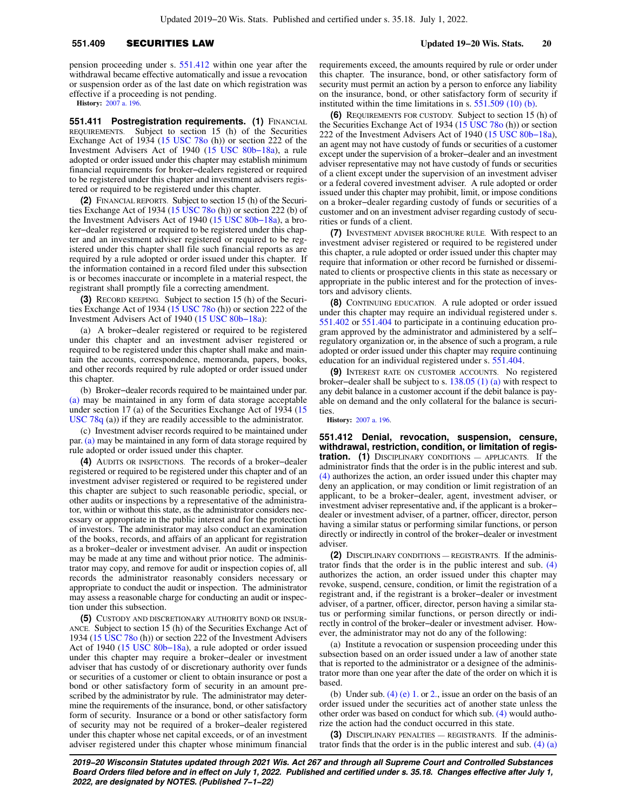## **551.409** SECURITIES LAW **Updated 19−20 Wis. Stats. 20**

pension proceeding under s. [551.412](https://docs.legis.wisconsin.gov/document/statutes/551.412) within one year after the withdrawal became effective automatically and issue a revocation or suspension order as of the last date on which registration was effective if a proceeding is not pending.

**History:** [2007 a. 196](https://docs.legis.wisconsin.gov/document/acts/2007/196).

**551.411 Postregistration requirements. (1) FINANCIAL** REQUIREMENTS. Subject to section 15 (h) of the Securities Exchange Act of 1934 [\(15 USC 78o](https://docs.legis.wisconsin.gov/document/usc/15%20USC%2078o) (h)) or section 222 of the Investment Advisers Act of 1940 [\(15 USC 80b−18a](https://docs.legis.wisconsin.gov/document/usc/15%20USC%2080b-18a)), a rule adopted or order issued under this chapter may establish minimum financial requirements for broker−dealers registered or required to be registered under this chapter and investment advisers registered or required to be registered under this chapter.

**(2)** FINANCIAL REPORTS. Subject to section 15 (h) of the Securities Exchange Act of 1934 ([15 USC 78o](https://docs.legis.wisconsin.gov/document/usc/15%20USC%2078o) (h)) or section 222 (b) of the Investment Advisers Act of 1940 ([15 USC 80b−18a\)](https://docs.legis.wisconsin.gov/document/usc/15%20USC%2080b-18a), a broker−dealer registered or required to be registered under this chapter and an investment adviser registered or required to be registered under this chapter shall file such financial reports as are required by a rule adopted or order issued under this chapter. If the information contained in a record filed under this subsection is or becomes inaccurate or incomplete in a material respect, the registrant shall promptly file a correcting amendment.

**(3)** RECORD KEEPING. Subject to section 15 (h) of the Securities Exchange Act of 1934 ([15 USC 78o](https://docs.legis.wisconsin.gov/document/usc/15%20USC%2078o) (h)) or section 222 of the Investment Advisers Act of 1940 [\(15 USC 80b−18a\)](https://docs.legis.wisconsin.gov/document/usc/15%20USC%2080b-18a):

(a) A broker−dealer registered or required to be registered under this chapter and an investment adviser registered or required to be registered under this chapter shall make and maintain the accounts, correspondence, memoranda, papers, books, and other records required by rule adopted or order issued under this chapter.

(b) Broker−dealer records required to be maintained under par. [\(a\)](https://docs.legis.wisconsin.gov/document/statutes/551.411(3)(a)) may be maintained in any form of data storage acceptable under section 17 (a) of the Securities Exchange Act of 1934 ([15](https://docs.legis.wisconsin.gov/document/usc/15%20USC%2078q) [USC 78q](https://docs.legis.wisconsin.gov/document/usc/15%20USC%2078q) (a)) if they are readily accessible to the administrator.

(c) Investment adviser records required to be maintained under par. [\(a\)](https://docs.legis.wisconsin.gov/document/statutes/551.411(3)(a)) may be maintained in any form of data storage required by rule adopted or order issued under this chapter.

**(4)** AUDITS OR INSPECTIONS. The records of a broker−dealer registered or required to be registered under this chapter and of an investment adviser registered or required to be registered under this chapter are subject to such reasonable periodic, special, or other audits or inspections by a representative of the administrator, within or without this state, as the administrator considers necessary or appropriate in the public interest and for the protection of investors. The administrator may also conduct an examination of the books, records, and affairs of an applicant for registration as a broker−dealer or investment adviser. An audit or inspection may be made at any time and without prior notice. The administrator may copy, and remove for audit or inspection copies of, all records the administrator reasonably considers necessary or appropriate to conduct the audit or inspection. The administrator may assess a reasonable charge for conducting an audit or inspection under this subsection.

**(5)** CUSTODY AND DISCRETIONARY AUTHORITY BOND OR INSUR-ANCE. Subject to section 15 (h) of the Securities Exchange Act of 1934 ([15 USC 78o](https://docs.legis.wisconsin.gov/document/usc/15%20USC%2078o) (h)) or section 222 of the Investment Advisers Act of 1940 ([15 USC 80b−18a\)](https://docs.legis.wisconsin.gov/document/usc/15%20USC%2080b-18a), a rule adopted or order issued under this chapter may require a broker−dealer or investment adviser that has custody of or discretionary authority over funds or securities of a customer or client to obtain insurance or post a bond or other satisfactory form of security in an amount prescribed by the administrator by rule. The administrator may determine the requirements of the insurance, bond, or other satisfactory form of security. Insurance or a bond or other satisfactory form of security may not be required of a broker−dealer registered under this chapter whose net capital exceeds, or of an investment adviser registered under this chapter whose minimum financial

requirements exceed, the amounts required by rule or order under this chapter. The insurance, bond, or other satisfactory form of security must permit an action by a person to enforce any liability on the insurance, bond, or other satisfactory form of security if instituted within the time limitations in s.  $551.509(10)$  (b).

**(6)** REQUIREMENTS FOR CUSTODY. Subject to section 15 (h) of the Securities Exchange Act of 1934 ([15 USC 78o](https://docs.legis.wisconsin.gov/document/usc/15%20USC%2078o) (h)) or section 222 of the Investment Advisers Act of 1940 ([15 USC 80b−18a\)](https://docs.legis.wisconsin.gov/document/usc/15%20USC%2080b-18a), an agent may not have custody of funds or securities of a customer except under the supervision of a broker−dealer and an investment adviser representative may not have custody of funds or securities of a client except under the supervision of an investment adviser or a federal covered investment adviser. A rule adopted or order issued under this chapter may prohibit, limit, or impose conditions on a broker−dealer regarding custody of funds or securities of a customer and on an investment adviser regarding custody of securities or funds of a client.

**(7)** INVESTMENT ADVISER BROCHURE RULE. With respect to an investment adviser registered or required to be registered under this chapter, a rule adopted or order issued under this chapter may require that information or other record be furnished or disseminated to clients or prospective clients in this state as necessary or appropriate in the public interest and for the protection of investors and advisory clients.

**(8)** CONTINUING EDUCATION. A rule adopted or order issued under this chapter may require an individual registered under s. [551.402](https://docs.legis.wisconsin.gov/document/statutes/551.402) or [551.404](https://docs.legis.wisconsin.gov/document/statutes/551.404) to participate in a continuing education program approved by the administrator and administered by a self− regulatory organization or, in the absence of such a program, a rule adopted or order issued under this chapter may require continuing education for an individual registered under s. [551.404](https://docs.legis.wisconsin.gov/document/statutes/551.404).

**(9)** INTEREST RATE ON CUSTOMER ACCOUNTS. No registered broker−dealer shall be subject to s. [138.05 \(1\) \(a\)](https://docs.legis.wisconsin.gov/document/statutes/138.05(1)(a)) with respect to any debit balance in a customer account if the debit balance is payable on demand and the only collateral for the balance is securities.

**History:** [2007 a. 196.](https://docs.legis.wisconsin.gov/document/acts/2007/196)

**551.412 Denial, revocation, suspension, censure, withdrawal, restriction, condition, or limitation of registration. (1)** DISCIPLINARY CONDITIONS — APPLICANTS. If the administrator finds that the order is in the public interest and sub. [\(4\)](https://docs.legis.wisconsin.gov/document/statutes/551.412(4)) authorizes the action, an order issued under this chapter may deny an application, or may condition or limit registration of an applicant, to be a broker−dealer, agent, investment adviser, or investment adviser representative and, if the applicant is a broker− dealer or investment adviser, of a partner, officer, director, person having a similar status or performing similar functions, or person directly or indirectly in control of the broker−dealer or investment adviser.

**(2)** DISCIPLINARY CONDITIONS — REGISTRANTS. If the administrator finds that the order is in the public interest and sub. [\(4\)](https://docs.legis.wisconsin.gov/document/statutes/551.412(4)) authorizes the action, an order issued under this chapter may revoke, suspend, censure, condition, or limit the registration of a registrant and, if the registrant is a broker−dealer or investment adviser, of a partner, officer, director, person having a similar status or performing similar functions, or person directly or indirectly in control of the broker−dealer or investment adviser. However, the administrator may not do any of the following:

(a) Institute a revocation or suspension proceeding under this subsection based on an order issued under a law of another state that is reported to the administrator or a designee of the administrator more than one year after the date of the order on which it is based.

(b) Under sub.  $(4)$  (e) 1. or [2.](https://docs.legis.wisconsin.gov/document/statutes/551.412(4)(e)2.), issue an order on the basis of an order issued under the securities act of another state unless the other order was based on conduct for which sub. [\(4\)](https://docs.legis.wisconsin.gov/document/statutes/551.412(4)) would authorize the action had the conduct occurred in this state.

**(3)** DISCIPLINARY PENALTIES — REGISTRANTS. If the administrator finds that the order is in the public interest and sub. [\(4\) \(a\)](https://docs.legis.wisconsin.gov/document/statutes/551.412(4)(a))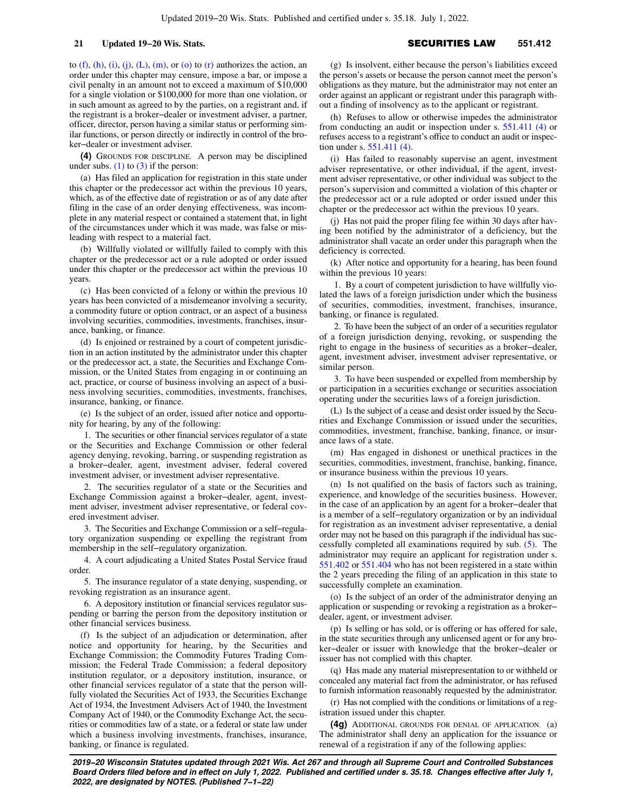to  $(f)$ ,  $(h)$ ,  $(i)$ ,  $(j)$ ,  $(L)$ ,  $(m)$ , or  $(o)$  to  $(r)$  authorizes the action, an order under this chapter may censure, impose a bar, or impose a civil penalty in an amount not to exceed a maximum of \$10,000 for a single violation or \$100,000 for more than one violation, or in such amount as agreed to by the parties, on a registrant and, if the registrant is a broker−dealer or investment adviser, a partner, officer, director, person having a similar status or performing similar functions, or person directly or indirectly in control of the broker−dealer or investment adviser.

**(4)** GROUNDS FOR DISCIPLINE. A person may be disciplined under subs.  $(1)$  to  $(3)$  if the person:

(a) Has filed an application for registration in this state under this chapter or the predecessor act within the previous 10 years, which, as of the effective date of registration or as of any date after filing in the case of an order denying effectiveness, was incomplete in any material respect or contained a statement that, in light of the circumstances under which it was made, was false or misleading with respect to a material fact.

(b) Willfully violated or willfully failed to comply with this chapter or the predecessor act or a rule adopted or order issued under this chapter or the predecessor act within the previous 10 years.

(c) Has been convicted of a felony or within the previous 10 years has been convicted of a misdemeanor involving a security, a commodity future or option contract, or an aspect of a business involving securities, commodities, investments, franchises, insurance, banking, or finance.

(d) Is enjoined or restrained by a court of competent jurisdiction in an action instituted by the administrator under this chapter or the predecessor act, a state, the Securities and Exchange Commission, or the United States from engaging in or continuing an act, practice, or course of business involving an aspect of a business involving securities, commodities, investments, franchises, insurance, banking, or finance.

(e) Is the subject of an order, issued after notice and opportunity for hearing, by any of the following:

1. The securities or other financial services regulator of a state or the Securities and Exchange Commission or other federal agency denying, revoking, barring, or suspending registration as a broker−dealer, agent, investment adviser, federal covered investment adviser, or investment adviser representative.

2. The securities regulator of a state or the Securities and Exchange Commission against a broker−dealer, agent, investment adviser, investment adviser representative, or federal covered investment adviser.

3. The Securities and Exchange Commission or a self−regulatory organization suspending or expelling the registrant from membership in the self−regulatory organization.

4. A court adjudicating a United States Postal Service fraud order.

5. The insurance regulator of a state denying, suspending, or revoking registration as an insurance agent.

6. A depository institution or financial services regulator suspending or barring the person from the depository institution or other financial services business.

(f) Is the subject of an adjudication or determination, after notice and opportunity for hearing, by the Securities and Exchange Commission; the Commodity Futures Trading Commission; the Federal Trade Commission; a federal depository institution regulator, or a depository institution, insurance, or other financial services regulator of a state that the person willfully violated the Securities Act of 1933, the Securities Exchange Act of 1934, the Investment Advisers Act of 1940, the Investment Company Act of 1940, or the Commodity Exchange Act, the securities or commodities law of a state, or a federal or state law under which a business involving investments, franchises, insurance, banking, or finance is regulated.

(g) Is insolvent, either because the person's liabilities exceed the person's assets or because the person cannot meet the person's obligations as they mature, but the administrator may not enter an order against an applicant or registrant under this paragraph without a finding of insolvency as to the applicant or registrant.

(h) Refuses to allow or otherwise impedes the administrator from conducting an audit or inspection under s. [551.411 \(4\)](https://docs.legis.wisconsin.gov/document/statutes/551.411(4)) or refuses access to a registrant's office to conduct an audit or inspection under s. [551.411 \(4\)](https://docs.legis.wisconsin.gov/document/statutes/551.411(4)).

(i) Has failed to reasonably supervise an agent, investment adviser representative, or other individual, if the agent, investment adviser representative, or other individual was subject to the person's supervision and committed a violation of this chapter or the predecessor act or a rule adopted or order issued under this chapter or the predecessor act within the previous 10 years.

(j) Has not paid the proper filing fee within 30 days after having been notified by the administrator of a deficiency, but the administrator shall vacate an order under this paragraph when the deficiency is corrected.

(k) After notice and opportunity for a hearing, has been found within the previous 10 years:

1. By a court of competent jurisdiction to have willfully violated the laws of a foreign jurisdiction under which the business of securities, commodities, investment, franchises, insurance, banking, or finance is regulated.

2. To have been the subject of an order of a securities regulator of a foreign jurisdiction denying, revoking, or suspending the right to engage in the business of securities as a broker−dealer, agent, investment adviser, investment adviser representative, or similar person.

3. To have been suspended or expelled from membership by or participation in a securities exchange or securities association operating under the securities laws of a foreign jurisdiction.

(L) Is the subject of a cease and desist order issued by the Securities and Exchange Commission or issued under the securities, commodities, investment, franchise, banking, finance, or insurance laws of a state.

(m) Has engaged in dishonest or unethical practices in the securities, commodities, investment, franchise, banking, finance, or insurance business within the previous 10 years.

(n) Is not qualified on the basis of factors such as training, experience, and knowledge of the securities business. However, in the case of an application by an agent for a broker−dealer that is a member of a self−regulatory organization or by an individual for registration as an investment adviser representative, a denial order may not be based on this paragraph if the individual has successfully completed all examinations required by sub. [\(5\).](https://docs.legis.wisconsin.gov/document/statutes/551.412(5)) The administrator may require an applicant for registration under s. [551.402](https://docs.legis.wisconsin.gov/document/statutes/551.402) or [551.404](https://docs.legis.wisconsin.gov/document/statutes/551.404) who has not been registered in a state within the 2 years preceding the filing of an application in this state to successfully complete an examination.

(o) Is the subject of an order of the administrator denying an application or suspending or revoking a registration as a broker− dealer, agent, or investment adviser.

(p) Is selling or has sold, or is offering or has offered for sale, in the state securities through any unlicensed agent or for any broker−dealer or issuer with knowledge that the broker−dealer or issuer has not complied with this chapter.

(q) Has made any material misrepresentation to or withheld or concealed any material fact from the administrator, or has refused to furnish information reasonably requested by the administrator.

(r) Has not complied with the conditions or limitations of a registration issued under this chapter.

**(4g)** ADDITIONAL GROUNDS FOR DENIAL OF APPLICATION. (a) The administrator shall deny an application for the issuance or renewal of a registration if any of the following applies: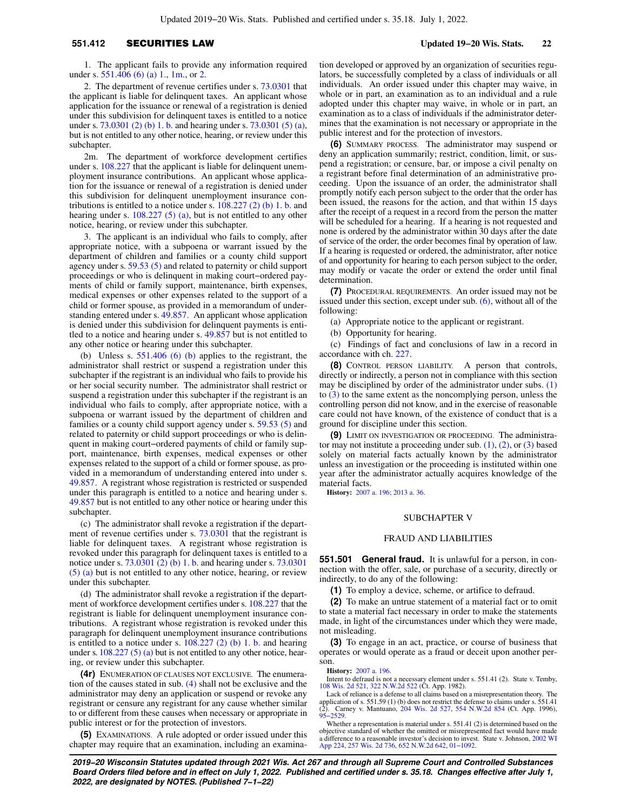## **551.412** SECURITIES LAW **Updated 19−20 Wis. Stats. 22**

1. The applicant fails to provide any information required under s. [551.406 \(6\) \(a\) 1.](https://docs.legis.wisconsin.gov/document/statutes/551.406(6)(a)1.), [1m.,](https://docs.legis.wisconsin.gov/document/statutes/551.406(6)(a)1m.) or [2.](https://docs.legis.wisconsin.gov/document/statutes/551.406(6)(a)2.)

2. The department of revenue certifies under s. [73.0301](https://docs.legis.wisconsin.gov/document/statutes/73.0301) that the applicant is liable for delinquent taxes. An applicant whose application for the issuance or renewal of a registration is denied under this subdivision for delinquent taxes is entitled to a notice under s. [73.0301 \(2\) \(b\) 1. b.](https://docs.legis.wisconsin.gov/document/statutes/73.0301(2)(b)1.b.) and hearing under s. [73.0301 \(5\) \(a\),](https://docs.legis.wisconsin.gov/document/statutes/73.0301(5)(a)) but is not entitled to any other notice, hearing, or review under this subchapter.

2m. The department of workforce development certifies under s. [108.227](https://docs.legis.wisconsin.gov/document/statutes/108.227) that the applicant is liable for delinquent unemployment insurance contributions. An applicant whose application for the issuance or renewal of a registration is denied under this subdivision for delinquent unemployment insurance contributions is entitled to a notice under s.  $108.227(2)$  (b) 1. b. and hearing under s.  $108.227(5)$  (a), but is not entitled to any other notice, hearing, or review under this subchapter.

3. The applicant is an individual who fails to comply, after appropriate notice, with a subpoena or warrant issued by the department of children and families or a county child support agency under s. [59.53 \(5\)](https://docs.legis.wisconsin.gov/document/statutes/59.53(5)) and related to paternity or child support proceedings or who is delinquent in making court−ordered payments of child or family support, maintenance, birth expenses, medical expenses or other expenses related to the support of a child or former spouse, as provided in a memorandum of understanding entered under s. [49.857.](https://docs.legis.wisconsin.gov/document/statutes/49.857) An applicant whose application is denied under this subdivision for delinquent payments is entitled to a notice and hearing under s. [49.857](https://docs.legis.wisconsin.gov/document/statutes/49.857) but is not entitled to any other notice or hearing under this subchapter.

(b) Unless s.  $551.406$  (6) (b) applies to the registrant, the administrator shall restrict or suspend a registration under this subchapter if the registrant is an individual who fails to provide his or her social security number. The administrator shall restrict or suspend a registration under this subchapter if the registrant is an individual who fails to comply, after appropriate notice, with a subpoena or warrant issued by the department of children and families or a county child support agency under s. [59.53 \(5\)](https://docs.legis.wisconsin.gov/document/statutes/59.53(5)) and related to paternity or child support proceedings or who is delinquent in making court−ordered payments of child or family support, maintenance, birth expenses, medical expenses or other expenses related to the support of a child or former spouse, as provided in a memorandum of understanding entered into under s. [49.857.](https://docs.legis.wisconsin.gov/document/statutes/49.857) A registrant whose registration is restricted or suspended under this paragraph is entitled to a notice and hearing under s. [49.857](https://docs.legis.wisconsin.gov/document/statutes/49.857) but is not entitled to any other notice or hearing under this subchapter.

(c) The administrator shall revoke a registration if the department of revenue certifies under s. [73.0301](https://docs.legis.wisconsin.gov/document/statutes/73.0301) that the registrant is liable for delinquent taxes. A registrant whose registration is revoked under this paragraph for delinquent taxes is entitled to a notice under s. [73.0301 \(2\) \(b\) 1. b.](https://docs.legis.wisconsin.gov/document/statutes/73.0301(2)(b)1.b.) and hearing under s. [73.0301](https://docs.legis.wisconsin.gov/document/statutes/73.0301(5)(a)) [\(5\) \(a\)](https://docs.legis.wisconsin.gov/document/statutes/73.0301(5)(a)) but is not entitled to any other notice, hearing, or review under this subchapter.

(d) The administrator shall revoke a registration if the department of workforce development certifies under s. [108.227](https://docs.legis.wisconsin.gov/document/statutes/108.227) that the registrant is liable for delinquent unemployment insurance contributions. A registrant whose registration is revoked under this paragraph for delinquent unemployment insurance contributions is entitled to a notice under s.  $108.227$  (2) (b) 1. b. and hearing under s.  $108.227(5)$  (a) but is not entitled to any other notice, hearing, or review under this subchapter.

**(4r)** ENUMERATION OF CLAUSES NOT EXCLUSIVE. The enumeration of the causes stated in sub. [\(4\)](https://docs.legis.wisconsin.gov/document/statutes/551.412(4)) shall not be exclusive and the administrator may deny an application or suspend or revoke any registrant or censure any registrant for any cause whether similar to or different from these causes when necessary or appropriate in public interest or for the protection of investors.

**(5)** EXAMINATIONS. A rule adopted or order issued under this chapter may require that an examination, including an examina-

tion developed or approved by an organization of securities regulators, be successfully completed by a class of individuals or all individuals. An order issued under this chapter may waive, in whole or in part, an examination as to an individual and a rule adopted under this chapter may waive, in whole or in part, an examination as to a class of individuals if the administrator determines that the examination is not necessary or appropriate in the public interest and for the protection of investors.

**(6)** SUMMARY PROCESS. The administrator may suspend or deny an application summarily; restrict, condition, limit, or suspend a registration; or censure, bar, or impose a civil penalty on a registrant before final determination of an administrative proceeding. Upon the issuance of an order, the administrator shall promptly notify each person subject to the order that the order has been issued, the reasons for the action, and that within 15 days after the receipt of a request in a record from the person the matter will be scheduled for a hearing. If a hearing is not requested and none is ordered by the administrator within 30 days after the date of service of the order, the order becomes final by operation of law. If a hearing is requested or ordered, the administrator, after notice of and opportunity for hearing to each person subject to the order, may modify or vacate the order or extend the order until final determination.

**(7)** PROCEDURAL REQUIREMENTS. An order issued may not be issued under this section, except under sub. [\(6\)](https://docs.legis.wisconsin.gov/document/statutes/551.412(6)), without all of the following:

(a) Appropriate notice to the applicant or registrant.

(b) Opportunity for hearing.

(c) Findings of fact and conclusions of law in a record in accordance with ch. [227](https://docs.legis.wisconsin.gov/document/statutes/ch.%20227).

**(8)** CONTROL PERSON LIABILITY. A person that controls, directly or indirectly, a person not in compliance with this section may be disciplined by order of the administrator under subs. [\(1\)](https://docs.legis.wisconsin.gov/document/statutes/551.412(1)) to [\(3\)](https://docs.legis.wisconsin.gov/document/statutes/551.412(3)) to the same extent as the noncomplying person, unless the controlling person did not know, and in the exercise of reasonable care could not have known, of the existence of conduct that is a ground for discipline under this section.

**(9)** LIMIT ON INVESTIGATION OR PROCEEDING. The administrator may not institute a proceeding under sub.  $(1)$ ,  $(2)$ , or  $(3)$  based solely on material facts actually known by the administrator unless an investigation or the proceeding is instituted within one year after the administrator actually acquires knowledge of the material facts.

**History:** [2007 a. 196;](https://docs.legis.wisconsin.gov/document/acts/2007/196) [2013 a. 36.](https://docs.legis.wisconsin.gov/document/acts/2013/36)

### SUBCHAPTER V

### FRAUD AND LIABILITIES

**551.501 General fraud.** It is unlawful for a person, in connection with the offer, sale, or purchase of a security, directly or indirectly, to do any of the following:

**(1)** To employ a device, scheme, or artifice to defraud.

**(2)** To make an untrue statement of a material fact or to omit to state a material fact necessary in order to make the statements made, in light of the circumstances under which they were made, not misleading.

**(3)** To engage in an act, practice, or course of business that operates or would operate as a fraud or deceit upon another person.

**History:** [2007 a. 196.](https://docs.legis.wisconsin.gov/document/acts/2007/196)

Intent to defraud is not a necessary element under s. 551.41 (2). State v. Temby, [108 Wis. 2d 521](https://docs.legis.wisconsin.gov/document/courts/108%20Wis.%202d%20521), [322 N.W.2d 522](https://docs.legis.wisconsin.gov/document/courts/322%20N.W.2d%20522) (Ct. App. 1982).

Lack of reliance is a defense to all claims based on a misrepresentation theory. The application of s. 551.59 (1) (b) does not restrict the defense to claims under s. 551.41 (2). Carney v. Mantuano, [204 Wis. 2d 527](https://docs.legis.wisconsin.gov/document/courts/204%20Wis.%202d%20527), [554 N.W.2d 854](https://docs.legis.wisconsin.gov/document/courts/554%20N.W.2d%20854) (Ct. App. 1996), [95−2529.](https://docs.legis.wisconsin.gov/document/wicourtofappeals/95-2529)

Whether a representation is material under s. 551.41 (2) is determined based on the objective standard of whether the omitted or misrepresented fact would have made a difference to a reasonable investor's decision to invest. State v. Johnson, [2002 WI](https://docs.legis.wisconsin.gov/document/courts/2002%20WI%20App%20224) [App 224](https://docs.legis.wisconsin.gov/document/courts/2002%20WI%20App%20224), [257 Wis. 2d 736,](https://docs.legis.wisconsin.gov/document/courts/257%20Wis.%202d%20736) [652 N.W.2d 642,](https://docs.legis.wisconsin.gov/document/courts/652%20N.W.2d%20642) [01−1092.](https://docs.legis.wisconsin.gov/document/wicourtofappeals/01-1092)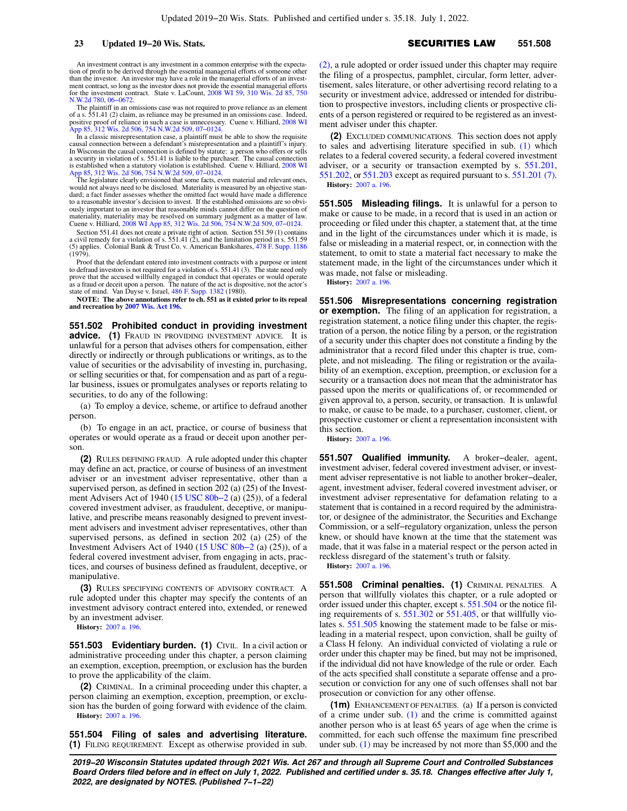An investment contract is any investment in a common enterprise with the expectation of profit to be derived through the essential managerial efforts of someone other than the investor. An investor may have a role in the managerial efforts of an investment contract, so long as the investor does not provide the essential managerial efforts for the investment contract. State v. LaCount, [2008 WI 59](https://docs.legis.wisconsin.gov/document/courts/2008%20WI%2059), [310 Wis. 2d 85](https://docs.legis.wisconsin.gov/document/courts/310%20Wis.%202d%2085), [750](https://docs.legis.wisconsin.gov/document/courts/750%20N.W.2d%20780) [N.W.2d 780,](https://docs.legis.wisconsin.gov/document/courts/750%20N.W.2d%20780) [06−0672.](https://docs.legis.wisconsin.gov/document/wisupremecourt/06-0672)

The plaintiff in an omissions case was not required to prove reliance as an element of a s. 551.41 (2) claim, as reliance may be presumed in an omissions case. Indeed, positive proof of reliance in such a case is unnecessary. Cuene v. Hilliard, [2008 WI](https://docs.legis.wisconsin.gov/document/courts/2008%20WI%20App%2085) [App 85,](https://docs.legis.wisconsin.gov/document/courts/2008%20WI%20App%2085) [312 Wis. 2d 506](https://docs.legis.wisconsin.gov/document/courts/312%20Wis.%202d%20506), [754 N.W.2d 509,](https://docs.legis.wisconsin.gov/document/courts/754%20N.W.2d%20509) [07−0124](https://docs.legis.wisconsin.gov/document/wicourtofappeals/07-0124).

In a classic misrepresentation case, a plaintiff must be able to show the requisite causal connection between a defendant's misrepresentation and a plaintiff's injury. In Wisconsin the causal connection is defined by statute: a person who offers or sells a security in violation of s. 551.41 is liable to the purchaser. The causal connection is established when a statutory violation is established. Cuene v. Hilliard, [2008 WI](https://docs.legis.wisconsin.gov/document/courts/2008%20WI%20App%2085) [App 85,](https://docs.legis.wisconsin.gov/document/courts/2008%20WI%20App%2085) [312 Wis. 2d 506](https://docs.legis.wisconsin.gov/document/courts/312%20Wis.%202d%20506), [754 N.W.2d 509,](https://docs.legis.wisconsin.gov/document/courts/754%20N.W.2d%20509) [07−0124](https://docs.legis.wisconsin.gov/document/wicourtofappeals/07-0124).

The legislature clearly envisioned that some facts, even material and relevant ones, would not always need to be disclosed. Materiality is measured by an objective standard; a fact finder assesses whether the omitted fact would have made a difference to a reasonable investor's decision to invest. If the established omissions are so obvi-ously important to an investor that reasonable minds cannot differ on the question of materiality, materiality may be resolved on summary judgment as a matter of law.<br>Cuene v. Hilliard, [2008 WI App 85,](https://docs.legis.wisconsin.gov/document/courts/2008%20WI%20App%2085) [312 Wis. 2d 506](https://docs.legis.wisconsin.gov/document/courts/312%20Wis.%202d%20506), 754

Section 551.41 does not create a private right of action. Section 551.59 (1) contains a civil remedy for a violation of s. 551.41 (2), and the limitation period in s. 551.59 (5) applies. Colonial Bank & Trust Co. v. Americ  $(1979)$ 

Proof that the defendant entered into investment contracts with a purpose or intent to defraud investors is not required for a violation of s. 551.41 (3). The state need only prove that the accused willfully engaged in conduct that operates or would operate as a fraud or deceit upon a person. The nature of the act is dispositive, not the actor's state of mind. Van Duyse v. Israel, [486 F. Supp. 1382](https://docs.legis.wisconsin.gov/document/courts/486%20F.%20Supp.%201382) (1980).

**NOTE: The above annotations refer to ch. 551 as it existed prior to its repeal and recreation by [2007 Wis. Act 196.](https://docs.legis.wisconsin.gov/document/acts/2007/196)**

**551.502 Prohibited conduct in providing investment advice. (1)** FRAUD IN PROVIDING INVESTMENT ADVICE. It is unlawful for a person that advises others for compensation, either directly or indirectly or through publications or writings, as to the value of securities or the advisability of investing in, purchasing, or selling securities or that, for compensation and as part of a regular business, issues or promulgates analyses or reports relating to securities, to do any of the following:

(a) To employ a device, scheme, or artifice to defraud another person.

(b) To engage in an act, practice, or course of business that operates or would operate as a fraud or deceit upon another person.

**(2)** RULES DEFINING FRAUD. A rule adopted under this chapter may define an act, practice, or course of business of an investment adviser or an investment adviser representative, other than a supervised person, as defined in section 202 (a) (25) of the Investment Advisers Act of 1940 ([15 USC 80b−2](https://docs.legis.wisconsin.gov/document/usc/15%20USC%2080b-2) (a) (25)), of a federal covered investment adviser, as fraudulent, deceptive, or manipulative, and prescribe means reasonably designed to prevent investment advisers and investment adviser representatives, other than supervised persons, as defined in section 202 (a) (25) of the Investment Advisers Act of 1940 [\(15 USC 80b−2](https://docs.legis.wisconsin.gov/document/usc/15%20USC%2080b-2) (a) (25)), of a federal covered investment adviser, from engaging in acts, practices, and courses of business defined as fraudulent, deceptive, or manipulative.

**(3)** RULES SPECIFYING CONTENTS OF ADVISORY CONTRACT. A rule adopted under this chapter may specify the contents of an investment advisory contract entered into, extended, or renewed by an investment adviser.

**History:** [2007 a. 196](https://docs.legis.wisconsin.gov/document/acts/2007/196).

**551.503 Evidentiary burden. (1)** CIVIL. In a civil action or administrative proceeding under this chapter, a person claiming an exemption, exception, preemption, or exclusion has the burden to prove the applicability of the claim.

**(2)** CRIMINAL. In a criminal proceeding under this chapter, a person claiming an exemption, exception, preemption, or exclusion has the burden of going forward with evidence of the claim. **History:** [2007 a. 196](https://docs.legis.wisconsin.gov/document/acts/2007/196).

**551.504 Filing of sales and advertising literature. (1)** FILING REQUIREMENT. Except as otherwise provided in sub.

[\(2\),](https://docs.legis.wisconsin.gov/document/statutes/551.504(2)) a rule adopted or order issued under this chapter may require the filing of a prospectus, pamphlet, circular, form letter, advertisement, sales literature, or other advertising record relating to a security or investment advice, addressed or intended for distribution to prospective investors, including clients or prospective clients of a person registered or required to be registered as an investment adviser under this chapter.

**(2)** EXCLUDED COMMUNICATIONS. This section does not apply to sales and advertising literature specified in sub. [\(1\)](https://docs.legis.wisconsin.gov/document/statutes/551.504(1)) which relates to a federal covered security, a federal covered investment adviser, or a security or transaction exempted by s. [551.201,](https://docs.legis.wisconsin.gov/document/statutes/551.201) [551.202](https://docs.legis.wisconsin.gov/document/statutes/551.202), or [551.203](https://docs.legis.wisconsin.gov/document/statutes/551.203) except as required pursuant to s. [551.201 \(7\).](https://docs.legis.wisconsin.gov/document/statutes/551.201(7)) **History:** [2007 a. 196.](https://docs.legis.wisconsin.gov/document/acts/2007/196)

**551.505 Misleading filings.** It is unlawful for a person to make or cause to be made, in a record that is used in an action or proceeding or filed under this chapter, a statement that, at the time and in the light of the circumstances under which it is made, is false or misleading in a material respect, or, in connection with the statement, to omit to state a material fact necessary to make the statement made, in the light of the circumstances under which it was made, not false or misleading.

**History:** [2007 a. 196.](https://docs.legis.wisconsin.gov/document/acts/2007/196)

**551.506 Misrepresentations concerning registration or exemption.** The filing of an application for registration, a registration statement, a notice filing under this chapter, the registration of a person, the notice filing by a person, or the registration of a security under this chapter does not constitute a finding by the administrator that a record filed under this chapter is true, complete, and not misleading. The filing or registration or the availability of an exemption, exception, preemption, or exclusion for a security or a transaction does not mean that the administrator has passed upon the merits or qualifications of, or recommended or given approval to, a person, security, or transaction. It is unlawful to make, or cause to be made, to a purchaser, customer, client, or prospective customer or client a representation inconsistent with this section.

**History:** [2007 a. 196.](https://docs.legis.wisconsin.gov/document/acts/2007/196)

**551.507 Qualified immunity.** A broker−dealer, agent, investment adviser, federal covered investment adviser, or investment adviser representative is not liable to another broker−dealer, agent, investment adviser, federal covered investment adviser, or investment adviser representative for defamation relating to a statement that is contained in a record required by the administrator, or designee of the administrator, the Securities and Exchange Commission, or a self−regulatory organization, unless the person knew, or should have known at the time that the statement was made, that it was false in a material respect or the person acted in reckless disregard of the statement's truth or falsity.

**History:** [2007 a. 196.](https://docs.legis.wisconsin.gov/document/acts/2007/196)

**551.508 Criminal penalties. (1)** CRIMINAL PENALTIES. A person that willfully violates this chapter, or a rule adopted or order issued under this chapter, except s. [551.504](https://docs.legis.wisconsin.gov/document/statutes/551.504) or the notice filing requirements of s. [551.302](https://docs.legis.wisconsin.gov/document/statutes/551.302) or [551.405](https://docs.legis.wisconsin.gov/document/statutes/551.405), or that willfully violates s. [551.505](https://docs.legis.wisconsin.gov/document/statutes/551.505) knowing the statement made to be false or misleading in a material respect, upon conviction, shall be guilty of a Class H felony. An individual convicted of violating a rule or order under this chapter may be fined, but may not be imprisoned, if the individual did not have knowledge of the rule or order. Each of the acts specified shall constitute a separate offense and a prosecution or conviction for any one of such offenses shall not bar prosecution or conviction for any other offense.

**(1m)** ENHANCEMENT OF PENALTIES. (a) If a person is convicted of a crime under sub. [\(1\)](https://docs.legis.wisconsin.gov/document/statutes/551.508(1)) and the crime is committed against another person who is at least 65 years of age when the crime is committed, for each such offense the maximum fine prescribed under sub. [\(1\)](https://docs.legis.wisconsin.gov/document/statutes/551.508(1)) may be increased by not more than \$5,000 and the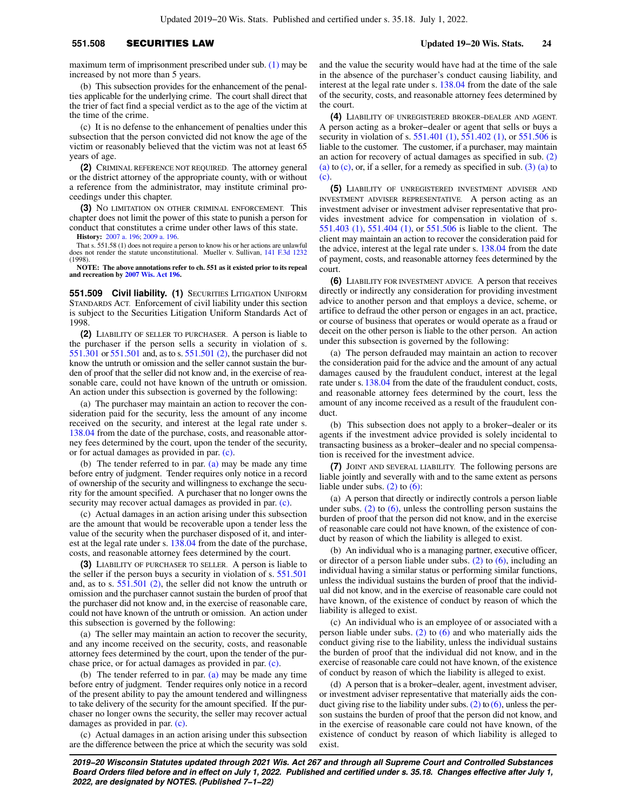## **551.508** SECURITIES LAW **Updated 19−20 Wis. Stats. 24**

maximum term of imprisonment prescribed under sub. [\(1\)](https://docs.legis.wisconsin.gov/document/statutes/551.508(1)) may be increased by not more than 5 years.

(b) This subsection provides for the enhancement of the penalties applicable for the underlying crime. The court shall direct that the trier of fact find a special verdict as to the age of the victim at the time of the crime.

(c) It is no defense to the enhancement of penalties under this subsection that the person convicted did not know the age of the victim or reasonably believed that the victim was not at least 65 years of age.

**(2)** CRIMINAL REFERENCE NOT REQUIRED. The attorney general or the district attorney of the appropriate county, with or without a reference from the administrator, may institute criminal proceedings under this chapter.

**(3)** NO LIMITATION ON OTHER CRIMINAL ENFORCEMENT. This chapter does not limit the power of this state to punish a person for conduct that constitutes a crime under other laws of this state.

**History:** [2007 a. 196](https://docs.legis.wisconsin.gov/document/acts/2007/196); [2009 a. 196](https://docs.legis.wisconsin.gov/document/acts/2009/196).

That s. 551.58 (1) does not require a person to know his or her actions are unlawful does not render the statute unconstitutional. Mueller v. Sullivan, [141 F.3d 1232](https://docs.legis.wisconsin.gov/document/courts/141%20F.3d%201232) (1998).

**NOTE: The above annotations refer to ch. 551 as it existed prior to its repeal and recreation by [2007 Wis. Act 196.](https://docs.legis.wisconsin.gov/document/acts/2007/196)**

**551.509 Civil liability. (1)** SECURITIES LITIGATION UNIFORM STANDARDS ACT. Enforcement of civil liability under this section is subject to the Securities Litigation Uniform Standards Act of 1998.

**(2)** LIABILITY OF SELLER TO PURCHASER. A person is liable to the purchaser if the person sells a security in violation of s. [551.301](https://docs.legis.wisconsin.gov/document/statutes/551.301) or [551.501](https://docs.legis.wisconsin.gov/document/statutes/551.501) and, as to s. [551.501 \(2\)](https://docs.legis.wisconsin.gov/document/statutes/551.501(2)), the purchaser did not know the untruth or omission and the seller cannot sustain the burden of proof that the seller did not know and, in the exercise of reasonable care, could not have known of the untruth or omission. An action under this subsection is governed by the following:

(a) The purchaser may maintain an action to recover the consideration paid for the security, less the amount of any income received on the security, and interest at the legal rate under s. [138.04](https://docs.legis.wisconsin.gov/document/statutes/138.04) from the date of the purchase, costs, and reasonable attorney fees determined by the court, upon the tender of the security, or for actual damages as provided in par. [\(c\)](https://docs.legis.wisconsin.gov/document/statutes/551.509(2)(c)).

(b) The tender referred to in par. [\(a\)](https://docs.legis.wisconsin.gov/document/statutes/551.509(2)(a)) may be made any time before entry of judgment. Tender requires only notice in a record of ownership of the security and willingness to exchange the security for the amount specified. A purchaser that no longer owns the security may recover actual damages as provided in par. [\(c\).](https://docs.legis.wisconsin.gov/document/statutes/551.509(2)(c))

(c) Actual damages in an action arising under this subsection are the amount that would be recoverable upon a tender less the value of the security when the purchaser disposed of it, and interest at the legal rate under s. [138.04](https://docs.legis.wisconsin.gov/document/statutes/138.04) from the date of the purchase, costs, and reasonable attorney fees determined by the court.

**(3)** LIABILITY OF PURCHASER TO SELLER. A person is liable to the seller if the person buys a security in violation of s. [551.501](https://docs.legis.wisconsin.gov/document/statutes/551.501) and, as to s.  $55\overline{1}$ ,  $501$  (2), the seller did not know the untruth or omission and the purchaser cannot sustain the burden of proof that the purchaser did not know and, in the exercise of reasonable care, could not have known of the untruth or omission. An action under this subsection is governed by the following:

(a) The seller may maintain an action to recover the security, and any income received on the security, costs, and reasonable attorney fees determined by the court, upon the tender of the purchase price, or for actual damages as provided in par. [\(c\)](https://docs.legis.wisconsin.gov/document/statutes/551.509(3)(c)).

(b) The tender referred to in par. [\(a\)](https://docs.legis.wisconsin.gov/document/statutes/551.509(3)(a)) may be made any time before entry of judgment. Tender requires only notice in a record of the present ability to pay the amount tendered and willingness to take delivery of the security for the amount specified. If the purchaser no longer owns the security, the seller may recover actual damages as provided in par. [\(c\).](https://docs.legis.wisconsin.gov/document/statutes/551.509(3)(c))

(c) Actual damages in an action arising under this subsection are the difference between the price at which the security was sold

and the value the security would have had at the time of the sale in the absence of the purchaser's conduct causing liability, and interest at the legal rate under s. [138.04](https://docs.legis.wisconsin.gov/document/statutes/138.04) from the date of the sale of the security, costs, and reasonable attorney fees determined by the court.

**(4)** LIABILITY OF UNREGISTERED BROKER−DEALER AND AGENT. A person acting as a broker−dealer or agent that sells or buys a security in violation of s. [551.401 \(1\)](https://docs.legis.wisconsin.gov/document/statutes/551.401(1)), [551.402 \(1\),](https://docs.legis.wisconsin.gov/document/statutes/551.402(1)) or [551.506](https://docs.legis.wisconsin.gov/document/statutes/551.506) is liable to the customer. The customer, if a purchaser, may maintain an action for recovery of actual damages as specified in sub. [\(2\)](https://docs.legis.wisconsin.gov/document/statutes/551.509(2)(a)) [\(a\)](https://docs.legis.wisconsin.gov/document/statutes/551.509(2)(a)) to  $(c)$ , or, if a seller, for a remedy as specified in sub.  $(3)$  (a) to [\(c\)](https://docs.legis.wisconsin.gov/document/statutes/551.509(3)(c)).

**(5)** LIABILITY OF UNREGISTERED INVESTMENT ADVISER AND INVESTMENT ADVISER REPRESENTATIVE. A person acting as an investment adviser or investment adviser representative that provides investment advice for compensation in violation of s. [551.403 \(1\),](https://docs.legis.wisconsin.gov/document/statutes/551.403(1)) [551.404 \(1\),](https://docs.legis.wisconsin.gov/document/statutes/551.404(1)) or [551.506](https://docs.legis.wisconsin.gov/document/statutes/551.506) is liable to the client. The client may maintain an action to recover the consideration paid for the advice, interest at the legal rate under s. [138.04](https://docs.legis.wisconsin.gov/document/statutes/138.04) from the date of payment, costs, and reasonable attorney fees determined by the court.

**(6)** LIABILITY FOR INVESTMENT ADVICE. A person that receives directly or indirectly any consideration for providing investment advice to another person and that employs a device, scheme, or artifice to defraud the other person or engages in an act, practice, or course of business that operates or would operate as a fraud or deceit on the other person is liable to the other person. An action under this subsection is governed by the following:

(a) The person defrauded may maintain an action to recover the consideration paid for the advice and the amount of any actual damages caused by the fraudulent conduct, interest at the legal rate under s. [138.04](https://docs.legis.wisconsin.gov/document/statutes/138.04) from the date of the fraudulent conduct, costs, and reasonable attorney fees determined by the court, less the amount of any income received as a result of the fraudulent conduct.

(b) This subsection does not apply to a broker−dealer or its agents if the investment advice provided is solely incidental to transacting business as a broker−dealer and no special compensation is received for the investment advice.

**(7)** JOINT AND SEVERAL LIABILITY. The following persons are liable jointly and severally with and to the same extent as persons liable under subs.  $(2)$  to  $(6)$ :

(a) A person that directly or indirectly controls a person liable under subs.  $(2)$  to  $(6)$ , unless the controlling person sustains the burden of proof that the person did not know, and in the exercise of reasonable care could not have known, of the existence of conduct by reason of which the liability is alleged to exist.

(b) An individual who is a managing partner, executive officer, or director of a person liable under subs.  $(2)$  to  $(6)$ , including an individual having a similar status or performing similar functions, unless the individual sustains the burden of proof that the individual did not know, and in the exercise of reasonable care could not have known, of the existence of conduct by reason of which the liability is alleged to exist.

(c) An individual who is an employee of or associated with a person liable under subs. [\(2\)](https://docs.legis.wisconsin.gov/document/statutes/551.509(2)) to  $(6)$  and who materially aids the conduct giving rise to the liability, unless the individual sustains the burden of proof that the individual did not know, and in the exercise of reasonable care could not have known, of the existence of conduct by reason of which the liability is alleged to exist.

(d) A person that is a broker−dealer, agent, investment adviser, or investment adviser representative that materially aids the conduct giving rise to the liability under subs.  $(2)$  to  $(6)$ , unless the person sustains the burden of proof that the person did not know, and in the exercise of reasonable care could not have known, of the existence of conduct by reason of which liability is alleged to exist.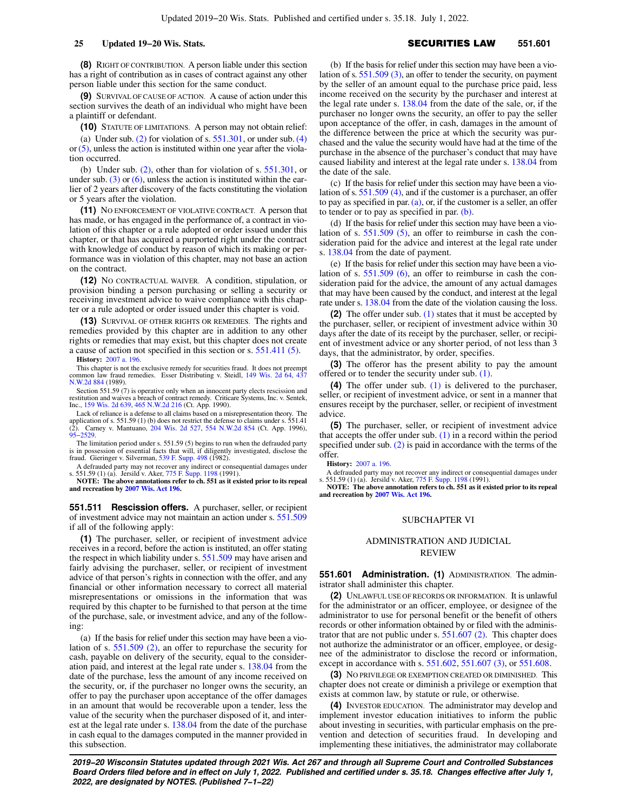**(8)** RIGHT OF CONTRIBUTION. A person liable under this section has a right of contribution as in cases of contract against any other person liable under this section for the same conduct.

**(9)** SURVIVAL OF CAUSE OF ACTION. A cause of action under this section survives the death of an individual who might have been a plaintiff or defendant.

**(10)** STATUTE OF LIMITATIONS. A person may not obtain relief:

(a) Under sub.  $(2)$  for violation of s. [551.301](https://docs.legis.wisconsin.gov/document/statutes/551.301), or under sub.  $(4)$ or  $(5)$ , unless the action is instituted within one year after the violation occurred.

(b) Under sub. [\(2\),](https://docs.legis.wisconsin.gov/document/statutes/551.509(2)) other than for violation of s. [551.301,](https://docs.legis.wisconsin.gov/document/statutes/551.301) or under sub.  $(3)$  or  $(6)$ , unless the action is instituted within the earlier of 2 years after discovery of the facts constituting the violation or 5 years after the violation.

**(11)** NO ENFORCEMENT OF VIOLATIVE CONTRACT. A person that has made, or has engaged in the performance of, a contract in violation of this chapter or a rule adopted or order issued under this chapter, or that has acquired a purported right under the contract with knowledge of conduct by reason of which its making or performance was in violation of this chapter, may not base an action on the contract.

**(12)** NO CONTRACTUAL WAIVER. A condition, stipulation, or provision binding a person purchasing or selling a security or receiving investment advice to waive compliance with this chapter or a rule adopted or order issued under this chapter is void.

**(13)** SURVIVAL OF OTHER RIGHTS OR REMEDIES. The rights and remedies provided by this chapter are in addition to any other rights or remedies that may exist, but this chapter does not create a cause of action not specified in this section or s. [551.411 \(5\).](https://docs.legis.wisconsin.gov/document/statutes/551.411(5))

**History:** [2007 a. 196](https://docs.legis.wisconsin.gov/document/acts/2007/196).

This chapter is not the exclusive remedy for securities fraud. It does not preempt common law fraud remedies. Esser Distributing v. Steidl, [149 Wis. 2d 64](https://docs.legis.wisconsin.gov/document/courts/149%20Wis.%202d%2064), [437](https://docs.legis.wisconsin.gov/document/courts/437%20N.W.2d%20884) [N.W.2d 884](https://docs.legis.wisconsin.gov/document/courts/437%20N.W.2d%20884) (1989).

Section 551.59 (7) is operative only when an innocent party elects rescission and restitution and waives a breach of contract remedy. Criticare Systems, Inc. v. Sentek, Inc., [159 Wis. 2d 639](https://docs.legis.wisconsin.gov/document/courts/159%20Wis.%202d%20639), [465 N.W.2d 216](https://docs.legis.wisconsin.gov/document/courts/465%20N.W.2d%20216) (Ct. App. 1990).

Lack of reliance is a defense to all claims based on a misrepresentation theory. The application of s. 551.59 (1) (b) does not restrict the defense to claims under s. 551.41 (2). Carney v. Mantuano, [204 Wis. 2d 527](https://docs.legis.wisconsin.gov/document/courts/204%20Wis.%202d%20527), 554 N

The limitation period under s. 551.59 (5) begins to run when the defrauded party is in possession of essential facts that will, if diligently investigated, disclose the fraud. Gieringer v. Silverman, [539 F. Supp. 498](https://docs.legis.wisconsin.gov/document/courts/539%20F.%20Supp.%20498) (1982).

A defrauded party may not recover any indirect or consequential damages under s. 551.59 (1) (a). Jersild v. Aker, [775 F. Supp. 1198](https://docs.legis.wisconsin.gov/document/courts/775%20F.%20Supp.%201198) (1991).

**NOTE: The above annotations refer to ch. 551 as it existed prior to its repeal and recreation by [2007 Wis. Act 196.](https://docs.legis.wisconsin.gov/document/acts/2007/196)**

**551.511 Rescission offers.** A purchaser, seller, or recipient of investment advice may not maintain an action under s. [551.509](https://docs.legis.wisconsin.gov/document/statutes/551.509) if all of the following apply:

**(1)** The purchaser, seller, or recipient of investment advice receives in a record, before the action is instituted, an offer stating the respect in which liability under s. [551.509](https://docs.legis.wisconsin.gov/document/statutes/551.509) may have arisen and fairly advising the purchaser, seller, or recipient of investment advice of that person's rights in connection with the offer, and any financial or other information necessary to correct all material misrepresentations or omissions in the information that was required by this chapter to be furnished to that person at the time of the purchase, sale, or investment advice, and any of the following:

(a) If the basis for relief under this section may have been a violation of s. [551.509 \(2\),](https://docs.legis.wisconsin.gov/document/statutes/551.509(2)) an offer to repurchase the security for cash, payable on delivery of the security, equal to the consideration paid, and interest at the legal rate under s. [138.04](https://docs.legis.wisconsin.gov/document/statutes/138.04) from the date of the purchase, less the amount of any income received on the security, or, if the purchaser no longer owns the security, an offer to pay the purchaser upon acceptance of the offer damages in an amount that would be recoverable upon a tender, less the value of the security when the purchaser disposed of it, and interest at the legal rate under s. [138.04](https://docs.legis.wisconsin.gov/document/statutes/138.04) from the date of the purchase in cash equal to the damages computed in the manner provided in this subsection.

(b) If the basis for relief under this section may have been a violation of s. [551.509 \(3\)](https://docs.legis.wisconsin.gov/document/statutes/551.509(3)), an offer to tender the security, on payment by the seller of an amount equal to the purchase price paid, less income received on the security by the purchaser and interest at the legal rate under s. [138.04](https://docs.legis.wisconsin.gov/document/statutes/138.04) from the date of the sale, or, if the purchaser no longer owns the security, an offer to pay the seller upon acceptance of the offer, in cash, damages in the amount of the difference between the price at which the security was purchased and the value the security would have had at the time of the purchase in the absence of the purchaser's conduct that may have caused liability and interest at the legal rate under s. [138.04](https://docs.legis.wisconsin.gov/document/statutes/138.04) from the date of the sale.

(c) If the basis for relief under this section may have been a violation of s. [551.509 \(4\)](https://docs.legis.wisconsin.gov/document/statutes/551.509(4)), and if the customer is a purchaser, an offer to pay as specified in par.  $(a)$ , or, if the customer is a seller, an offer to tender or to pay as specified in par. [\(b\).](https://docs.legis.wisconsin.gov/document/statutes/551.511(1)(b))

(d) If the basis for relief under this section may have been a violation of s. [551.509 \(5\)](https://docs.legis.wisconsin.gov/document/statutes/551.509(5)), an offer to reimburse in cash the consideration paid for the advice and interest at the legal rate under s. [138.04](https://docs.legis.wisconsin.gov/document/statutes/138.04) from the date of payment.

(e) If the basis for relief under this section may have been a violation of s. [551.509 \(6\)](https://docs.legis.wisconsin.gov/document/statutes/551.509(6)), an offer to reimburse in cash the consideration paid for the advice, the amount of any actual damages that may have been caused by the conduct, and interest at the legal rate under s. [138.04](https://docs.legis.wisconsin.gov/document/statutes/138.04) from the date of the violation causing the loss.

**(2)** The offer under sub. [\(1\)](https://docs.legis.wisconsin.gov/document/statutes/551.511(1)) states that it must be accepted by the purchaser, seller, or recipient of investment advice within 30 days after the date of its receipt by the purchaser, seller, or recipient of investment advice or any shorter period, of not less than 3 days, that the administrator, by order, specifies.

**(3)** The offeror has the present ability to pay the amount offered or to tender the security under sub. [\(1\).](https://docs.legis.wisconsin.gov/document/statutes/551.511(1))

**(4)** The offer under sub. [\(1\)](https://docs.legis.wisconsin.gov/document/statutes/551.511(1)) is delivered to the purchaser, seller, or recipient of investment advice, or sent in a manner that ensures receipt by the purchaser, seller, or recipient of investment advice.

**(5)** The purchaser, seller, or recipient of investment advice that accepts the offer under sub. [\(1\)](https://docs.legis.wisconsin.gov/document/statutes/551.511(1)) in a record within the period specified under sub. [\(2\)](https://docs.legis.wisconsin.gov/document/statutes/551.511(2)) is paid in accordance with the terms of the offer.

**History:** [2007 a. 196.](https://docs.legis.wisconsin.gov/document/acts/2007/196)

A defrauded party may not recover any indirect or consequential damages under s. 551.59 (1) (a). Jersild v. Aker, [775 F. Supp. 1198](https://docs.legis.wisconsin.gov/document/courts/775%20F.%20Supp.%201198) (1991).

**NOTE: The above annotation refers to ch. 551 as it existed prior to its repeal and recreation by [2007 Wis. Act 196.](https://docs.legis.wisconsin.gov/document/acts/2007/196)**

### SUBCHAPTER VI

## ADMINISTRATION AND JUDICIAL REVIEW

**551.601 Administration. (1)** ADMINISTRATION. The administrator shall administer this chapter.

**(2)** UNLAWFUL USE OF RECORDS OR INFORMATION. It is unlawful for the administrator or an officer, employee, or designee of the administrator to use for personal benefit or the benefit of others records or other information obtained by or filed with the administrator that are not public under s. [551.607 \(2\)](https://docs.legis.wisconsin.gov/document/statutes/551.607(2)). This chapter does not authorize the administrator or an officer, employee, or designee of the administrator to disclose the record or information, except in accordance with s. [551.602](https://docs.legis.wisconsin.gov/document/statutes/551.602), [551.607 \(3\),](https://docs.legis.wisconsin.gov/document/statutes/551.607(3)) or [551.608.](https://docs.legis.wisconsin.gov/document/statutes/551.608)

**(3)** NO PRIVILEGE OR EXEMPTION CREATED OR DIMINISHED. This chapter does not create or diminish a privilege or exemption that exists at common law, by statute or rule, or otherwise.

**(4)** INVESTOR EDUCATION. The administrator may develop and implement investor education initiatives to inform the public about investing in securities, with particular emphasis on the prevention and detection of securities fraud. In developing and implementing these initiatives, the administrator may collaborate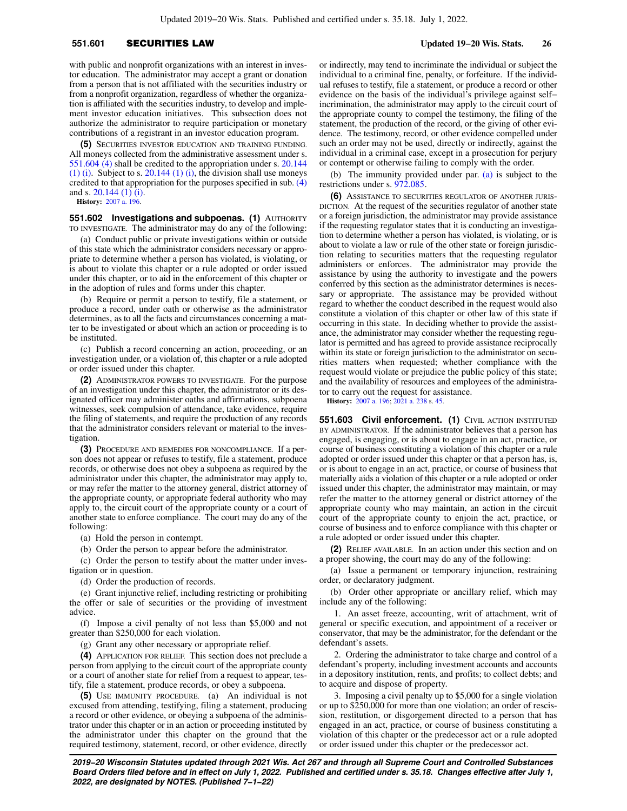## **551.601** SECURITIES LAW **Updated 19−20 Wis. Stats. 26**

with public and nonprofit organizations with an interest in investor education. The administrator may accept a grant or donation from a person that is not affiliated with the securities industry or from a nonprofit organization, regardless of whether the organization is affiliated with the securities industry, to develop and implement investor education initiatives. This subsection does not authorize the administrator to require participation or monetary contributions of a registrant in an investor education program.

**(5)** SECURITIES INVESTOR EDUCATION AND TRAINING FUNDING. All moneys collected from the administrative assessment under s. [551.604 \(4\)](https://docs.legis.wisconsin.gov/document/statutes/551.604(4)) shall be credited to the appropriation under s. [20.144](https://docs.legis.wisconsin.gov/document/statutes/20.144(1)(i)) [\(1\) \(i\).](https://docs.legis.wisconsin.gov/document/statutes/20.144(1)(i)) Subject to s.  $20.144$  (1) (i), the division shall use moneys credited to that appropriation for the purposes specified in sub. [\(4\)](https://docs.legis.wisconsin.gov/document/statutes/551.601(4)) and s. [20.144 \(1\) \(i\).](https://docs.legis.wisconsin.gov/document/statutes/20.144(1)(i))

**History:** [2007 a. 196](https://docs.legis.wisconsin.gov/document/acts/2007/196).

### **551.602 Investigations and subpoenas. (1) AUTHORITY** TO INVESTIGATE. The administrator may do any of the following:

(a) Conduct public or private investigations within or outside of this state which the administrator considers necessary or appropriate to determine whether a person has violated, is violating, or is about to violate this chapter or a rule adopted or order issued under this chapter, or to aid in the enforcement of this chapter or in the adoption of rules and forms under this chapter.

(b) Require or permit a person to testify, file a statement, or produce a record, under oath or otherwise as the administrator determines, as to all the facts and circumstances concerning a matter to be investigated or about which an action or proceeding is to be instituted.

(c) Publish a record concerning an action, proceeding, or an investigation under, or a violation of, this chapter or a rule adopted or order issued under this chapter.

**(2)** ADMINISTRATOR POWERS TO INVESTIGATE. For the purpose of an investigation under this chapter, the administrator or its designated officer may administer oaths and affirmations, subpoena witnesses, seek compulsion of attendance, take evidence, require the filing of statements, and require the production of any records that the administrator considers relevant or material to the investigation.

**(3)** PROCEDURE AND REMEDIES FOR NONCOMPLIANCE. If a person does not appear or refuses to testify, file a statement, produce records, or otherwise does not obey a subpoena as required by the administrator under this chapter, the administrator may apply to, or may refer the matter to the attorney general, district attorney of the appropriate county, or appropriate federal authority who may apply to, the circuit court of the appropriate county or a court of another state to enforce compliance. The court may do any of the following:

(a) Hold the person in contempt.

(b) Order the person to appear before the administrator.

(c) Order the person to testify about the matter under investigation or in question.

(d) Order the production of records.

(e) Grant injunctive relief, including restricting or prohibiting the offer or sale of securities or the providing of investment advice.

(f) Impose a civil penalty of not less than \$5,000 and not greater than \$250,000 for each violation.

(g) Grant any other necessary or appropriate relief.

**(4)** APPLICATION FOR RELIEF. This section does not preclude a person from applying to the circuit court of the appropriate county or a court of another state for relief from a request to appear, testify, file a statement, produce records, or obey a subpoena.

**(5)** USE IMMUNITY PROCEDURE. (a) An individual is not excused from attending, testifying, filing a statement, producing a record or other evidence, or obeying a subpoena of the administrator under this chapter or in an action or proceeding instituted by the administrator under this chapter on the ground that the required testimony, statement, record, or other evidence, directly

or indirectly, may tend to incriminate the individual or subject the individual to a criminal fine, penalty, or forfeiture. If the individual refuses to testify, file a statement, or produce a record or other evidence on the basis of the individual's privilege against self− incrimination, the administrator may apply to the circuit court of the appropriate county to compel the testimony, the filing of the statement, the production of the record, or the giving of other evidence. The testimony, record, or other evidence compelled under such an order may not be used, directly or indirectly, against the individual in a criminal case, except in a prosecution for perjury or contempt or otherwise failing to comply with the order.

(b) The immunity provided under par. [\(a\)](https://docs.legis.wisconsin.gov/document/statutes/551.602(5)(a)) is subject to the restrictions under s. [972.085.](https://docs.legis.wisconsin.gov/document/statutes/972.085)

**(6)** ASSISTANCE TO SECURITIES REGULATOR OF ANOTHER JURIS-DICTION. At the request of the securities regulator of another state or a foreign jurisdiction, the administrator may provide assistance if the requesting regulator states that it is conducting an investigation to determine whether a person has violated, is violating, or is about to violate a law or rule of the other state or foreign jurisdiction relating to securities matters that the requesting regulator administers or enforces. The administrator may provide the assistance by using the authority to investigate and the powers conferred by this section as the administrator determines is necessary or appropriate. The assistance may be provided without regard to whether the conduct described in the request would also constitute a violation of this chapter or other law of this state if occurring in this state. In deciding whether to provide the assistance, the administrator may consider whether the requesting regulator is permitted and has agreed to provide assistance reciprocally within its state or foreign jurisdiction to the administrator on securities matters when requested; whether compliance with the request would violate or prejudice the public policy of this state; and the availability of resources and employees of the administrator to carry out the request for assistance.

**History:** [2007 a. 196;](https://docs.legis.wisconsin.gov/document/acts/2007/196) [2021 a. 238](https://docs.legis.wisconsin.gov/document/acts/2021/238) s. [45](https://docs.legis.wisconsin.gov/document/acts/2021/238,%20s.%2045).

**551.603 Civil enforcement. (1)** CIVIL ACTION INSTITUTED BY ADMINISTRATOR. If the administrator believes that a person has engaged, is engaging, or is about to engage in an act, practice, or course of business constituting a violation of this chapter or a rule adopted or order issued under this chapter or that a person has, is, or is about to engage in an act, practice, or course of business that materially aids a violation of this chapter or a rule adopted or order issued under this chapter, the administrator may maintain, or may refer the matter to the attorney general or district attorney of the appropriate county who may maintain, an action in the circuit court of the appropriate county to enjoin the act, practice, or course of business and to enforce compliance with this chapter or a rule adopted or order issued under this chapter.

**(2)** RELIEF AVAILABLE. In an action under this section and on a proper showing, the court may do any of the following:

(a) Issue a permanent or temporary injunction, restraining order, or declaratory judgment.

(b) Order other appropriate or ancillary relief, which may include any of the following:

1. An asset freeze, accounting, writ of attachment, writ of general or specific execution, and appointment of a receiver or conservator, that may be the administrator, for the defendant or the defendant's assets.

2. Ordering the administrator to take charge and control of a defendant's property, including investment accounts and accounts in a depository institution, rents, and profits; to collect debts; and to acquire and dispose of property.

3. Imposing a civil penalty up to \$5,000 for a single violation or up to \$250,000 for more than one violation; an order of rescission, restitution, or disgorgement directed to a person that has engaged in an act, practice, or course of business constituting a violation of this chapter or the predecessor act or a rule adopted or order issued under this chapter or the predecessor act.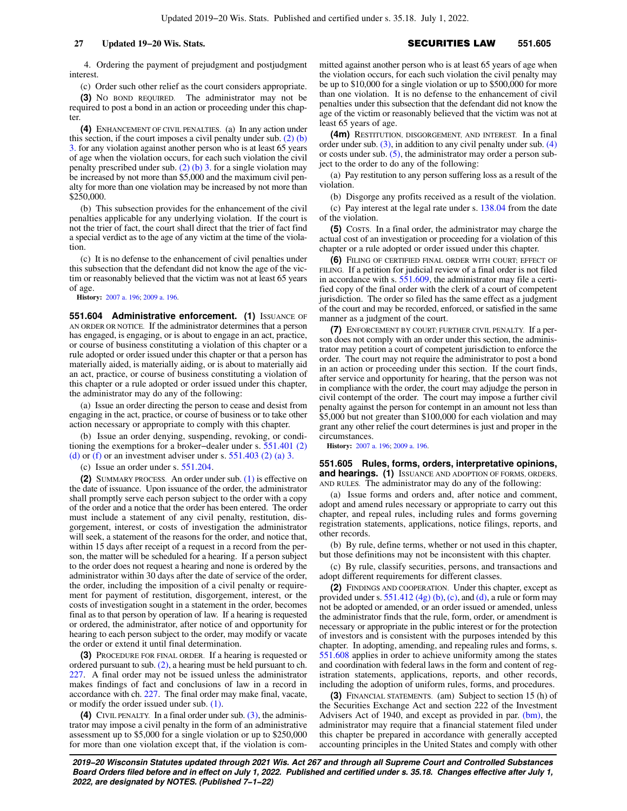4. Ordering the payment of prejudgment and postjudgment interest.

(c) Order such other relief as the court considers appropriate. **(3)** NO BOND REQUIRED. The administrator may not be required to post a bond in an action or proceeding under this chapter.

**(4)** ENHANCEMENT OF CIVIL PENALTIES. (a) In any action under this section, if the court imposes a civil penalty under sub.  $(2)$  (b) [3.](https://docs.legis.wisconsin.gov/document/statutes/551.603(2)(b)3.) for any violation against another person who is at least 65 years of age when the violation occurs, for each such violation the civil penalty prescribed under sub.  $(2)$  (b) 3. for a single violation may be increased by not more than \$5,000 and the maximum civil penalty for more than one violation may be increased by not more than \$250,000.

(b) This subsection provides for the enhancement of the civil penalties applicable for any underlying violation. If the court is not the trier of fact, the court shall direct that the trier of fact find a special verdict as to the age of any victim at the time of the violation.

(c) It is no defense to the enhancement of civil penalties under this subsection that the defendant did not know the age of the victim or reasonably believed that the victim was not at least 65 years of age.

**History:** [2007 a. 196](https://docs.legis.wisconsin.gov/document/acts/2007/196); [2009 a. 196](https://docs.legis.wisconsin.gov/document/acts/2009/196).

**551.604 Administrative enforcement. (1)** ISSUANCE OF AN ORDER OR NOTICE. If the administrator determines that a person has engaged, is engaging, or is about to engage in an act, practice, or course of business constituting a violation of this chapter or a rule adopted or order issued under this chapter or that a person has materially aided, is materially aiding, or is about to materially aid an act, practice, or course of business constituting a violation of this chapter or a rule adopted or order issued under this chapter, the administrator may do any of the following:

(a) Issue an order directing the person to cease and desist from engaging in the act, practice, or course of business or to take other action necessary or appropriate to comply with this chapter.

(b) Issue an order denying, suspending, revoking, or conditioning the exemptions for a broker−dealer under s. [551.401 \(2\)](https://docs.legis.wisconsin.gov/document/statutes/551.401(2)(d)) [\(d\)](https://docs.legis.wisconsin.gov/document/statutes/551.401(2)(d)) or [\(f\)](https://docs.legis.wisconsin.gov/document/statutes/551.401(2)(f)) or an investment adviser under s.  $551.403$  (2) (a) 3.

(c) Issue an order under s. [551.204.](https://docs.legis.wisconsin.gov/document/statutes/551.204)

**(2)** SUMMARY PROCESS. An order under sub. [\(1\)](https://docs.legis.wisconsin.gov/document/statutes/551.604(1)) is effective on the date of issuance. Upon issuance of the order, the administrator shall promptly serve each person subject to the order with a copy of the order and a notice that the order has been entered. The order must include a statement of any civil penalty, restitution, disgorgement, interest, or costs of investigation the administrator will seek, a statement of the reasons for the order, and notice that, within 15 days after receipt of a request in a record from the person, the matter will be scheduled for a hearing. If a person subject to the order does not request a hearing and none is ordered by the administrator within 30 days after the date of service of the order, the order, including the imposition of a civil penalty or requirement for payment of restitution, disgorgement, interest, or the costs of investigation sought in a statement in the order, becomes final as to that person by operation of law. If a hearing is requested or ordered, the administrator, after notice of and opportunity for hearing to each person subject to the order, may modify or vacate the order or extend it until final determination.

**(3)** PROCEDURE FOR FINAL ORDER. If a hearing is requested or ordered pursuant to sub. [\(2\),](https://docs.legis.wisconsin.gov/document/statutes/551.604(2)) a hearing must be held pursuant to ch. [227](https://docs.legis.wisconsin.gov/document/statutes/ch.%20227). A final order may not be issued unless the administrator makes findings of fact and conclusions of law in a record in accordance with ch. [227](https://docs.legis.wisconsin.gov/document/statutes/ch.%20227). The final order may make final, vacate, or modify the order issued under sub. [\(1\)](https://docs.legis.wisconsin.gov/document/statutes/551.604(1)).

**(4)** CIVIL PENALTY. In a final order under sub. [\(3\)](https://docs.legis.wisconsin.gov/document/statutes/551.604(3)), the administrator may impose a civil penalty in the form of an administrative assessment up to \$5,000 for a single violation or up to \$250,000 for more than one violation except that, if the violation is committed against another person who is at least 65 years of age when the violation occurs, for each such violation the civil penalty may be up to \$10,000 for a single violation or up to \$500,000 for more than one violation. It is no defense to the enhancement of civil penalties under this subsection that the defendant did not know the age of the victim or reasonably believed that the victim was not at least 65 years of age.

**(4m)** RESTITUTION, DISGORGEMENT, AND INTEREST. In a final order under sub.  $(3)$ , in addition to any civil penalty under sub.  $(4)$ or costs under sub. [\(5\)](https://docs.legis.wisconsin.gov/document/statutes/551.604(5)), the administrator may order a person subject to the order to do any of the following:

(a) Pay restitution to any person suffering loss as a result of the violation.

(b) Disgorge any profits received as a result of the violation. (c) Pay interest at the legal rate under s. [138.04](https://docs.legis.wisconsin.gov/document/statutes/138.04) from the date of the violation.

**(5)** COSTS. In a final order, the administrator may charge the actual cost of an investigation or proceeding for a violation of this chapter or a rule adopted or order issued under this chapter.

**(6)** FILING OF CERTIFIED FINAL ORDER WITH COURT; EFFECT OF FILING. If a petition for judicial review of a final order is not filed in accordance with s. [551.609](https://docs.legis.wisconsin.gov/document/statutes/551.609), the administrator may file a certified copy of the final order with the clerk of a court of competent jurisdiction. The order so filed has the same effect as a judgment of the court and may be recorded, enforced, or satisfied in the same manner as a judgment of the court.

**(7)** ENFORCEMENT BY COURT; FURTHER CIVIL PENALTY. If a person does not comply with an order under this section, the administrator may petition a court of competent jurisdiction to enforce the order. The court may not require the administrator to post a bond in an action or proceeding under this section. If the court finds, after service and opportunity for hearing, that the person was not in compliance with the order, the court may adjudge the person in civil contempt of the order. The court may impose a further civil penalty against the person for contempt in an amount not less than \$5,000 but not greater than \$100,000 for each violation and may grant any other relief the court determines is just and proper in the circumstances.

**History:** [2007 a. 196;](https://docs.legis.wisconsin.gov/document/acts/2007/196) [2009 a. 196](https://docs.legis.wisconsin.gov/document/acts/2009/196).

**551.605 Rules, forms, orders, interpretative opinions, and hearings. (1)** ISSUANCE AND ADOPTION OF FORMS, ORDERS, AND RULES. The administrator may do any of the following:

(a) Issue forms and orders and, after notice and comment, adopt and amend rules necessary or appropriate to carry out this chapter, and repeal rules, including rules and forms governing registration statements, applications, notice filings, reports, and other records.

(b) By rule, define terms, whether or not used in this chapter, but those definitions may not be inconsistent with this chapter.

(c) By rule, classify securities, persons, and transactions and adopt different requirements for different classes.

**(2)** FINDINGS AND COOPERATION. Under this chapter, except as provided under s.  $551.412$  (4g) (b), [\(c\),](https://docs.legis.wisconsin.gov/document/statutes/551.412(4g)(c)) and [\(d\),](https://docs.legis.wisconsin.gov/document/statutes/551.412(4g)(d)) a rule or form may not be adopted or amended, or an order issued or amended, unless the administrator finds that the rule, form, order, or amendment is necessary or appropriate in the public interest or for the protection of investors and is consistent with the purposes intended by this chapter. In adopting, amending, and repealing rules and forms, s. [551.608](https://docs.legis.wisconsin.gov/document/statutes/551.608) applies in order to achieve uniformity among the states and coordination with federal laws in the form and content of registration statements, applications, reports, and other records, including the adoption of uniform rules, forms, and procedures.

**(3)** FINANCIAL STATEMENTS. (am) Subject to section 15 (h) of the Securities Exchange Act and section 222 of the Investment Advisers Act of 1940, and except as provided in par. [\(bm\)](https://docs.legis.wisconsin.gov/document/statutes/551.605(3)(bm)), the administrator may require that a financial statement filed under this chapter be prepared in accordance with generally accepted accounting principles in the United States and comply with other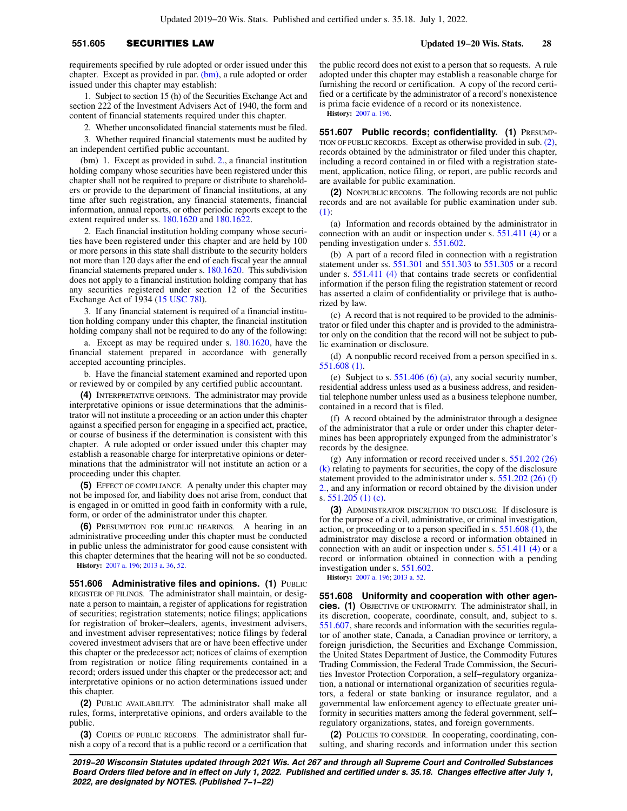## **551.605** SECURITIES LAW **Updated 19−20 Wis. Stats. 28**

requirements specified by rule adopted or order issued under this chapter. Except as provided in par. [\(bm\),](https://docs.legis.wisconsin.gov/document/statutes/551.605(3)(bm)) a rule adopted or order issued under this chapter may establish:

1. Subject to section 15 (h) of the Securities Exchange Act and section 222 of the Investment Advisers Act of 1940, the form and content of financial statements required under this chapter.

2. Whether unconsolidated financial statements must be filed. 3. Whether required financial statements must be audited by an independent certified public accountant.

(bm) 1. Except as provided in subd. [2.](https://docs.legis.wisconsin.gov/document/statutes/551.605(3)(bm)2.), a financial institution holding company whose securities have been registered under this chapter shall not be required to prepare or distribute to shareholders or provide to the department of financial institutions, at any time after such registration, any financial statements, financial information, annual reports, or other periodic reports except to the extent required under ss. [180.1620](https://docs.legis.wisconsin.gov/document/statutes/180.1620) and [180.1622.](https://docs.legis.wisconsin.gov/document/statutes/180.1622)

2. Each financial institution holding company whose securities have been registered under this chapter and are held by 100 or more persons in this state shall distribute to the security holders not more than 120 days after the end of each fiscal year the annual financial statements prepared under s. [180.1620](https://docs.legis.wisconsin.gov/document/statutes/180.1620). This subdivision does not apply to a financial institution holding company that has any securities registered under section 12 of the Securities Exchange Act of 1934 [\(15 USC 78l\)](https://docs.legis.wisconsin.gov/document/usc/15%20USC%2078l).

3. If any financial statement is required of a financial institution holding company under this chapter, the financial institution holding company shall not be required to do any of the following:

a. Except as may be required under s. [180.1620](https://docs.legis.wisconsin.gov/document/statutes/180.1620), have the financial statement prepared in accordance with generally accepted accounting principles.

b. Have the financial statement examined and reported upon or reviewed by or compiled by any certified public accountant.

**(4)** INTERPRETATIVE OPINIONS. The administrator may provide interpretative opinions or issue determinations that the administrator will not institute a proceeding or an action under this chapter against a specified person for engaging in a specified act, practice, or course of business if the determination is consistent with this chapter. A rule adopted or order issued under this chapter may establish a reasonable charge for interpretative opinions or determinations that the administrator will not institute an action or a proceeding under this chapter.

**(5)** EFFECT OF COMPLIANCE. A penalty under this chapter may not be imposed for, and liability does not arise from, conduct that is engaged in or omitted in good faith in conformity with a rule, form, or order of the administrator under this chapter.

**(6)** PRESUMPTION FOR PUBLIC HEARINGS. A hearing in an administrative proceeding under this chapter must be conducted in public unless the administrator for good cause consistent with this chapter determines that the hearing will not be so conducted. **History:** [2007 a. 196](https://docs.legis.wisconsin.gov/document/acts/2007/196); [2013 a. 36,](https://docs.legis.wisconsin.gov/document/acts/2013/36) [52](https://docs.legis.wisconsin.gov/document/acts/2013/52).

**551.606 Administrative files and opinions. (1) PUBLIC** REGISTER OF FILINGS. The administrator shall maintain, or designate a person to maintain, a register of applications for registration of securities; registration statements; notice filings; applications for registration of broker−dealers, agents, investment advisers, and investment adviser representatives; notice filings by federal covered investment advisers that are or have been effective under this chapter or the predecessor act; notices of claims of exemption from registration or notice filing requirements contained in a record; orders issued under this chapter or the predecessor act; and interpretative opinions or no action determinations issued under this chapter.

**(2)** PUBLIC AVAILABILITY. The administrator shall make all rules, forms, interpretative opinions, and orders available to the public.

**(3)** COPIES OF PUBLIC RECORDS. The administrator shall furnish a copy of a record that is a public record or a certification that the public record does not exist to a person that so requests. A rule adopted under this chapter may establish a reasonable charge for furnishing the record or certification. A copy of the record certified or a certificate by the administrator of a record's nonexistence is prima facie evidence of a record or its nonexistence.

**History:** [2007 a. 196.](https://docs.legis.wisconsin.gov/document/acts/2007/196)

**551.607 Public records; confidentiality. (1)** PRESUMP-TION OF PUBLIC RECORDS. Except as otherwise provided in sub. [\(2\),](https://docs.legis.wisconsin.gov/document/statutes/551.607(2)) records obtained by the administrator or filed under this chapter, including a record contained in or filed with a registration statement, application, notice filing, or report, are public records and are available for public examination.

**(2)** NONPUBLIC RECORDS. The following records are not public records and are not available for public examination under sub. [\(1\):](https://docs.legis.wisconsin.gov/document/statutes/551.607(1))

(a) Information and records obtained by the administrator in connection with an audit or inspection under s. [551.411 \(4\)](https://docs.legis.wisconsin.gov/document/statutes/551.411(4)) or a pending investigation under s. [551.602.](https://docs.legis.wisconsin.gov/document/statutes/551.602)

(b) A part of a record filed in connection with a registration statement under ss. [551.301](https://docs.legis.wisconsin.gov/document/statutes/551.301) and [551.303](https://docs.legis.wisconsin.gov/document/statutes/551.303) to [551.305](https://docs.legis.wisconsin.gov/document/statutes/551.305) or a record under s. [551.411 \(4\)](https://docs.legis.wisconsin.gov/document/statutes/551.411(4)) that contains trade secrets or confidential information if the person filing the registration statement or record has asserted a claim of confidentiality or privilege that is authorized by law.

(c) A record that is not required to be provided to the administrator or filed under this chapter and is provided to the administrator only on the condition that the record will not be subject to public examination or disclosure.

(d) A nonpublic record received from a person specified in s. [551.608 \(1\)](https://docs.legis.wisconsin.gov/document/statutes/551.608(1)).

(e) Subject to s.  $551.406$  (6) (a), any social security number, residential address unless used as a business address, and residential telephone number unless used as a business telephone number, contained in a record that is filed.

(f) A record obtained by the administrator through a designee of the administrator that a rule or order under this chapter determines has been appropriately expunged from the administrator's records by the designee.

(g) Any information or record received under s. [551.202 \(26\)](https://docs.legis.wisconsin.gov/document/statutes/551.202(26)(k)) [\(k\)](https://docs.legis.wisconsin.gov/document/statutes/551.202(26)(k)) relating to payments for securities, the copy of the disclosure statement provided to the administrator under s. [551.202 \(26\) \(f\)](https://docs.legis.wisconsin.gov/document/statutes/551.202(26)(f)2.) [2.,](https://docs.legis.wisconsin.gov/document/statutes/551.202(26)(f)2.) and any information or record obtained by the division under s. [551.205 \(1\) \(c\).](https://docs.legis.wisconsin.gov/document/statutes/551.205(1)(c))

**(3)** ADMINISTRATOR DISCRETION TO DISCLOSE. If disclosure is for the purpose of a civil, administrative, or criminal investigation, action, or proceeding or to a person specified in s. [551.608 \(1\)](https://docs.legis.wisconsin.gov/document/statutes/551.608(1)), the administrator may disclose a record or information obtained in connection with an audit or inspection under s. [551.411 \(4\)](https://docs.legis.wisconsin.gov/document/statutes/551.411(4)) or a record or information obtained in connection with a pending investigation under s. [551.602](https://docs.legis.wisconsin.gov/document/statutes/551.602).

**History:** [2007 a. 196;](https://docs.legis.wisconsin.gov/document/acts/2007/196) [2013 a. 52.](https://docs.legis.wisconsin.gov/document/acts/2013/52)

**551.608 Uniformity and cooperation with other agencies. (1)** OBJECTIVE OF UNIFORMITY. The administrator shall, in its discretion, cooperate, coordinate, consult, and, subject to s. [551.607](https://docs.legis.wisconsin.gov/document/statutes/551.607), share records and information with the securities regulator of another state, Canada, a Canadian province or territory, a foreign jurisdiction, the Securities and Exchange Commission, the United States Department of Justice, the Commodity Futures Trading Commission, the Federal Trade Commission, the Securities Investor Protection Corporation, a self−regulatory organization, a national or international organization of securities regulators, a federal or state banking or insurance regulator, and a governmental law enforcement agency to effectuate greater uniformity in securities matters among the federal government, self− regulatory organizations, states, and foreign governments.

**(2)** POLICIES TO CONSIDER. In cooperating, coordinating, consulting, and sharing records and information under this section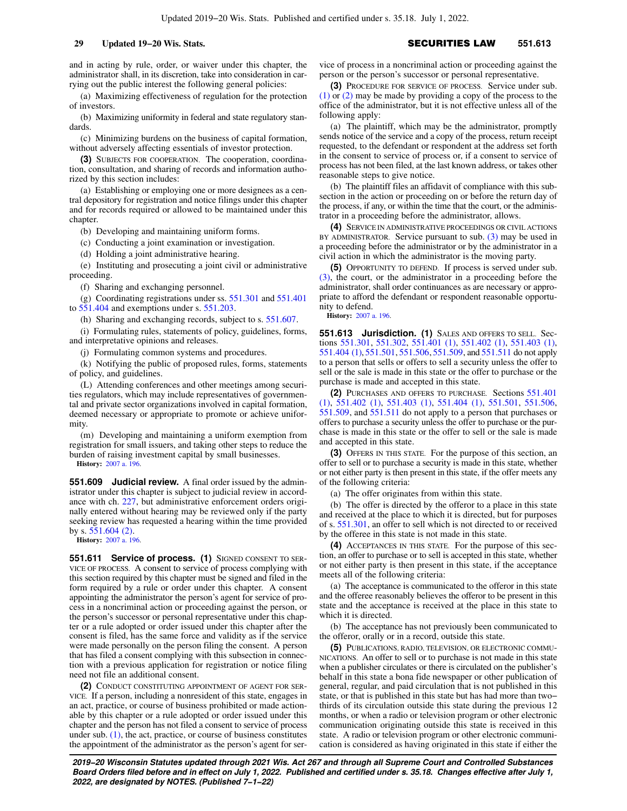and in acting by rule, order, or waiver under this chapter, the administrator shall, in its discretion, take into consideration in carrying out the public interest the following general policies:

(a) Maximizing effectiveness of regulation for the protection of investors.

(b) Maximizing uniformity in federal and state regulatory standards.

(c) Minimizing burdens on the business of capital formation, without adversely affecting essentials of investor protection.

**(3)** SUBJECTS FOR COOPERATION. The cooperation, coordination, consultation, and sharing of records and information authorized by this section includes:

(a) Establishing or employing one or more designees as a central depository for registration and notice filings under this chapter and for records required or allowed to be maintained under this chapter.

(b) Developing and maintaining uniform forms.

(c) Conducting a joint examination or investigation.

(d) Holding a joint administrative hearing.

(e) Instituting and prosecuting a joint civil or administrative proceeding.

(f) Sharing and exchanging personnel.

(g) Coordinating registrations under ss. [551.301](https://docs.legis.wisconsin.gov/document/statutes/551.301) and [551.401](https://docs.legis.wisconsin.gov/document/statutes/551.401) to [551.404](https://docs.legis.wisconsin.gov/document/statutes/551.404) and exemptions under s. [551.203.](https://docs.legis.wisconsin.gov/document/statutes/551.203)

(h) Sharing and exchanging records, subject to s. [551.607](https://docs.legis.wisconsin.gov/document/statutes/551.607).

(i) Formulating rules, statements of policy, guidelines, forms, and interpretative opinions and releases.

(j) Formulating common systems and procedures.

(k) Notifying the public of proposed rules, forms, statements of policy, and guidelines.

(L) Attending conferences and other meetings among securities regulators, which may include representatives of governmental and private sector organizations involved in capital formation, deemed necessary or appropriate to promote or achieve uniformity.

(m) Developing and maintaining a uniform exemption from registration for small issuers, and taking other steps to reduce the burden of raising investment capital by small businesses.

**History:** [2007 a. 196](https://docs.legis.wisconsin.gov/document/acts/2007/196).

**551.609 Judicial review.** A final order issued by the administrator under this chapter is subject to judicial review in accordance with ch. [227](https://docs.legis.wisconsin.gov/document/statutes/ch.%20227), but administrative enforcement orders originally entered without hearing may be reviewed only if the party seeking review has requested a hearing within the time provided by s. [551.604 \(2\)](https://docs.legis.wisconsin.gov/document/statutes/551.604(2)).

**History:** [2007 a. 196](https://docs.legis.wisconsin.gov/document/acts/2007/196).

**551.611 Service of process. (1)** SIGNED CONSENT TO SER-VICE OF PROCESS. A consent to service of process complying with this section required by this chapter must be signed and filed in the form required by a rule or order under this chapter. A consent appointing the administrator the person's agent for service of process in a noncriminal action or proceeding against the person, or the person's successor or personal representative under this chapter or a rule adopted or order issued under this chapter after the consent is filed, has the same force and validity as if the service were made personally on the person filing the consent. A person that has filed a consent complying with this subsection in connection with a previous application for registration or notice filing need not file an additional consent.

**(2)** CONDUCT CONSTITUTING APPOINTMENT OF AGENT FOR SER-VICE. If a person, including a nonresident of this state, engages in an act, practice, or course of business prohibited or made actionable by this chapter or a rule adopted or order issued under this chapter and the person has not filed a consent to service of process under sub.  $(1)$ , the act, practice, or course of business constitutes the appointment of the administrator as the person's agent for service of process in a noncriminal action or proceeding against the person or the person's successor or personal representative.

**(3)** PROCEDURE FOR SERVICE OF PROCESS. Service under sub. [\(1\)](https://docs.legis.wisconsin.gov/document/statutes/551.611(1)) or [\(2\)](https://docs.legis.wisconsin.gov/document/statutes/551.611(2)) may be made by providing a copy of the process to the office of the administrator, but it is not effective unless all of the following apply:

(a) The plaintiff, which may be the administrator, promptly sends notice of the service and a copy of the process, return receipt requested, to the defendant or respondent at the address set forth in the consent to service of process or, if a consent to service of process has not been filed, at the last known address, or takes other reasonable steps to give notice.

(b) The plaintiff files an affidavit of compliance with this subsection in the action or proceeding on or before the return day of the process, if any, or within the time that the court, or the administrator in a proceeding before the administrator, allows.

**(4)** SERVICE IN ADMINISTRATIVE PROCEEDINGS OR CIVIL ACTIONS BY ADMINISTRATOR. Service pursuant to sub. [\(3\)](https://docs.legis.wisconsin.gov/document/statutes/551.611(3)) may be used in a proceeding before the administrator or by the administrator in a civil action in which the administrator is the moving party.

**(5)** OPPORTUNITY TO DEFEND. If process is served under sub. [\(3\),](https://docs.legis.wisconsin.gov/document/statutes/551.611(3)) the court, or the administrator in a proceeding before the administrator, shall order continuances as are necessary or appropriate to afford the defendant or respondent reasonable opportunity to defend.

**History:** [2007 a. 196.](https://docs.legis.wisconsin.gov/document/acts/2007/196)

**551.613 Jurisdiction. (1)** SALES AND OFFERS TO SELL. Sections [551.301](https://docs.legis.wisconsin.gov/document/statutes/551.301), [551.302,](https://docs.legis.wisconsin.gov/document/statutes/551.302) [551.401 \(1\)](https://docs.legis.wisconsin.gov/document/statutes/551.401(1)), [551.402 \(1\),](https://docs.legis.wisconsin.gov/document/statutes/551.402(1)) [551.403 \(1\),](https://docs.legis.wisconsin.gov/document/statutes/551.403(1)) [551.404 \(1\)](https://docs.legis.wisconsin.gov/document/statutes/551.404(1)), [551.501](https://docs.legis.wisconsin.gov/document/statutes/551.501), [551.506](https://docs.legis.wisconsin.gov/document/statutes/551.506), [551.509](https://docs.legis.wisconsin.gov/document/statutes/551.509), and [551.511](https://docs.legis.wisconsin.gov/document/statutes/551.511) do not apply to a person that sells or offers to sell a security unless the offer to sell or the sale is made in this state or the offer to purchase or the purchase is made and accepted in this state.

**(2)** PURCHASES AND OFFERS TO PURCHASE. Sections [551.401](https://docs.legis.wisconsin.gov/document/statutes/551.401(1)) [\(1\),](https://docs.legis.wisconsin.gov/document/statutes/551.401(1)) [551.402 \(1\)](https://docs.legis.wisconsin.gov/document/statutes/551.402(1)), [551.403 \(1\),](https://docs.legis.wisconsin.gov/document/statutes/551.403(1)) [551.404 \(1\)](https://docs.legis.wisconsin.gov/document/statutes/551.404(1)), [551.501,](https://docs.legis.wisconsin.gov/document/statutes/551.501) [551.506,](https://docs.legis.wisconsin.gov/document/statutes/551.506) [551.509](https://docs.legis.wisconsin.gov/document/statutes/551.509), and [551.511](https://docs.legis.wisconsin.gov/document/statutes/551.511) do not apply to a person that purchases or offers to purchase a security unless the offer to purchase or the purchase is made in this state or the offer to sell or the sale is made and accepted in this state.

**(3)** OFFERS IN THIS STATE. For the purpose of this section, an offer to sell or to purchase a security is made in this state, whether or not either party is then present in this state, if the offer meets any of the following criteria:

(a) The offer originates from within this state.

(b) The offer is directed by the offeror to a place in this state and received at the place to which it is directed, but for purposes of s. [551.301](https://docs.legis.wisconsin.gov/document/statutes/551.301), an offer to sell which is not directed to or received by the offeree in this state is not made in this state.

**(4)** ACCEPTANCES IN THIS STATE. For the purpose of this section, an offer to purchase or to sell is accepted in this state, whether or not either party is then present in this state, if the acceptance meets all of the following criteria:

(a) The acceptance is communicated to the offeror in this state and the offeree reasonably believes the offeror to be present in this state and the acceptance is received at the place in this state to which it is directed.

(b) The acceptance has not previously been communicated to the offeror, orally or in a record, outside this state.

**(5)** PUBLICATIONS, RADIO, TELEVISION, OR ELECTRONIC COMMU-NICATIONS. An offer to sell or to purchase is not made in this state when a publisher circulates or there is circulated on the publisher's behalf in this state a bona fide newspaper or other publication of general, regular, and paid circulation that is not published in this state, or that is published in this state but has had more than two− thirds of its circulation outside this state during the previous 12 months, or when a radio or television program or other electronic communication originating outside this state is received in this state. A radio or television program or other electronic communication is considered as having originated in this state if either the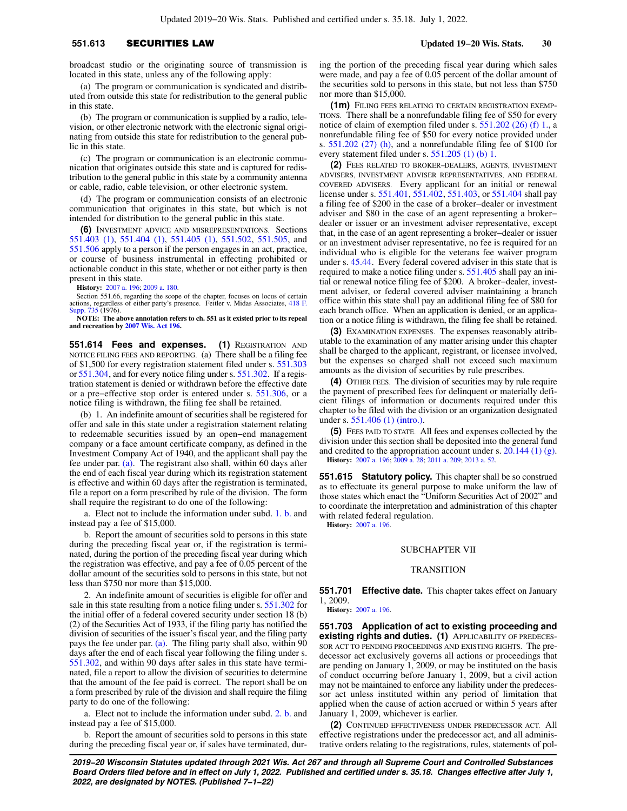## **551.613** SECURITIES LAW **Updated 19−20 Wis. Stats. 30**

broadcast studio or the originating source of transmission is located in this state, unless any of the following apply:

(a) The program or communication is syndicated and distributed from outside this state for redistribution to the general public in this state.

(b) The program or communication is supplied by a radio, television, or other electronic network with the electronic signal originating from outside this state for redistribution to the general public in this state.

(c) The program or communication is an electronic communication that originates outside this state and is captured for redistribution to the general public in this state by a community antenna or cable, radio, cable television, or other electronic system.

(d) The program or communication consists of an electronic communication that originates in this state, but which is not intended for distribution to the general public in this state.

**(6)** INVESTMENT ADVICE AND MISREPRESENTATIONS. Sections [551.403 \(1\)](https://docs.legis.wisconsin.gov/document/statutes/551.403(1)), [551.404 \(1\),](https://docs.legis.wisconsin.gov/document/statutes/551.404(1)) [551.405 \(1\)](https://docs.legis.wisconsin.gov/document/statutes/551.405(1)), [551.502,](https://docs.legis.wisconsin.gov/document/statutes/551.502) [551.505](https://docs.legis.wisconsin.gov/document/statutes/551.505), and [551.506](https://docs.legis.wisconsin.gov/document/statutes/551.506) apply to a person if the person engages in an act, practice, or course of business instrumental in effecting prohibited or actionable conduct in this state, whether or not either party is then present in this state.

**History:** [2007 a. 196](https://docs.legis.wisconsin.gov/document/acts/2007/196); [2009 a. 180](https://docs.legis.wisconsin.gov/document/acts/2009/180).

Section 551.66, regarding the scope of the chapter, focuses on locus of certain actions, regardless of either party's presence. Feitler v. Midas Associates, [418 F.](https://docs.legis.wisconsin.gov/document/courts/418%20F.%20Supp.%20735) [Supp. 735](https://docs.legis.wisconsin.gov/document/courts/418%20F.%20Supp.%20735) (1976).

**NOTE: The above annotation refers to ch. 551 as it existed prior to its repeal and recreation by [2007 Wis. Act 196.](https://docs.legis.wisconsin.gov/document/acts/2007/196)**

**551.614 Fees and expenses. (1)** REGISTRATION AND NOTICE FILING FEES AND REPORTING. (a) There shall be a filing fee of \$1,500 for every registration statement filed under s. [551.303](https://docs.legis.wisconsin.gov/document/statutes/551.303) or [551.304](https://docs.legis.wisconsin.gov/document/statutes/551.304), and for every notice filing under s. [551.302](https://docs.legis.wisconsin.gov/document/statutes/551.302). If a registration statement is denied or withdrawn before the effective date or a pre−effective stop order is entered under s. [551.306,](https://docs.legis.wisconsin.gov/document/statutes/551.306) or a notice filing is withdrawn, the filing fee shall be retained.

(b) 1. An indefinite amount of securities shall be registered for offer and sale in this state under a registration statement relating to redeemable securities issued by an open−end management company or a face amount certificate company, as defined in the Investment Company Act of 1940, and the applicant shall pay the fee under par. [\(a\).](https://docs.legis.wisconsin.gov/document/statutes/551.614(1)(a)) The registrant also shall, within 60 days after the end of each fiscal year during which its registration statement is effective and within 60 days after the registration is terminated, file a report on a form prescribed by rule of the division. The form shall require the registrant to do one of the following:

a. Elect not to include the information under subd. [1. b.](https://docs.legis.wisconsin.gov/document/statutes/551.614(1)(b)1.b.) and instead pay a fee of \$15,000.

b. Report the amount of securities sold to persons in this state during the preceding fiscal year or, if the registration is terminated, during the portion of the preceding fiscal year during which the registration was effective, and pay a fee of 0.05 percent of the dollar amount of the securities sold to persons in this state, but not less than \$750 nor more than \$15,000.

2. An indefinite amount of securities is eligible for offer and sale in this state resulting from a notice filing under s. [551.302](https://docs.legis.wisconsin.gov/document/statutes/551.302) for the initial offer of a federal covered security under section 18 (b) (2) of the Securities Act of 1933, if the filing party has notified the division of securities of the issuer's fiscal year, and the filing party pays the fee under par. [\(a\).](https://docs.legis.wisconsin.gov/document/statutes/551.614(1)(a)) The filing party shall also, within 90 days after the end of each fiscal year following the filing under s. [551.302](https://docs.legis.wisconsin.gov/document/statutes/551.302), and within 90 days after sales in this state have terminated, file a report to allow the division of securities to determine that the amount of the fee paid is correct. The report shall be on a form prescribed by rule of the division and shall require the filing party to do one of the following:

a. Elect not to include the information under subd. [2. b.](https://docs.legis.wisconsin.gov/document/statutes/551.614(1)(b)2.b.) and instead pay a fee of \$15,000.

b. Report the amount of securities sold to persons in this state during the preceding fiscal year or, if sales have terminated, during the portion of the preceding fiscal year during which sales were made, and pay a fee of 0.05 percent of the dollar amount of the securities sold to persons in this state, but not less than \$750 nor more than \$15,000.

**(1m)** FILING FEES RELATING TO CERTAIN REGISTRATION EXEMP-TIONS. There shall be a nonrefundable filing fee of \$50 for every notice of claim of exemption filed under s. [551.202 \(26\) \(f\) 1.,](https://docs.legis.wisconsin.gov/document/statutes/551.202(26)(f)1.) a nonrefundable filing fee of \$50 for every notice provided under s. [551.202 \(27\) \(h\),](https://docs.legis.wisconsin.gov/document/statutes/551.202(27)(h)) and a nonrefundable filing fee of \$100 for every statement filed under s. [551.205 \(1\) \(b\) 1.](https://docs.legis.wisconsin.gov/document/statutes/551.205(1)(b)1.)

**(2)** FEES RELATED TO BROKER−DEALERS, AGENTS, INVESTMENT ADVISERS, INVESTMENT ADVISER REPRESENTATIVES, AND FEDERAL COVERED ADVISERS. Every applicant for an initial or renewal license under s. [551.401](https://docs.legis.wisconsin.gov/document/statutes/551.401), [551.402,](https://docs.legis.wisconsin.gov/document/statutes/551.402) [551.403,](https://docs.legis.wisconsin.gov/document/statutes/551.403) or [551.404](https://docs.legis.wisconsin.gov/document/statutes/551.404) shall pay a filing fee of \$200 in the case of a broker−dealer or investment adviser and \$80 in the case of an agent representing a broker− dealer or issuer or an investment adviser representative, except that, in the case of an agent representing a broker−dealer or issuer or an investment adviser representative, no fee is required for an individual who is eligible for the veterans fee waiver program under s. [45.44](https://docs.legis.wisconsin.gov/document/statutes/45.44). Every federal covered adviser in this state that is required to make a notice filing under s. [551.405](https://docs.legis.wisconsin.gov/document/statutes/551.405) shall pay an initial or renewal notice filing fee of \$200. A broker−dealer, investment adviser, or federal covered adviser maintaining a branch office within this state shall pay an additional filing fee of \$80 for each branch office. When an application is denied, or an application or a notice filing is withdrawn, the filing fee shall be retained.

**(3)** EXAMINATION EXPENSES. The expenses reasonably attributable to the examination of any matter arising under this chapter shall be charged to the applicant, registrant, or licensee involved, but the expenses so charged shall not exceed such maximum amounts as the division of securities by rule prescribes.

**(4)** OTHER FEES. The division of securities may by rule require the payment of prescribed fees for delinquent or materially deficient filings of information or documents required under this chapter to be filed with the division or an organization designated under s. [551.406 \(1\) \(intro.\).](https://docs.legis.wisconsin.gov/document/statutes/551.406(1)(intro.))

**(5)** FEES PAID TO STATE. All fees and expenses collected by the division under this section shall be deposited into the general fund and credited to the appropriation account under s. [20.144 \(1\) \(g\).](https://docs.legis.wisconsin.gov/document/statutes/20.144(1)(g)) **History:** [2007 a. 196;](https://docs.legis.wisconsin.gov/document/acts/2007/196) [2009 a. 28;](https://docs.legis.wisconsin.gov/document/acts/2009/28) [2011 a. 209](https://docs.legis.wisconsin.gov/document/acts/2011/209); [2013 a. 52](https://docs.legis.wisconsin.gov/document/acts/2013/52).

**551.615 Statutory policy.** This chapter shall be so construed as to effectuate its general purpose to make uniform the law of those states which enact the "Uniform Securities Act of 2002" and to coordinate the interpretation and administration of this chapter with related federal regulation.

**History:** [2007 a. 196.](https://docs.legis.wisconsin.gov/document/acts/2007/196)

### SUBCHAPTER VII

### TRANSITION

**551.701 Effective date.** This chapter takes effect on January 1, 2009.

**History:** [2007 a. 196.](https://docs.legis.wisconsin.gov/document/acts/2007/196)

**551.703 Application of act to existing proceeding and existing rights and duties. (1)** APPLICABILITY OF PREDECES-SOR ACT TO PENDING PROCEEDINGS AND EXISTING RIGHTS. The predecessor act exclusively governs all actions or proceedings that are pending on January 1, 2009, or may be instituted on the basis of conduct occurring before January 1, 2009, but a civil action may not be maintained to enforce any liability under the predecessor act unless instituted within any period of limitation that applied when the cause of action accrued or within 5 years after January 1, 2009, whichever is earlier.

**(2)** CONTINUED EFFECTIVENESS UNDER PREDECESSOR ACT. All effective registrations under the predecessor act, and all administrative orders relating to the registrations, rules, statements of pol-